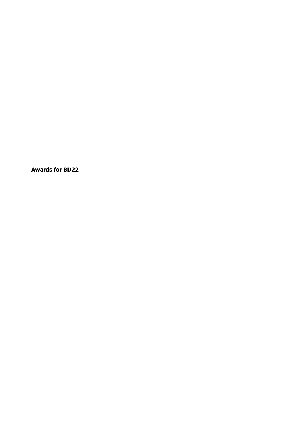**Awards for BD22**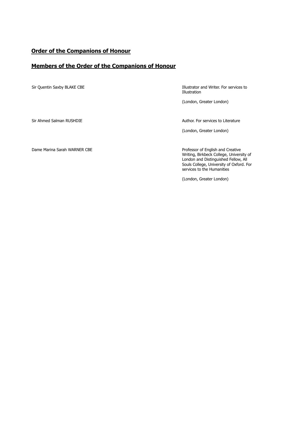#### **Order of the Companions of Honour**

#### **Members of the Order of the Companions of Honour**

Sir Quentin Saxby BLAKE CBE **Illustrator and Writer. For services to** Illustration

(London, Greater London)

Sir Ahmed Salman RUSHDIE **Author. For services to Literature** Author. For services to Literature

(London, Greater London)

Dame Marina Sarah WARNER CBE **Professor of English and Creative** 

Writing, Birkbeck College, University of London and Distinguished Fellow, All Souls College, University of Oxford. For services to the Humanities

(London, Greater London)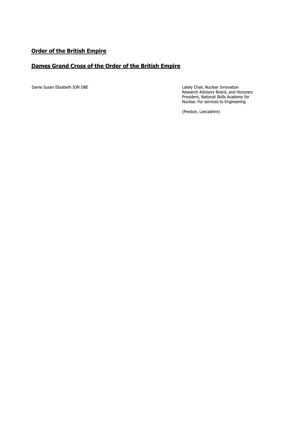### **Order of the British Empire**

#### **Dames Grand Cross of the Order of the British Empire**

Dame Susan Elizabeth ION DBE Lately Chair, Nuclear Innovation Research Advisory Board, and Honorary President, National Skills Academy for Nuclear. For services to Engineering

(Preston, Lancashire)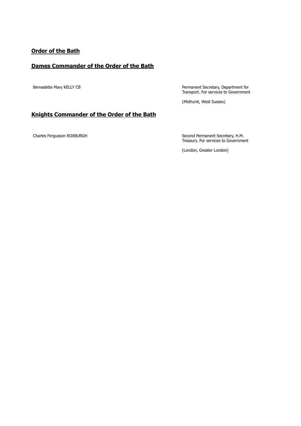# **Order of the Bath**

#### **Dames Commander of the Order of the Bath**

Bernadette Mary KELLY CB **Permanent Secretary, Department for** Transport. For services to Government

(Midhurst, West Sussex)

#### **Knights Commander of the Order of the Bath**

Charles Fergusson ROXBURGH Second Permanent Secretary, H.M. Treasury. For services to Government

(London, Greater London)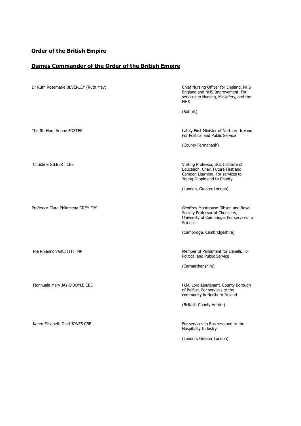# **Order of the British Empire**

# **Dames Commander of the Order of the British Empire**

| Dr Ruth Rosemarie BEVERLEY (Ruth May) | Chief Nursing Officer for England, NHS<br>England and NHS Improvement. For<br>services to Nursing, Midwifery, and the<br><b>NHS</b>           |
|---------------------------------------|-----------------------------------------------------------------------------------------------------------------------------------------------|
|                                       | (Suffolk)                                                                                                                                     |
| The Rt. Hon. Arlene FOSTER            | Lately First Minister of Northern Ireland.<br>For Political and Public Service                                                                |
|                                       | (County Fermanagh)                                                                                                                            |
| Christine GILBERT CBE                 | Visiting Professor, UCL Institute of<br>Education, Chair, Future First and<br>Camden Learning. For services to<br>Young People and to Charity |
|                                       | (London, Greater London)                                                                                                                      |
| Professor Clare Philomena GREY FRS    | Geoffrey Moorhouse-Gibson and Royal<br>Society Professor of Chemistry,<br>University of Cambridge. For services to<br>Science                 |
|                                       | (Cambridge, Cambridgeshire)                                                                                                                   |
| Nia Rhiannon GRIFFITH MP              | Member of Parliament for Llanelli. For<br>Political and Public Service                                                                        |
|                                       | (Carmarthenshire)                                                                                                                             |
| Fionnuala Mary JAY-O'BOYLE CBE        | H.M. Lord-Lieutenant, County Borough<br>of Belfast. For services to the<br>community in Northern Ireland                                      |
|                                       | (Belfast, County Antrim)                                                                                                                      |
| Karen Elisabeth Dind JONES CBE        | For services to Business and to the<br>Hospitality Industry                                                                                   |
|                                       | (London, Greater London)                                                                                                                      |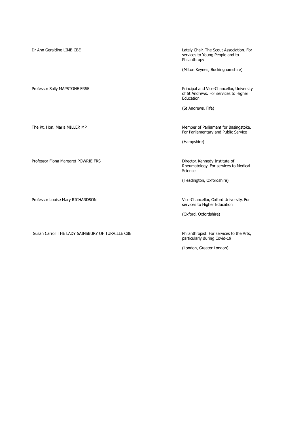| Dr Ann Geraldine LIMB CBE                        | Lately Chair, The Scout Association. For<br>services to Young People and to<br>Philanthropy<br>(Milton Keynes, Buckinghamshire) |
|--------------------------------------------------|---------------------------------------------------------------------------------------------------------------------------------|
| Professor Sally MAPSTONE FRSE                    | Principal and Vice-Chancellor, University<br>of St Andrews. For services to Higher<br>Education                                 |
|                                                  | (St Andrews, Fife)                                                                                                              |
| The Rt. Hon. Maria MILLER MP                     | Member of Parliament for Basingstoke.<br>For Parliamentary and Public Service<br>(Hampshire)                                    |
| Professor Fiona Margaret POWRIE FRS              | Director, Kennedy Institute of<br>Rheumatology. For services to Medical<br>Science                                              |
|                                                  | (Headington, Oxfordshire)                                                                                                       |
| Professor Louise Mary RICHARDSON                 | Vice-Chancellor, Oxford University. For<br>services to Higher Education<br>(Oxford, Oxfordshire)                                |
| Susan Carroll THE LADY SAINSBURY OF TURVILLE CBE | Philanthropist. For services to the Arts,<br>particularly during Covid-19<br>(London, Greater London)                           |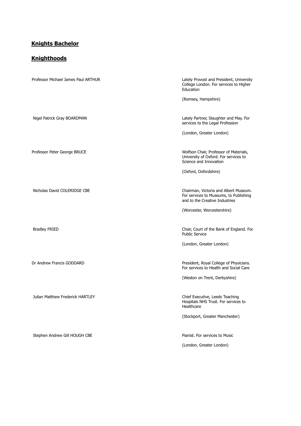# **Knights Bachelor**

#### **Knighthoods**

| Professor Michael James Paul ARTHUR | Lately Provost and President, University<br>College London. For services to Higher<br>Education                   |
|-------------------------------------|-------------------------------------------------------------------------------------------------------------------|
|                                     | (Romsey, Hampshire)                                                                                               |
| Nigel Patrick Gray BOARDMAN         | Lately Partner, Slaughter and May. For<br>services to the Legal Profession                                        |
|                                     | (London, Greater London)                                                                                          |
| Professor Peter George BRUCE        | Wolfson Chair, Professor of Materials,<br>University of Oxford. For services to<br>Science and Innovation         |
|                                     | (Oxford, Oxfordshire)                                                                                             |
| Nicholas David COLERIDGE CBE        | Chairman, Victoria and Albert Museum.<br>For services to Museums, to Publishing<br>and to the Creative Industries |
|                                     | (Worcester, Worcestershire)                                                                                       |
| <b>Bradley FRIED</b>                | Chair, Court of the Bank of England. For<br><b>Public Service</b>                                                 |
|                                     | (London, Greater London)                                                                                          |
| Dr Andrew Francis GODDARD           | President, Royal College of Physicians.<br>For services to Health and Social Care                                 |
|                                     | (Weston on Trent, Derbyshire)                                                                                     |
| Julian Matthew Frederick HARTLEY    | Chief Executive, Leeds Teaching<br>Hospitals NHS Trust. For services to<br>Healthcare                             |
|                                     | (Stockport, Greater Manchester)                                                                                   |
| Stephen Andrew Gill HOUGH CBE       | Pianist. For services to Music                                                                                    |
|                                     | (London, Greater London)                                                                                          |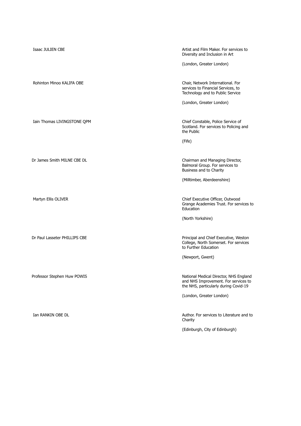Isaac JULIEN CBE **Artist and Film Maker. For services to Artist and Film Maker. For services to** Diversity and Inclusion in Art (London, Greater London) Rohinton Minoo KALIFA OBE **Chair**, Network International. For services to Financial Services, to Technology and to Public Service (London, Greater London) Iain Thomas LIVINGSTONE QPM Chief Constable, Police Service of Scotland. For services to Policing and the Public (Fife) Dr James Smith MILNE CBE DL **Chairman and Managing Director**, Balmoral Group. For services to Business and to Charity (Milltimber, Aberdeenshire) Martyn Ellis OLIVER **Chief Executive Officer, Outwood** Grange Academies Trust. For services to Education (North Yorkshire) Dr Paul Lasseter PHILLIPS CBE Principal and Chief Executive, Weston College, North Somerset. For services to Further Education (Newport, Gwent) Professor Stephen Huw POWIS National Medical Director, NHS England and NHS Improvement. For services to the NHS, particularly during Covid-19 (London, Greater London) Ian RANKIN OBE DL **Author.** For services to Literature and to Charity (Edinburgh, City of Edinburgh)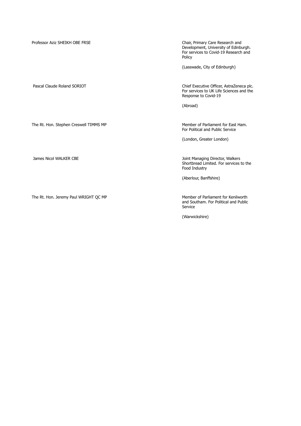Professor Aziz SHEIKH OBE FRSE Chair, Primary Care Research and

Development, University of Edinburgh. For services to Covid-19 Research and Policy

(Lasswade, City of Edinburgh)

The Rt. Hon. Stephen Creswell TIMMS MP Member of Parliament for East Ham.

The Rt. Hon. Jeremy Paul WRIGHT QC MP Member of Parliament for Kenilworth

Pascal Claude Roland SORIOT **Chief Executive Officer, AstraZeneca plc.** For services to UK Life Sciences and the Response to Covid-19

(Abroad)

For Political and Public Service

(London, Greater London)

Joint Managing Director, Walkers Shortbread Limited. For services to the Food Industry

(Aberlour, Banffshire)

and Southam. For Political and Public Service

(Warwickshire)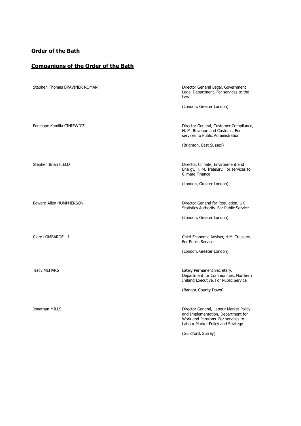# **Order of the Bath**

# **Companions of the Order of the Bath**

| Stephen Thomas BRAVINER ROMAN | Director General Legal, Government<br>Legal Department. For services to the<br>Law                                                                      |
|-------------------------------|---------------------------------------------------------------------------------------------------------------------------------------------------------|
|                               | (London, Greater London)                                                                                                                                |
| Penelope Kamilla CINIEWICZ    | Director General, Customer Compliance,<br>H. M. Revenue and Customs. For<br>services to Public Administration                                           |
|                               | (Brighton, East Sussex)                                                                                                                                 |
| Stephen Brian FIELD           | Director, Climate, Environment and<br>Energy, H. M. Treasury. For services to<br>Climate Finance                                                        |
|                               | (London, Greater London)                                                                                                                                |
| Edward Allen HUMPHERSON       | Director General for Regulation, UK<br>Statistics Authority. For Public Service<br>(London, Greater London)                                             |
|                               |                                                                                                                                                         |
| Clare LOMBARDELLI             | Chief Economic Adviser, H.M. Treasury.<br>For Public Service                                                                                            |
|                               | (London, Greater London)                                                                                                                                |
| <b>Tracy MEHARG</b>           | Lately Permanent Secretary,<br>Department for Communities, Northern<br>Ireland Executive. For Public Service                                            |
|                               | (Bangor, County Down)                                                                                                                                   |
| Jonathan MILLS                | Director General, Labour Market Policy<br>and Implementation, Department for<br>Work and Pensions. For services to<br>Labour Market Policy and Strategy |
|                               | (Guildford, Surrey)                                                                                                                                     |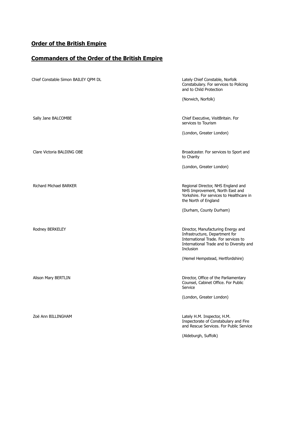### **Order of the British Empire**

### **Commanders of the Order of the British Empire**

| Chief Constable Simon BAILEY QPM DL | Lately Chief Constable, Norfolk<br>Constabulary. For services to Policing<br>and to Child Protection                                                                  |
|-------------------------------------|-----------------------------------------------------------------------------------------------------------------------------------------------------------------------|
|                                     | (Norwich, Norfolk)                                                                                                                                                    |
| Sally Jane BALCOMBE                 | Chief Executive, VisitBritain. For<br>services to Tourism                                                                                                             |
|                                     | (London, Greater London)                                                                                                                                              |
| Clare Victoria BALDING OBE          | Broadcaster. For services to Sport and<br>to Charity                                                                                                                  |
|                                     | (London, Greater London)                                                                                                                                              |
| <b>Richard Michael BARKER</b>       | Regional Director, NHS England and<br>NHS Improvement, North East and<br>Yorkshire. For services to Healthcare in<br>the North of England                             |
|                                     | (Durham, County Durham)                                                                                                                                               |
| Rodney BERKELEY                     | Director, Manufacturing Energy and<br>Infrastructure, Department for<br>International Trade. For services to<br>International Trade and to Diversity and<br>Inclusion |
|                                     | (Hemel Hempstead, Hertfordshire)                                                                                                                                      |
| Alison Mary BERTLIN                 | Director, Office of the Parliamentary<br>Counsel, Cabinet Office. For Public<br>Service                                                                               |
|                                     | (London, Greater London)                                                                                                                                              |
| Zoë Ann BILLINGHAM                  | Lately H.M. Inspector, H.M.<br>Inspectorate of Constabulary and Fire<br>and Rescue Services. For Public Service                                                       |
|                                     | (Aldeburgh, Suffolk)                                                                                                                                                  |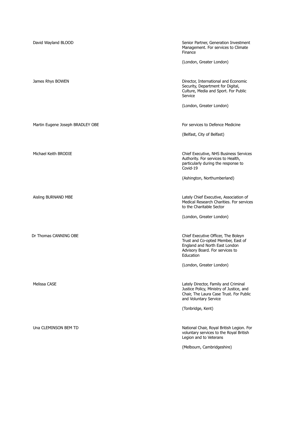| David Wayland BLOOD              | Senior Partner, Generation Investment<br>Management. For services to Climate<br>Finance                                                                    |
|----------------------------------|------------------------------------------------------------------------------------------------------------------------------------------------------------|
|                                  | (London, Greater London)                                                                                                                                   |
| James Rhys BOWEN                 | Director, International and Economic<br>Security, Department for Digital,<br>Culture, Media and Sport. For Public<br>Service                               |
|                                  | (London, Greater London)                                                                                                                                   |
| Martin Eugene Joseph BRADLEY OBE | For services to Defence Medicine                                                                                                                           |
|                                  | (Belfast, City of Belfast)                                                                                                                                 |
| Michael Keith BRODIE             | Chief Executive, NHS Business Services<br>Authority. For services to Health,<br>particularly during the response to<br>Covid-19                            |
|                                  | (Ashington, Northumberland)                                                                                                                                |
| Aisling BURNAND MBE              | Lately Chief Executive, Association of<br>Medical Research Charities. For services<br>to the Charitable Sector                                             |
|                                  | (London, Greater London)                                                                                                                                   |
| Dr Thomas CANNING OBE            | Chief Executive Officer, The Boleyn<br>Trust and Co-opted Member, East of<br>England and North East London<br>Advisory Board. For services to<br>Education |
|                                  | (London, Greater London)                                                                                                                                   |
| Melissa CASE                     | Lately Director, Family and Criminal<br>Justice Policy, Ministry of Justice, and<br>Chair, The Laura Case Trust. For Public<br>and Voluntary Service       |
|                                  | (Tonbridge, Kent)                                                                                                                                          |
| Una CLEMINSON BEM TD             | National Chair, Royal British Legion. For<br>voluntary services to the Royal British<br>Legion and to Veterans                                             |
|                                  | (Melbourn, Cambridgeshire)                                                                                                                                 |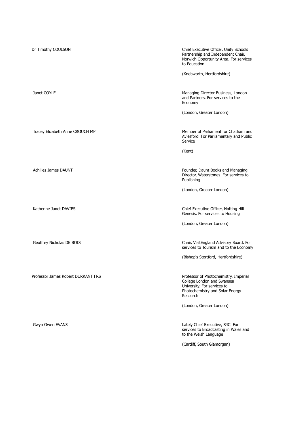| Dr Timothy COULSON                 | Chief Executive Officer, Unity Schools<br>Partnership and Independent Chair,<br>Norwich Opportunity Area. For services<br>to Education            |
|------------------------------------|---------------------------------------------------------------------------------------------------------------------------------------------------|
|                                    | (Knebworth, Hertfordshire)                                                                                                                        |
| Janet COYLE                        | Managing Director Business, London<br>and Partners. For services to the<br>Economy                                                                |
|                                    | (London, Greater London)                                                                                                                          |
| Tracey Elizabeth Anne CROUCH MP    | Member of Parliament for Chatham and<br>Aylesford. For Parliamentary and Public<br>Service                                                        |
|                                    | (Kent)                                                                                                                                            |
| <b>Achilles James DAUNT</b>        | Founder, Daunt Books and Managing<br>Director, Waterstones. For services to<br>Publishing                                                         |
|                                    | (London, Greater London)                                                                                                                          |
| Katherine Janet DAVIES             | Chief Executive Officer, Notting Hill<br>Genesis. For services to Housing                                                                         |
|                                    | (London, Greater London)                                                                                                                          |
| Geoffrey Nicholas DE BOIS          | Chair, VisitEngland Advisory Board. For<br>services to Tourism and to the Economy                                                                 |
|                                    | (Bishop's Stortford, Hertfordshire)                                                                                                               |
| Professor James Robert DURRANT FRS | Professor of Photochemistry, Imperial<br>College London and Swansea<br>University. For services to<br>Photochemistry and Solar Energy<br>Research |
|                                    | (London, Greater London)                                                                                                                          |
| Gwyn Owen EVANS                    | Lately Chief Executive, S4C. For<br>services to Broadcasting in Wales and<br>to the Welsh Language                                                |
|                                    | (Cardiff, South Glamorgan)                                                                                                                        |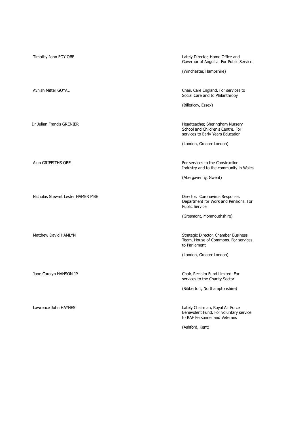Timothy John FOY OBE **Lately Director, Home Office and** Governor of Anguilla. For Public Service (Winchester, Hampshire) Avnish Mitter GOYAL Chair, Care England. For services to example the Chair, Care England. For services to Social Care and to Philanthropy (Billericay, Essex) Dr Julian Francis GRENIER **Headteacher, Sheringham Nursery** Headteacher, Sheringham Nursery School and Children's Centre. For services to Early Years Education (London, Greater London) Alun GRIFFITHS OBE For services to the Construction Industry and to the community in Wales (Abergavenny, Gwent) Nicholas Stewart Lester HAMER MBE **Director, Coronavirus Response**, Department for Work and Pensions. For Public Service (Grosmont, Monmouthshire) Matthew David HAMLYN Strategic Director, Chamber Business Team, House of Commons. For services to Parliament (London, Greater London) Jane Carolyn HANSON JP Chair, Reclaim Fund Limited. For services to the Charity Sector (Sibbertoft, Northamptonshire) Lawrence John HAYNES Lately Chairman, Royal Air Force Benevolent Fund. For voluntary service to RAF Personnel and Veterans (Ashford, Kent)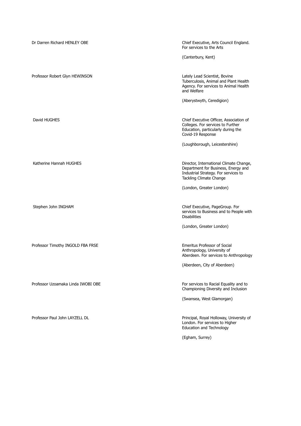| Dr Darren Richard HENLEY OBE       | Chief Executive, Arts Council England.<br>For services to the Arts                                                                                |
|------------------------------------|---------------------------------------------------------------------------------------------------------------------------------------------------|
|                                    | (Canterbury, Kent)                                                                                                                                |
| Professor Robert Glyn HEWINSON     | Lately Lead Scientist, Bovine<br>Tuberculosis, Animal and Plant Health<br>Agency. For services to Animal Health<br>and Welfare                    |
|                                    | (Aberystwyth, Ceredigion)                                                                                                                         |
| David HUGHES                       | Chief Executive Officer, Association of<br>Colleges. For services to Further<br>Education, particularly during the<br>Covid-19 Response           |
|                                    | (Loughborough, Leicestershire)                                                                                                                    |
| Katherine Hannah HUGHES            | Director, International Climate Change,<br>Department for Business, Energy and<br>Industrial Strategy. For services to<br>Tackling Climate Change |
|                                    | (London, Greater London)                                                                                                                          |
| Stephen John INGHAM                | Chief Executive, PageGroup. For<br>services to Business and to People with<br><b>Disabilities</b>                                                 |
|                                    | (London, Greater London)                                                                                                                          |
| Professor Timothy INGOLD FBA FRSE  | <b>Emeritus Professor of Social</b><br>Anthropology, University of<br>Aberdeen. For services to Anthropology                                      |
|                                    | (Aberdeen, City of Aberdeen)                                                                                                                      |
| Professor Uzoamaka Linda IWOBI OBE | For services to Racial Equality and to<br>Championing Diversity and Inclusion                                                                     |
|                                    | (Swansea, West Glamorgan)                                                                                                                         |
| Professor Paul John LAYZELL DL     | Principal, Royal Holloway, University of<br>London. For services to Higher<br><b>Education and Technology</b>                                     |
|                                    | (Egham, Surrey)                                                                                                                                   |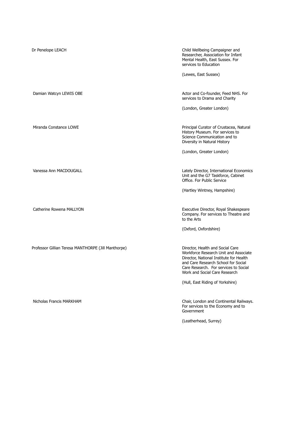| Dr Penelope LEACH                                   | Child Wellbeing Campaigner and<br>Researcher, Association for Infant<br>Mental Health, East Sussex. For<br>services to Education<br>(Lewes, East Sussex)                                                                              |
|-----------------------------------------------------|---------------------------------------------------------------------------------------------------------------------------------------------------------------------------------------------------------------------------------------|
| Damian Watcyn LEWIS OBE                             | Actor and Co-founder, Feed NHS. For<br>services to Drama and Charity<br>(London, Greater London)                                                                                                                                      |
| Miranda Constance LOWE                              | Principal Curator of Crustacea, Natural<br>History Museum. For services to<br>Science Communication and to<br>Diversity in Natural History<br>(London, Greater London)                                                                |
| Vanessa Ann MACDOUGALL                              | Lately Director, International Economics<br>Unit and the G7 Taskforce, Cabinet<br>Office. For Public Service<br>(Hartley Wintney, Hampshire)                                                                                          |
| Catherine Rowena MALLYON                            | Executive Director, Royal Shakespeare<br>Company. For services to Theatre and<br>to the Arts<br>(Oxford, Oxfordshire)                                                                                                                 |
| Professor Gillian Teresa MANTHORPE (Jill Manthorpe) | Director, Health and Social Care<br>Workforce Research Unit and Associate<br>Director, National Institute for Health<br>and Care Research School for Social<br>Care Research. For services to Social<br>Work and Social Care Research |
| Nicholas Francis MARKHAM                            | (Hull, East Riding of Yorkshire)<br>Chair, London and Continental Railways.<br>For services to the Economy and to<br>Government<br>(Leatherhead, Surrey)                                                                              |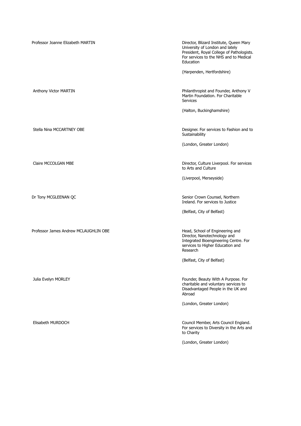Professor Joanne Elizabeth MARTIN Director, Blizard Institute, Queen Mary University of London and lately President, Royal College of Pathologists. For services to the NHS and to Medical Education (Harpenden, Hertfordshire) Anthony Victor MARTIN **Philanthropist and Founder, Anthony V** Philanthropist and Founder, Anthony V Martin Foundation. For Charitable Services (Halton, Buckinghamshire) Stella Nina MCCARTNEY OBE **Designer.** For services to Fashion and to Sustainability (London, Greater London) Claire MCCOLGAN MBE Director, Culture Liverpool. For services to Arts and Culture (Liverpool, Merseyside) Dr Tony MCGLEENAN QC **Senior Crown Counsel, Northern** Ireland. For services to Justice (Belfast, City of Belfast) Professor James Andrew MCLAUGHLIN OBE **Head, School of Engineering and** Director, Nanotechnology and Integrated Bioengineering Centre. For services to Higher Education and Research (Belfast, City of Belfast) Julia Evelyn MORLEY **Founder, Beauty With A Purpose.** For charitable and voluntary services to Disadvantaged People in the UK and Abroad (London, Greater London) Elisabeth MURDOCH Council Member, Arts Council England. For services to Diversity in the Arts and to Charity (London, Greater London)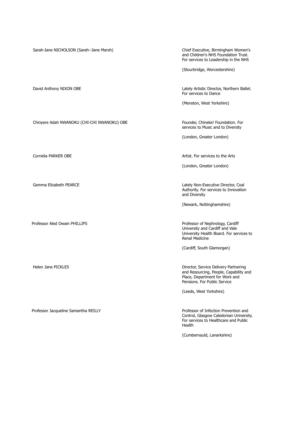Sarah-Jane NICHOLSON (Sarah--Jane Marsh) Chief Executive, Birmingham Women's

and Children's NHS Foundation Trust. For services to Leadership in the NHS

(Stourbridge, Worcestershire)

Chinyere Adah NWANOKU (CHI-CHI NWANOKU) OBE Founder, Chineke! Foundation. For

Professor Jacqueline Samantha REILLY **Professor of Infection Prevention and** 

David Anthony NIXON OBE Lately Artistic Director, Northern Ballet. For services to Dance

(Menston, West Yorkshire)

services to Music and to Diversity

(London, Greater London)

Cornelia PARKER OBE **Artist. For services to the Arts** Artist. For services to the Arts

(London, Greater London)

Gemma Elizabeth PEARCE **Lately Non-Executive Director, Coal** Authority. For services to Innovation and Diversity

(Newark, Nottinghamshire)

Professor Aled Owain PHILLIPS **Professor of Nephrology, Cardiff** University and Cardiff and Vale University Health Board. For services to Renal Medicine

(Cardiff, South Glamorgan)

Helen Jane PICKLES **Director, Service Delivery Partnering** and Resourcing, People, Capability and Place, Department for Work and Pensions. For Public Service

(Leeds, West Yorkshire)

Control, Glasgow Caledonian University. For services to Healthcare and Public Health

(Cumbernauld, Lanarkshire)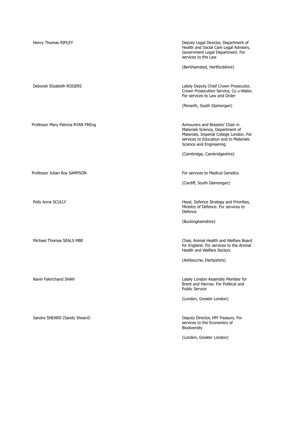| Henry Thomas RIPLEY                | Deputy Legal Director, Department of<br>Health and Social Care Legal Advisers,<br>Government Legal Department. For<br>services to the Law<br>(Berkhamsted, Hertfordshire)            |
|------------------------------------|--------------------------------------------------------------------------------------------------------------------------------------------------------------------------------------|
|                                    |                                                                                                                                                                                      |
| Deborah Elizabeth ROGERS           | Lately Deputy Chief Crown Prosecutor,<br>Crown Prosecution Service, Cy u-Wales.<br>For services to Law and Order                                                                     |
|                                    | (Penarth, South Glamorgan)                                                                                                                                                           |
| Professor Mary Patricia RYAN FREng | Armourers and Brasiers' Chair in<br>Materials Science, Department of<br>Materials, Imperial College London. For<br>services to Education and to Materials<br>Science and Engineering |
|                                    | (Cambridge, Cambridgeshire)                                                                                                                                                          |
|                                    |                                                                                                                                                                                      |
| Professor Julian Roy SAMPSON       | For services to Medical Genetics                                                                                                                                                     |
|                                    | (Cardiff, South Glamorgan)                                                                                                                                                           |
|                                    |                                                                                                                                                                                      |
| Polly Anna SCULLY                  | Head, Defence Strategy and Priorities,<br>Ministry of Defence. For services to<br>Defence                                                                                            |
|                                    | (Buckinghamshire)                                                                                                                                                                    |
|                                    |                                                                                                                                                                                      |
| Michael Thomas SEALS MBE           | Chair, Animal Health and Welfare Board<br>for England. For services to the Animal<br>Health and Welfare Sectors                                                                      |
|                                    | (Ashbourne, Derbyshire)                                                                                                                                                              |
|                                    |                                                                                                                                                                                      |
| Navin Fakirchand SHAH              | Lately London Assembly Member for<br>Brent and Harrow. For Political and<br><b>Public Service</b>                                                                                    |
|                                    | (London, Greater London)                                                                                                                                                             |
|                                    |                                                                                                                                                                                      |
| Sandra SHEARD (Sandy Sheard)       | Deputy Director, HM Treasury. For<br>services to the Economics of<br>Biodiversity                                                                                                    |
|                                    | (London, Greater London)                                                                                                                                                             |
|                                    |                                                                                                                                                                                      |
|                                    |                                                                                                                                                                                      |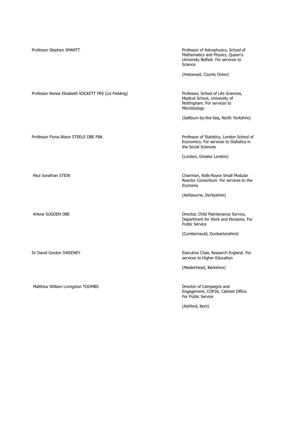| Professor Stephen SMARTT                             | Professor of Astrophysics, School of<br>Mathematics and Physics, Queen's<br>University Belfast. For services to<br>Science |
|------------------------------------------------------|----------------------------------------------------------------------------------------------------------------------------|
|                                                      | (Holywood, County Down)                                                                                                    |
| Professor Renee Elizabeth SOCKETT FRS (Liz Fielding) | Professor, School of Life Sciences,<br>Medical School, University of<br>Nottingham. For services to<br>Microbiology        |
|                                                      | (Saltburn-by-the-Sea, North Yorkshire)                                                                                     |
| Professor Fiona Alison STEELE OBE FBA                | Professor of Statistics, London School of<br>Economics. For services to Statistics in<br>the Social Sciences               |
|                                                      | (London, Greater London)                                                                                                   |
| Paul Jonathan STEIN                                  | Chairman, Rolls-Royce Small Modular<br>Reactor Consortium. For services to the<br>Economy                                  |
|                                                      | (Ashbourne, Derbyshire)                                                                                                    |
| Arlene SUGDEN OBE                                    | Director, Child Maintenance Service,<br>Department for Work and Pensions. For<br><b>Public Service</b>                     |
|                                                      | (Cumbernauld, Dunbartonshire)                                                                                              |
| Dr David Gordon SWEENEY                              | Executive Chair, Research England. For<br>services to Higher Education                                                     |
|                                                      | (Maidenhead, Berkshire)                                                                                                    |
| Matthew William Livingston TOOMBS                    | Director of Campaigns and<br>Engagement, COP26, Cabinet Office.<br>For Public Service                                      |
|                                                      | (Ashford, Kent)                                                                                                            |
|                                                      |                                                                                                                            |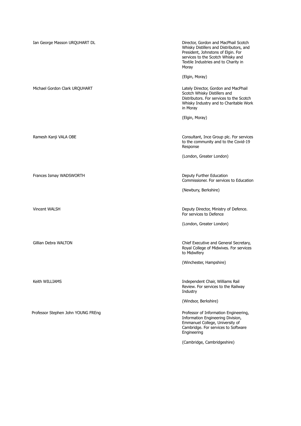| Ian George Masson URQUHART DL      | Director, Gordon and MacPhail Scotch<br>Whisky Distillers and Distributors, and<br>President, Johnstons of Elgin. For<br>services to the Scotch Whisky and<br>Textile Industries and to Charity in<br>Moray |
|------------------------------------|-------------------------------------------------------------------------------------------------------------------------------------------------------------------------------------------------------------|
|                                    | (Elgin, Moray)                                                                                                                                                                                              |
| Michael Gordon Clark URQUHART      | Lately Director, Gordon and MacPhail<br>Scotch Whisky Distillers and<br>Distributors. For services to the Scotch<br>Whisky Industry and to Charitable Work<br>in Moray                                      |
|                                    | (Elgin, Moray)                                                                                                                                                                                              |
| Ramesh Kanji VALA OBE              | Consultant, Ince Group plc. For services<br>to the community and to the Covid-19<br>Response                                                                                                                |
|                                    | (London, Greater London)                                                                                                                                                                                    |
|                                    |                                                                                                                                                                                                             |
| Frances Ismay WADSWORTH            | Deputy Further Education<br>Commissioner. For services to Education                                                                                                                                         |
|                                    | (Newbury, Berkshire)                                                                                                                                                                                        |
|                                    |                                                                                                                                                                                                             |
| Vincent WALSH                      | Deputy Director, Ministry of Defence.<br>For services to Defence                                                                                                                                            |
|                                    | (London, Greater London)                                                                                                                                                                                    |
| Gillian Debra WALTON               | Chief Executive and General Secretary,<br>Royal College of Midwives. For services<br>to Midwifery                                                                                                           |
|                                    | (Winchester, Hampshire)                                                                                                                                                                                     |
| Keith WILLIAMS                     | Independent Chair, Williams Rail<br>Review. For services to the Railway<br>Industry                                                                                                                         |
|                                    | (Windsor, Berkshire)                                                                                                                                                                                        |
| Professor Stephen John YOUNG FREng | Professor of Information Engineering,<br>Information Engineering Division,<br>Emmanuel College, University of<br>Cambridge. For services to Software<br>Engineering                                         |
|                                    | (Cambridge, Cambridgeshire)                                                                                                                                                                                 |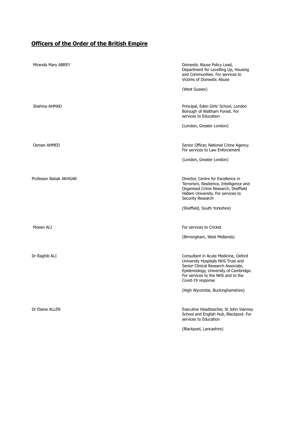### **Officers of the Order of the British Empire**

| Miranda Mary ABREY     | Domestic Abuse Policy Lead,<br>Department for Levelling Up, Housing<br>and Communities. For services to<br><b>Victims of Domestic Abuse</b><br>(West Sussex)                                                                                              |
|------------------------|-----------------------------------------------------------------------------------------------------------------------------------------------------------------------------------------------------------------------------------------------------------|
| Shahina AHMAD          | Principal, Eden Girls' School, London<br>Borough of Waltham Forest. For<br>services to Education<br>(London, Greater London)                                                                                                                              |
| Osman AHMED            | Senior Officer, National Crime Agency.<br>For services to Law Enforcement<br>(London, Greater London)                                                                                                                                                     |
| Professor Babak AKHGAR | Director, Centre for Excellence in<br>Terrorism, Resilience, Intelligence and<br>Organised Crime Research, Sheffield<br>Hallam University. For services to<br>Security Research<br>(Sheffield, South Yorkshire)                                           |
| Moeen ALI              | For services to Cricket<br>(Birmingham, West Midlands)                                                                                                                                                                                                    |
| Dr Raghib ALI          | Consultant in Acute Medicine, Oxford<br>University Hospitals NHS Trust and<br>Senior Clinical Research Associate,<br>Epidemiology, University of Cambridge.<br>For services to the NHS and to the<br>Covid-19 response<br>(High Wycombe, Buckinghamshire) |
| Dr Elaine ALLEN        | Executive Headteacher, St John Vianney<br>School and English Hub, Blackpool. For<br>services to Education<br>(Blackpool, Lancashire)                                                                                                                      |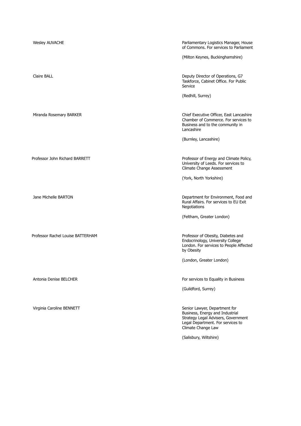| <b>Wesley AUVACHE</b>             | Parliamentary Logistics Manager, House<br>of Commons. For services to Parliament                                                                                   |
|-----------------------------------|--------------------------------------------------------------------------------------------------------------------------------------------------------------------|
|                                   | (Milton Keynes, Buckinghamshire)                                                                                                                                   |
| Claire BALL                       | Deputy Director of Operations, G7<br>Taskforce, Cabinet Office. For Public<br>Service                                                                              |
|                                   | (Redhill, Surrey)                                                                                                                                                  |
| Miranda Rosemary BARKER           | Chief Executive Officer, East Lancashire<br>Chamber of Commerce. For services to<br>Business and to the community in<br>Lancashire                                 |
|                                   | (Burnley, Lancashire)                                                                                                                                              |
| Professor John Richard BARRETT    | Professor of Energy and Climate Policy,<br>University of Leeds. For services to<br>Climate Change Assessment                                                       |
|                                   | (York, North Yorkshire)                                                                                                                                            |
| Jane Michelle BARTON              | Department for Environment, Food and<br>Rural Affairs. For services to EU Exit<br>Negotiations                                                                     |
|                                   | (Feltham, Greater London)                                                                                                                                          |
| Professor Rachel Louise BATTERHAM | Professor of Obesity, Diabetes and<br>Endocrinology, University College<br>London. For services to People Affected<br>by Obesity                                   |
|                                   | (London, Greater London)                                                                                                                                           |
| Antonia Denise BELCHER            | For services to Equality in Business                                                                                                                               |
|                                   | (Guildford, Surrey)                                                                                                                                                |
| Virginia Caroline BENNETT         | Senior Lawyer, Department for<br>Business, Energy and Industrial<br>Strategy Legal Advisers, Government<br>Legal Department. For services to<br>Climate Change Law |
|                                   | (Salisbury, Wiltshire)                                                                                                                                             |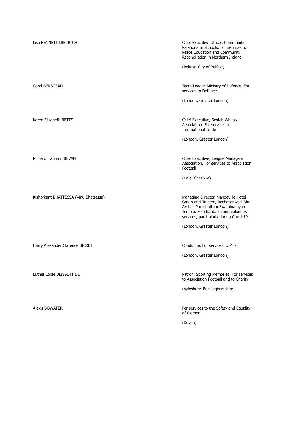| Lisa BENNETT-DIETRICH                 | Chief Executive Officer, Community<br>Relations In Schools. For services to<br>Peace Education and Community<br>Reconciliation in Northern Ireland                                               |
|---------------------------------------|--------------------------------------------------------------------------------------------------------------------------------------------------------------------------------------------------|
|                                       | (Belfast, City of Belfast)                                                                                                                                                                       |
| Coral BENSTEAD                        | Team Leader, Ministry of Defence. For<br>services to Defence                                                                                                                                     |
|                                       | (London, Greater London)                                                                                                                                                                         |
| Karen Elizabeth BETTS                 | Chief Executive, Scotch Whisky<br>Association. For services to<br><b>International Trade</b>                                                                                                     |
|                                       | (London, Greater London)                                                                                                                                                                         |
| <b>Richard Harrison BEVAN</b>         | Chief Executive, League Managers<br>Association. For services to Association<br>Football                                                                                                         |
|                                       | (Hale, Cheshire)                                                                                                                                                                                 |
| Kishorkant BHATTESSA (Vinu Bhattessa) | Managing Director, Mandeville Hotel<br>Group and Trustee, Bochasanwasi Shri<br>Akshar Purushottam Swaminarayan<br>Temple. For charitable and voluntary<br>services, particularly during Covid-19 |
|                                       | (London, Greater London)                                                                                                                                                                         |
| Harry Alexander Clarence BICKET       | Conductor. For services to Music<br>(London, Greater London)                                                                                                                                     |
|                                       |                                                                                                                                                                                                  |
| Luther Loide BLISSETT DL              | Patron, Sporting Memories. For services<br>to Association Football and to Charity                                                                                                                |
|                                       | (Aylesbury, Buckinghamshire)                                                                                                                                                                     |
| <b>Alexis BOWATER</b>                 | For services to the Safety and Equality<br>of Women                                                                                                                                              |
|                                       | (Devon)                                                                                                                                                                                          |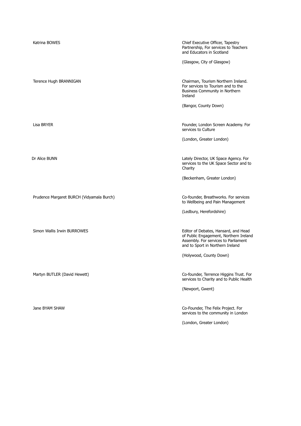| Katrina BOWES                             | Chief Executive Officer, Tapestry<br>Partnership, For services to Teachers<br>and Educators in Scotland<br>(Glasgow, City of Glasgow)                      |
|-------------------------------------------|------------------------------------------------------------------------------------------------------------------------------------------------------------|
| Terence Hugh BRANNIGAN                    | Chairman, Tourism Northern Ireland.<br>For services to Tourism and to the<br>Business Community in Northern<br>Ireland                                     |
|                                           | (Bangor, County Down)                                                                                                                                      |
| Lisa BRYER                                | Founder, London Screen Academy. For<br>services to Culture                                                                                                 |
|                                           | (London, Greater London)                                                                                                                                   |
| Dr Alice BUNN                             | Lately Director, UK Space Agency. For<br>services to the UK Space Sector and to<br>Charity                                                                 |
|                                           | (Beckenham, Greater London)                                                                                                                                |
| Prudence Margaret BURCH (Vidyamala Burch) | Co-founder, Breathworks. For services<br>to Wellbeing and Pain Management                                                                                  |
|                                           | (Ledbury, Herefordshire)                                                                                                                                   |
| Simon Wallis Irwin BURROWES               | Editor of Debates, Hansard, and Head<br>of Public Engagement, Northern Ireland<br>Assembly. For services to Parliament<br>and to Sport in Northern Ireland |
|                                           | (Holywood, County Down)                                                                                                                                    |
| Martyn BUTLER (David Hewett)              | Co-founder, Terrence Higgins Trust. For<br>services to Charity and to Public Health                                                                        |
|                                           | (Newport, Gwent)                                                                                                                                           |
| Jane BYAM SHAW                            | Co-Founder, The Felix Project. For<br>services to the community in London                                                                                  |
|                                           | (London, Greater London)                                                                                                                                   |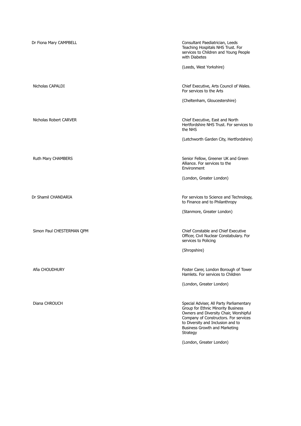| Dr Fiona Mary CAMPBELL    | Consultant Paediatrician, Leeds<br>Teaching Hospitals NHS Trust. For<br>services to Children and Young People<br>with Diabetes                                                                                                                      |
|---------------------------|-----------------------------------------------------------------------------------------------------------------------------------------------------------------------------------------------------------------------------------------------------|
|                           | (Leeds, West Yorkshire)                                                                                                                                                                                                                             |
| Nicholas CAPALDI          | Chief Executive, Arts Council of Wales.<br>For services to the Arts                                                                                                                                                                                 |
|                           | (Cheltenham, Gloucestershire)                                                                                                                                                                                                                       |
| Nicholas Robert CARVER    | Chief Executive, East and North<br>Hertfordshire NHS Trust. For services to<br>the NHS                                                                                                                                                              |
|                           | (Letchworth Garden City, Hertfordshire)                                                                                                                                                                                                             |
| Ruth Mary CHAMBERS        | Senior Fellow, Greener UK and Green<br>Alliance. For services to the<br>Environment                                                                                                                                                                 |
|                           | (London, Greater London)                                                                                                                                                                                                                            |
| Dr Shamil CHANDARIA       | For services to Science and Technology,<br>to Finance and to Philanthropy                                                                                                                                                                           |
|                           | (Stanmore, Greater London)                                                                                                                                                                                                                          |
| Simon Paul CHESTERMAN QPM | Chief Constable and Chief Executive<br>Officer, Civil Nuclear Constabulary. For<br>services to Policing                                                                                                                                             |
|                           | (Shropshire)                                                                                                                                                                                                                                        |
| Afia CHOUDHURY            | Foster Carer, London Borough of Tower<br>Hamlets. For services to Children                                                                                                                                                                          |
|                           | (London, Greater London)                                                                                                                                                                                                                            |
| Diana CHROUCH             | Special Adviser, All Party Parliamentary<br>Group for Ethnic Minority Business<br>Owners and Diversity Chair, Worshipful<br>Company of Constructors. For services<br>to Diversity and Inclusion and to<br>Business Growth and Marketing<br>Strategy |
|                           | (London, Greater London)                                                                                                                                                                                                                            |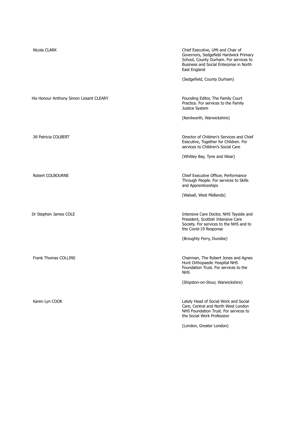| Nicola CLARK                            | Chief Executive, UMi and Chair of<br>Governors, Sedgefield Hardwick Primary<br>School, County Durham. For services to<br>Business and Social Enterprise in North<br>East England |
|-----------------------------------------|----------------------------------------------------------------------------------------------------------------------------------------------------------------------------------|
|                                         | (Sedgefield, County Durham)                                                                                                                                                      |
| His Honour Anthony Simon Lissant CLEARY | Founding Editor, The Family Court<br>Practice. For services to the Family<br>Justice System                                                                                      |
|                                         | (Kenilworth, Warwickshire)                                                                                                                                                       |
| Jill Patricia COLBERT                   | Director of Children's Services and Chief<br>Executive, Together for Children. For<br>services to Children's Social Care                                                         |
|                                         | (Whitley Bay, Tyne and Wear)                                                                                                                                                     |
| Robert COLBOURNE                        | Chief Executive Officer, Performance<br>Through People. For services to Skills<br>and Apprenticeships                                                                            |
|                                         | (Walsall, West Midlands)                                                                                                                                                         |
| Dr Stephen James COLE                   | Intensive Care Doctor, NHS Tayside and<br>President, Scottish Intensive Care<br>Society. For services to the NHS and to<br>the Covid-19 Response                                 |
|                                         | (Broughty Ferry, Dundee)                                                                                                                                                         |
| <b>Frank Thomas COLLINS</b>             | Chairman, The Robert Jones and Agnes<br>Hunt Orthopaedic Hospital NHS<br>Foundation Trust. For services to the<br><b>NHS</b>                                                     |
|                                         | (Shipston-on-Stour, Warwickshire)                                                                                                                                                |
| Karen Lyn COOK                          | Lately Head of Social Work and Social<br>Care, Central and North West London<br>NHS Foundation Trust. For services to<br>the Social Work Profession                              |
|                                         | (London, Greater London)                                                                                                                                                         |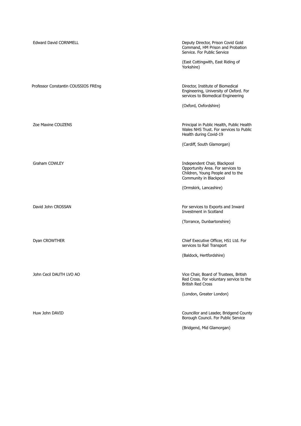| <b>Edward David CORNMELL</b>        | Deputy Director, Prison Covid Gold<br>Command, HM Prison and Probation<br>Service. For Public Service                            |
|-------------------------------------|----------------------------------------------------------------------------------------------------------------------------------|
|                                     | (East Cottingwith, East Riding of<br>Yorkshire)                                                                                  |
| Professor Constantin COUSSIOS FREng | Director, Institute of Biomedical<br>Engineering, University of Oxford. For<br>services to Biomedical Engineering                |
|                                     | (Oxford, Oxfordshire)                                                                                                            |
| Zoe Maxine COUZENS                  | Principal in Public Health, Public Health<br>Wales NHS Trust. For services to Public<br>Health during Covid-19                   |
|                                     | (Cardiff, South Glamorgan)                                                                                                       |
|                                     |                                                                                                                                  |
| Graham COWLEY                       | Independent Chair, Blackpool<br>Opportunity Area. For services to<br>Children, Young People and to the<br>Community in Blackpool |
|                                     | (Ormskirk, Lancashire)                                                                                                           |
|                                     |                                                                                                                                  |
| David John CROSSAN                  | For services to Exports and Inward<br>Investment in Scotland                                                                     |
|                                     | (Torrance, Dunbartonshire)                                                                                                       |
| Dyan CROWTHER                       | Chief Executive Officer, HS1 Ltd. For                                                                                            |
|                                     | services to Rail Transport                                                                                                       |
|                                     | (Baldock, Hertfordshire)                                                                                                         |
| John Cecil DAUTH LVO AO             | Vice Chair, Board of Trustees, British                                                                                           |
|                                     | Red Cross. For voluntary service to the<br><b>British Red Cross</b>                                                              |
|                                     | (London, Greater London)                                                                                                         |
|                                     |                                                                                                                                  |
| Huw John DAVID                      | Councillor and Leader, Bridgend County<br>Borough Council. For Public Service                                                    |
|                                     | (Bridgend, Mid Glamorgan)                                                                                                        |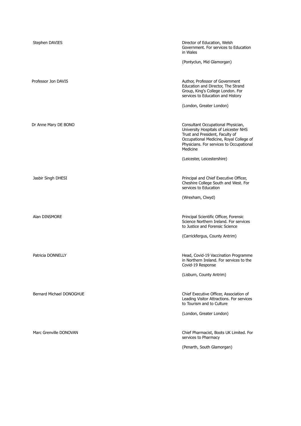| Stephen DAVIES           | Director of Education, Welsh<br>Government. For services to Education<br>in Wales                                                                                                                                 |
|--------------------------|-------------------------------------------------------------------------------------------------------------------------------------------------------------------------------------------------------------------|
|                          | (Pontyclun, Mid Glamorgan)                                                                                                                                                                                        |
| Professor Jon DAVIS      | Author, Professor of Government<br>Education and Director, The Strand<br>Group, King's College London. For<br>services to Education and History                                                                   |
|                          | (London, Greater London)                                                                                                                                                                                          |
| Dr Anne Mary DE BONO     | Consultant Occupational Physician,<br>University Hospitals of Leicester NHS<br>Trust and President, Faculty of<br>Occupational Medicine, Royal College of<br>Physicians. For services to Occupational<br>Medicine |
|                          | (Leicester, Leicestershire)                                                                                                                                                                                       |
| Jasbir Singh DHESI       | Principal and Chief Executive Officer,<br>Cheshire College South and West. For<br>services to Education                                                                                                           |
|                          | (Wrexham, Clwyd)                                                                                                                                                                                                  |
| Alan DINSMORE            | Principal Scientific Officer, Forensic<br>Science Northern Ireland. For services<br>to Justice and Forensic Science                                                                                               |
|                          | (Carrickfergus, County Antrim)                                                                                                                                                                                    |
| Patricia DONNELLY        | Head, Covid-19 Vaccination Programme<br>in Northern Ireland. For services to the<br>Covid-19 Response                                                                                                             |
|                          | (Lisburn, County Antrim)                                                                                                                                                                                          |
| Bernard Michael DONOGHUE | Chief Executive Officer, Association of<br>Leading Visitor Attractions. For services<br>to Tourism and to Culture                                                                                                 |
|                          | (London, Greater London)                                                                                                                                                                                          |
| Marc Grenville DONOVAN   | Chief Pharmacist, Boots UK Limited. For<br>services to Pharmacy                                                                                                                                                   |
|                          | (Penarth, South Glamorgan)                                                                                                                                                                                        |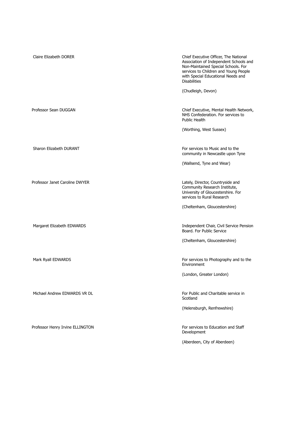| Claire Elizabeth DORER           | Chief Executive Officer, The National<br>Association of Independent Schools and<br>Non-Maintained Special Schools. For<br>services to Children and Young People<br>with Special Educational Needs and<br><b>Disabilities</b> |
|----------------------------------|------------------------------------------------------------------------------------------------------------------------------------------------------------------------------------------------------------------------------|
|                                  | (Chudleigh, Devon)                                                                                                                                                                                                           |
| Professor Sean DUGGAN            | Chief Executive, Mental Health Network,<br>NHS Confederation. For services to<br>Public Health                                                                                                                               |
|                                  | (Worthing, West Sussex)                                                                                                                                                                                                      |
| Sharon Elizabeth DURANT          | For services to Music and to the<br>community in Newcastle upon Tyne                                                                                                                                                         |
|                                  | (Wallsend, Tyne and Wear)                                                                                                                                                                                                    |
| Professor Janet Caroline DWYER   | Lately, Director, Countryside and<br>Community Research Institute,<br>University of Gloucestershire. For<br>services to Rural Research                                                                                       |
|                                  | (Cheltenham, Gloucestershire)                                                                                                                                                                                                |
| Margaret Elizabeth EDWARDS       | Independent Chair, Civil Service Pension<br>Board. For Public Service                                                                                                                                                        |
|                                  | (Cheltenham, Gloucestershire)                                                                                                                                                                                                |
| Mark Ryall EDWARDS               | For services to Photography and to the<br>Environment                                                                                                                                                                        |
|                                  | (London, Greater London)                                                                                                                                                                                                     |
| Michael Andrew EDWARDS VR DL     | For Public and Charitable service in<br>Scotland                                                                                                                                                                             |
|                                  | (Helensburgh, Renfrewshire)                                                                                                                                                                                                  |
| Professor Henry Irvine ELLINGTON | For services to Education and Staff<br>Development                                                                                                                                                                           |
|                                  | (Aberdeen, City of Aberdeen)                                                                                                                                                                                                 |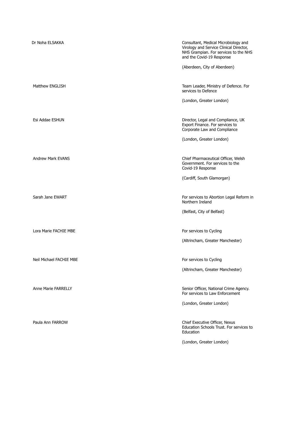| Dr Noha ELSAKKA          | Consultant, Medical Microbiology and<br>Virology and Service Clinical Director,<br>NHS Grampian. For services to the NHS<br>and the Covid-19 Response |
|--------------------------|-------------------------------------------------------------------------------------------------------------------------------------------------------|
|                          | (Aberdeen, City of Aberdeen)                                                                                                                          |
| Matthew ENGLISH          | Team Leader, Ministry of Defence. For<br>services to Defence                                                                                          |
|                          | (London, Greater London)                                                                                                                              |
| Esi Addae ESHUN          | Director, Legal and Compliance, UK<br>Export Finance. For services to<br>Corporate Law and Compliance                                                 |
|                          | (London, Greater London)                                                                                                                              |
| <b>Andrew Mark EVANS</b> | Chief Pharmaceutical Officer, Welsh<br>Government. For services to the<br>Covid-19 Response                                                           |
|                          | (Cardiff, South Glamorgan)                                                                                                                            |
| Sarah Jane EWART         | For services to Abortion Legal Reform in<br>Northern Ireland                                                                                          |
|                          | (Belfast, City of Belfast)                                                                                                                            |
| Lora Marie FACHIE MBE    | For services to Cycling                                                                                                                               |
|                          | (Altrincham, Greater Manchester)                                                                                                                      |
| Neil Michael FACHIE MBE  | For services to Cycling                                                                                                                               |
|                          | (Altrincham, Greater Manchester)                                                                                                                      |
|                          |                                                                                                                                                       |
| Anne Marie FARRELLY      | Senior Officer, National Crime Agency.<br>For services to Law Enforcement                                                                             |
|                          | (London, Greater London)                                                                                                                              |
| Paula Ann FARROW         | Chief Executive Officer, Nexus<br>Education Schools Trust. For services to<br>Education                                                               |
|                          | (London, Greater London)                                                                                                                              |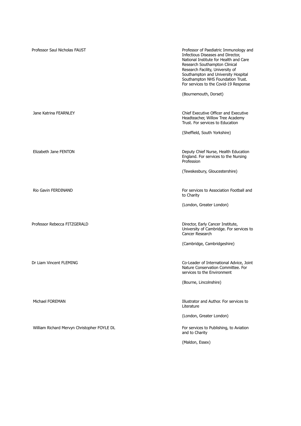| Professor Saul Nicholas FAUST               | Professor of Paediatric Immunology and<br>Infectious Diseases and Director,<br>National Institute for Health and Care<br>Research Southampton Clinical<br>Research Facility, University of<br>Southampton and University Hospital<br>Southampton NHS Foundation Trust.<br>For services to the Covid-19 Response |
|---------------------------------------------|-----------------------------------------------------------------------------------------------------------------------------------------------------------------------------------------------------------------------------------------------------------------------------------------------------------------|
|                                             | (Bournemouth, Dorset)                                                                                                                                                                                                                                                                                           |
| Jane Katrina FEARNLEY                       | Chief Executive Officer and Executive<br>Headteacher, Willow Tree Academy<br>Trust. For services to Education                                                                                                                                                                                                   |
|                                             | (Sheffield, South Yorkshire)                                                                                                                                                                                                                                                                                    |
|                                             |                                                                                                                                                                                                                                                                                                                 |
| Elizabeth Jane FENTON                       | Deputy Chief Nurse, Health Education<br>England. For services to the Nursing<br>Profession                                                                                                                                                                                                                      |
|                                             | (Tewskesbury, Gloucestershire)                                                                                                                                                                                                                                                                                  |
|                                             |                                                                                                                                                                                                                                                                                                                 |
| Rio Gavin FERDINAND                         | For services to Association Football and<br>to Charity                                                                                                                                                                                                                                                          |
|                                             | (London, Greater London)                                                                                                                                                                                                                                                                                        |
|                                             |                                                                                                                                                                                                                                                                                                                 |
| Professor Rebecca FITZGERALD                | Director, Early Cancer Institute,<br>University of Cambridge. For services to<br>Cancer Research                                                                                                                                                                                                                |
|                                             | (Cambridge, Cambridgeshire)                                                                                                                                                                                                                                                                                     |
|                                             |                                                                                                                                                                                                                                                                                                                 |
| Dr Liam Vincent FLEMING                     | Co-Leader of International Advice, Joint<br>Nature Conservation Committee. For<br>services to the Environment                                                                                                                                                                                                   |
|                                             | (Bourne, Lincolnshire)                                                                                                                                                                                                                                                                                          |
|                                             |                                                                                                                                                                                                                                                                                                                 |
| Michael FOREMAN                             | Illustrator and Author. For services to<br>Literature                                                                                                                                                                                                                                                           |
|                                             | (London, Greater London)                                                                                                                                                                                                                                                                                        |
| William Richard Mervyn Christopher FOYLE DL | For services to Publishing, to Aviation<br>and to Charity                                                                                                                                                                                                                                                       |
|                                             | (Maldon, Essex)                                                                                                                                                                                                                                                                                                 |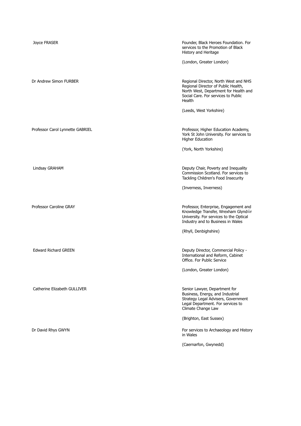| Joyce FRASER                     | Founder, Black Heroes Foundation. For<br>services to the Promotion of Black<br>History and Heritage                                                                    |
|----------------------------------|------------------------------------------------------------------------------------------------------------------------------------------------------------------------|
|                                  | (London, Greater London)                                                                                                                                               |
| Dr Andrew Simon FURBER           | Regional Director, North West and NHS<br>Regional Director of Public Health,<br>North West, Department for Health and<br>Social Care. For services to Public<br>Health |
|                                  | (Leeds, West Yorkshire)                                                                                                                                                |
| Professor Carol Lynnette GABRIEL | Professor, Higher Education Academy,<br>York St John University. For services to<br><b>Higher Education</b>                                                            |
|                                  | (York, North Yorkshire)                                                                                                                                                |
| Lindsay GRAHAM                   | Deputy Chair, Poverty and Inequality<br>Commission Scotland. For services to<br>Tackling Children's Food Insecurity                                                    |
|                                  | (Inverness, Inverness)                                                                                                                                                 |
| Professor Caroline GRAY          | Professor, Enterprise, Engagement and<br>Knowledge Transfer, Wrexham Glyndŵr<br>University. For services to the Optical<br>Industry and to Business in Wales           |
|                                  | (Rhyll, Denbighshire)                                                                                                                                                  |
| <b>Edward Richard GREEN</b>      | Deputy Director, Commercial Policy -<br>International and Reform, Cabinet<br>Office. For Public Service                                                                |
|                                  | (London, Greater London)                                                                                                                                               |
| Catherine Elizabeth GULLIVER     | Senior Lawyer, Department for<br>Business, Energy, and Industrial<br>Strategy Legal Advisers, Government<br>Legal Department. For services to<br>Climate Change Law    |
|                                  | (Brighton, East Sussex)                                                                                                                                                |
| Dr David Rhys GWYN               | For services to Archaeology and History<br>in Wales                                                                                                                    |
|                                  | (Caernarfon, Gwynedd)                                                                                                                                                  |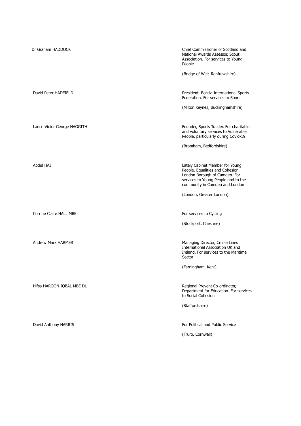| Dr Graham HADDOCK           | Chief Commissioner of Scotland and<br>National Awards Assessor, Scout<br>Association. For services to Young<br>People                                                         |
|-----------------------------|-------------------------------------------------------------------------------------------------------------------------------------------------------------------------------|
|                             | (Bridge of Weir, Renfrewshire)                                                                                                                                                |
| David Peter HADFIELD        | President, Boccia International Sports<br>Federation. For services to Sport                                                                                                   |
|                             | (Milton Keynes, Buckinghamshire)                                                                                                                                              |
| Lance Victor George HAGGITH | Founder, Sports Traider. For charitable<br>and voluntary services to Vulnerable<br>People, particularly during Covid-19                                                       |
|                             | (Bromham, Bedfordshire)                                                                                                                                                       |
| Abdul HAI                   | Lately Cabinet Member for Young<br>People, Equalities and Cohesion,<br>London Borough of Camden. For<br>services to Young People and to the<br>community in Camden and London |
|                             | (London, Greater London)                                                                                                                                                      |
| Corrine Claire HALL MBE     | For services to Cycling                                                                                                                                                       |
|                             | (Stockport, Cheshire)                                                                                                                                                         |
| <b>Andrew Mark HARMER</b>   | Managing Director, Cruise Lines<br>International Association UK and<br>Ireland. For services to the Maritime<br>Sector                                                        |
|                             | (Farningham, Kent)                                                                                                                                                            |
| Hifsa HAROON-IQBAL MBE DL   | Regional Prevent Co-ordinator,<br>Department for Education. For services<br>to Social Cohesion                                                                                |
|                             | (Staffordshire)                                                                                                                                                               |
| David Anthony HARRIS        | For Political and Public Service                                                                                                                                              |
|                             | (Truro, Cornwall)                                                                                                                                                             |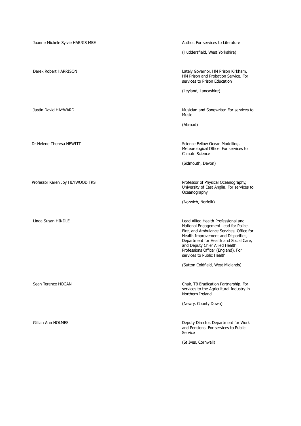| Joanne Michèle Sylvie HARRIS MBE | Author. For services to Literature                                                                                                                                                                                                                                                                            |
|----------------------------------|---------------------------------------------------------------------------------------------------------------------------------------------------------------------------------------------------------------------------------------------------------------------------------------------------------------|
|                                  | (Huddersfield, West Yorkshire)                                                                                                                                                                                                                                                                                |
| Derek Robert HARRISON            | Lately Governor, HM Prison Kirkham,<br>HM Prison and Probation Service. For<br>services to Prison Education                                                                                                                                                                                                   |
|                                  | (Leyland, Lancashire)                                                                                                                                                                                                                                                                                         |
| Justin David HAYWARD             | Musician and Songwriter. For services to<br><b>Music</b>                                                                                                                                                                                                                                                      |
|                                  | (Abroad)                                                                                                                                                                                                                                                                                                      |
| Dr Helene Theresa HFWITT         | Science Fellow Ocean Modelling,<br>Meteorological Office. For services to<br>Climate Science                                                                                                                                                                                                                  |
|                                  | (Sidmouth, Devon)                                                                                                                                                                                                                                                                                             |
| Professor Karen Joy HEYWOOD FRS  | Professor of Physical Oceanography,<br>University of East Anglia. For services to<br>Oceanography                                                                                                                                                                                                             |
|                                  | (Norwich, Norfolk)                                                                                                                                                                                                                                                                                            |
| Linda Susan HINDLE               | Lead Allied Health Professional and<br>National Engagement Lead for Police,<br>Fire, and Ambulance Services, Office for<br>Health Improvement and Disparities,<br>Department for Health and Social Care,<br>and Deputy Chief Allied Health<br>Professions Officer (England). For<br>services to Public Health |
|                                  | (Sutton Coldfield, West Midlands)                                                                                                                                                                                                                                                                             |
| Sean Terence HOGAN               | Chair, TB Eradication Partnership. For<br>services to the Agricultural Industry in<br>Northern Ireland                                                                                                                                                                                                        |
|                                  | (Newry, County Down)                                                                                                                                                                                                                                                                                          |
| Gillian Ann HOLMES               | Deputy Director, Department for Work<br>and Pensions. For services to Public<br>Service                                                                                                                                                                                                                       |
|                                  | (St Ives, Cornwall)                                                                                                                                                                                                                                                                                           |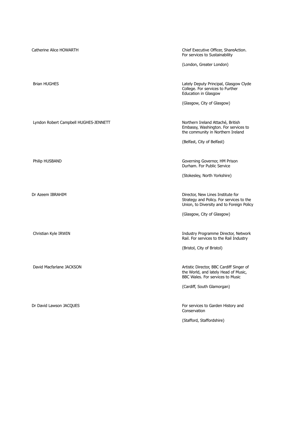| Catherine Alice HOWARTH               | Chief Executive Officer, ShareAction.<br>For services to Sustainability                                                    |
|---------------------------------------|----------------------------------------------------------------------------------------------------------------------------|
|                                       | (London, Greater London)                                                                                                   |
| <b>Brian HUGHES</b>                   | Lately Deputy Principal, Glasgow Clyde<br>College. For services to Further<br>Education in Glasgow                         |
|                                       | (Glasgow, City of Glasgow)                                                                                                 |
| Lyndon Robert Campbell HUGHES-JENNETT | Northern Ireland Attaché, British<br>Embassy, Washington. For services to<br>the community in Northern Ireland             |
|                                       | (Belfast, City of Belfast)                                                                                                 |
| Philip HUSBAND                        | Governing Governor, HM Prison<br>Durham. For Public Service                                                                |
|                                       | (Stokesley, North Yorkshire)                                                                                               |
| Dr Azeem IBRAHIM                      | Director, New Lines Institute for<br>Strategy and Policy. For services to the<br>Union, to Diversity and to Foreign Policy |
|                                       | (Glasgow, City of Glasgow)                                                                                                 |
| Christian Kyle IRWIN                  | Industry Programme Director, Network<br>Rail. For services to the Rail Industry                                            |
|                                       | (Bristol, City of Bristol)                                                                                                 |
| David Macfarlane JACKSON              | Artistic Director, BBC Cardiff Singer of<br>the World, and lately Head of Music,<br>BBC Wales. For services to Music       |
|                                       | (Cardiff, South Glamorgan)                                                                                                 |
| Dr David Lawson JACQUES               | For services to Garden History and<br>Conservation                                                                         |
|                                       | (Stafford, Staffordshire)                                                                                                  |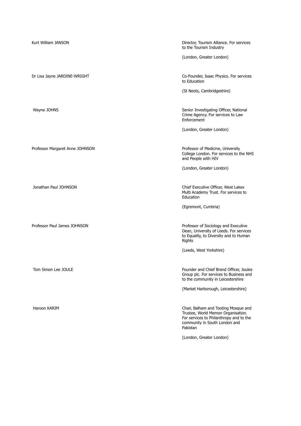| Kurt William JANSON             | Director, Tourism Alliance. For services<br>to the Tourism Industry                                                                                                |
|---------------------------------|--------------------------------------------------------------------------------------------------------------------------------------------------------------------|
|                                 | (London, Greater London)                                                                                                                                           |
| Dr Lisa Jayne JARDINE-WRIGHT    | Co-Founder, Isaac Physics. For services<br>to Education                                                                                                            |
|                                 | (St Neots, Cambridgeshire)                                                                                                                                         |
| Wayne JOHNS                     | Senior Investigating Officer, National<br>Crime Agency. For services to Law<br>Enforcement                                                                         |
|                                 | (London, Greater London)                                                                                                                                           |
| Professor Margaret Anne JOHNSON | Professor of Medicine, University<br>College London. For services to the NHS<br>and People with HIV                                                                |
|                                 | (London, Greater London)                                                                                                                                           |
| Jonathan Paul JOHNSON           | Chief Executive Officer, West Lakes<br>Multi Academy Trust. For services to<br>Education                                                                           |
|                                 | (Egremont, Cumbria)                                                                                                                                                |
| Professor Paul James JOHNSON    | Professor of Sociology and Executive<br>Dean, University of Leeds. For services<br>to Equality, to Diversity and to Human<br>Rights                                |
|                                 | (Leeds, West Yorkshire)                                                                                                                                            |
| Tom Simon Lee JOULE             | Founder and Chief Brand Officer, Joules<br>Group plc. For services to Business and<br>to the community in Leicestershire                                           |
|                                 | (Market Harborough, Leicestershire)                                                                                                                                |
| Haroon KARIM                    | Chair, Balham and Tooting Mosque and<br>Trustee, World Memon Organisation.<br>For services to Philanthropy and to the<br>community in South London and<br>Pakistan |
|                                 | (London, Greater London)                                                                                                                                           |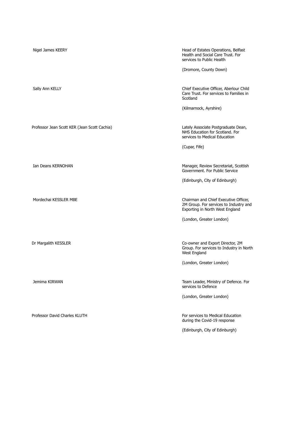| Nigel James KEERY                            | Head of Estates Operations, Belfast<br>Health and Social Care Trust. For<br>services to Public Health<br>(Dromore, County Down) |
|----------------------------------------------|---------------------------------------------------------------------------------------------------------------------------------|
| Sally Ann KELLY                              | Chief Executive Officer, Aberlour Child<br>Care Trust. For services to Families in<br>Scotland<br>(Kilmarnock, Ayrshire)        |
|                                              |                                                                                                                                 |
| Professor Jean Scott KER (Jean Scott Cachia) | Lately Associate Postgraduate Dean,<br>NHS Education for Scotland. For<br>services to Medical Education                         |
|                                              | (Cupar, Fife)                                                                                                                   |
|                                              |                                                                                                                                 |
| Ian Deans KERNOHAN                           | Manager, Review Secretariat, Scottish<br>Government, For Public Service                                                         |
|                                              | (Edinburgh, City of Edinburgh)                                                                                                  |
| Mordechai KESSLER MBE                        | Chairman and Chief Executive Officer,<br>2M Group. For services to Industry and<br>Exporting in North West England              |
|                                              | (London, Greater London)                                                                                                        |
|                                              |                                                                                                                                 |
| Dr Margalith KESSLER                         | Co-owner and Export Director, 2M<br>Group. For services to Industry in North<br>West England                                    |
|                                              | (London, Greater London)                                                                                                        |
|                                              |                                                                                                                                 |
| Jemima KIRWAN                                | Team Leader, Ministry of Defence. For<br>services to Defence                                                                    |
|                                              | (London, Greater London)                                                                                                        |
| Professor David Charles KLUTH                | For services to Medical Education<br>during the Covid-19 response                                                               |
|                                              | (Edinburgh, City of Edinburgh)                                                                                                  |
|                                              |                                                                                                                                 |
|                                              |                                                                                                                                 |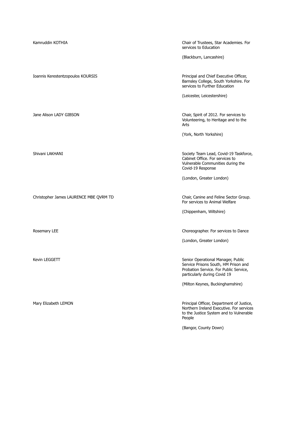| Kamruddin KOTHIA                       | Chair of Trustees, Star Academies. For<br>services to Education                                                                                      |
|----------------------------------------|------------------------------------------------------------------------------------------------------------------------------------------------------|
|                                        | (Blackburn, Lancashire)                                                                                                                              |
| Ioannis Kerestentzopoulos KOURSIS      | Principal and Chief Executive Officer,<br>Barnsley College, South Yorkshire. For<br>services to Further Education                                    |
|                                        | (Leicester, Leicestershire)                                                                                                                          |
| Jane Alison LADY GIBSON                | Chair, Spirit of 2012. For services to<br>Volunteering, to Heritage and to the<br>Arts                                                               |
|                                        | (York, North Yorkshire)                                                                                                                              |
| Shivani LAKHANI                        | Society Team Lead, Covid-19 Taskforce,<br>Cabinet Office. For services to<br>Vulnerable Communities during the<br>Covid-19 Response                  |
|                                        | (London, Greater London)                                                                                                                             |
| Christopher James LAURENCE MBE QVRM TD | Chair, Canine and Feline Sector Group.<br>For services to Animal Welfare                                                                             |
|                                        | (Chippenham, Wiltshire)                                                                                                                              |
| Rosemary LEE                           | Choreographer. For services to Dance                                                                                                                 |
|                                        | (London, Greater London)                                                                                                                             |
| Kevin LEGGETT                          | Senior Operational Manager, Public<br>Service Prisons South, HM Prison and<br>Probation Service. For Public Service,<br>particularly during Covid 19 |
|                                        | (Milton Keynes, Buckinghamshire)                                                                                                                     |
| Mary Elizabeth LEMON                   | Principal Officer, Department of Justice,<br>Northern Ireland Executive. For services<br>to the Justice System and to Vulnerable<br>People           |
|                                        | (Bangor, County Down)                                                                                                                                |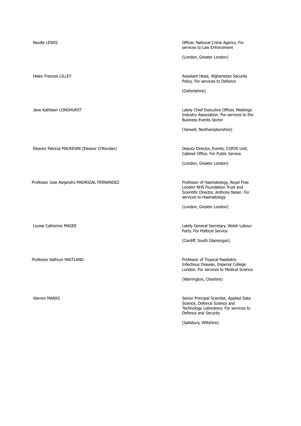Eleanor Patricia MACKEWN (Eleanor O'Riordan) Deputy Director, Events, COP26 Unit,

Professor Jose Alejandro MADRIGAL FERNANDEZ Professor of Haematology, Royal Free

Neville LEWIS **New Struck LEWIS Neville LEWIS Officer, National Crime Agency. For** services to Law Enforcement

(London, Greater London)

Helen Frances LILLEY Assistant Head, Afghanistan Security Policy. For services to Defence

(Oxfordshire)

Jane Kathleen LONGHURST Lately Chief Executive Officer, Meetings Industry Association. For services to the Business Events Sector

(Yarwell, Northamptonshire)

Cabinet Office. For Public Service

(London, Greater London)

London NHS Foundation Trust and Scientific Director, Anthony Nolan. For services to Haematology

(London, Greater London)

Louise Catherine MAGEE Lately General Secretary, Welsh Labour Party. For Political Service

(Cardiff, South Glamorgan)

Professor Kathryn MAITLAND **Professor Stationary Professor of Tropical Paediatric** Infectious Disease, Imperial College London. For services to Medical Science

(Warrington, Cheshire)

Warren MARKS Senior Principal Scientist, Applied Data Science, Defence Science and Technology Laboratory. For services to Defence and Security

(Salisbury, Wiltshire)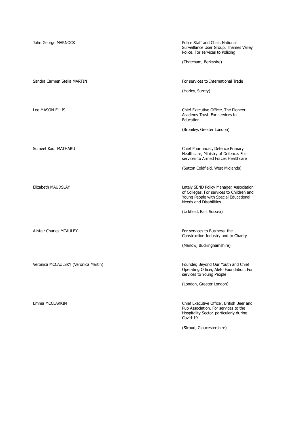| John George MARNOCK                  | Police Staff and Chair, National<br>Surveillance User Group, Thames Valley<br>Police. For services to Policing                                                 |
|--------------------------------------|----------------------------------------------------------------------------------------------------------------------------------------------------------------|
|                                      | (Thatcham, Berkshire)                                                                                                                                          |
| Sandra Carmen Stella MARTIN          | For services to International Trade                                                                                                                            |
|                                      | (Horley, Surrey)                                                                                                                                               |
| Lee MASON-ELLIS                      | Chief Executive Officer, The Pioneer<br>Academy Trust. For services to<br>Education                                                                            |
|                                      | (Bromley, Greater London)                                                                                                                                      |
| Sumeet Kaur MATHARU                  | Chief Pharmacist, Defence Primary<br>Healthcare, Ministry of Defence. For<br>services to Armed Forces Healthcare                                               |
|                                      | (Sutton Coldfield, West Midlands)                                                                                                                              |
| Elizabeth MAUDSLAY                   | Lately SEND Policy Manager, Association<br>of Colleges. For services to Children and<br>Young People with Special Educational<br><b>Needs and Disabilities</b> |
|                                      | (Uckfield, East Sussex)                                                                                                                                        |
| Alistair Charles MCAULEY             | For services to Business, the<br>Construction Industry and to Charity                                                                                          |
|                                      | (Marlow, Buckinghamshire)                                                                                                                                      |
| Veronica MCCAULSKY (Veronica Martin) | Founder, Beyond Our Youth and Chief<br>Operating Officer, Aleto Foundation. For<br>services to Young People                                                    |
|                                      | (London, Greater London)                                                                                                                                       |
| Emma MCCLARKIN                       | Chief Executive Officer, British Beer and<br>Pub Association. For services to the<br>Hospitality Sector, particularly during<br>Covid-19                       |
|                                      | (Stroud, Gloucestershire)                                                                                                                                      |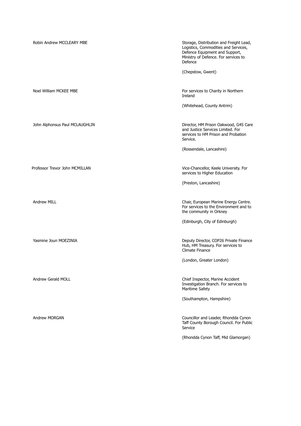| Robin Andrew MCCLEARY MBE      | Storage, Distribution and Freight Lead,<br>Logistics, Commodities and Services,<br>Defence Equipment and Support,<br>Ministry of Defence. For services to<br>Defence |
|--------------------------------|----------------------------------------------------------------------------------------------------------------------------------------------------------------------|
|                                | (Chepstow, Gwent)                                                                                                                                                    |
| Noel William MCKEE MBE         | For services to Charity in Northern<br>Ireland                                                                                                                       |
|                                | (Whitehead, County Antrim)                                                                                                                                           |
| John Alphonsus Paul MCLAUGHLIN | Director, HM Prison Oakwood, G4S Care<br>and Justice Services Limited. For<br>services to HM Prison and Probation<br>Service.                                        |
|                                | (Rossendale, Lancashire)                                                                                                                                             |
| Professor Trevor John MCMILLAN | Vice-Chancellor, Keele University. For<br>services to Higher Education                                                                                               |
|                                | (Preston, Lancashire)                                                                                                                                                |
| <b>Andrew MILL</b>             | Chair, European Marine Energy Centre.<br>For services to the Environment and to<br>the community in Orkney                                                           |
|                                | (Edinburgh, City of Edinburgh)                                                                                                                                       |
| Yasmine Joun MOEZINIA          | Deputy Director, COP26 Private Finance<br>Hub, HM Treasury. For services to<br><b>Climate Finance</b>                                                                |
|                                | (London, Greater London)                                                                                                                                             |
| Andrew Gerald MOLL             | Chief Inspector, Marine Accident<br>Investigation Branch. For services to<br>Maritime Safety                                                                         |
|                                | (Southampton, Hampshire)                                                                                                                                             |
| Andrew MORGAN                  | Councillor and Leader, Rhondda Cynon<br>Taff County Borough Council. For Public<br>Service                                                                           |
|                                | (Rhondda Cynon Taff, Mid Glamorgan)                                                                                                                                  |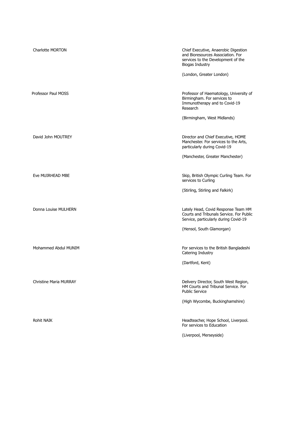| <b>Charlotte MORTON</b>       | Chief Executive, Anaerobic Digestion<br>and Bioresources Association. For<br>services to the Development of the<br><b>Biogas Industry</b><br>(London, Greater London) |
|-------------------------------|-----------------------------------------------------------------------------------------------------------------------------------------------------------------------|
| Professor Paul MOSS           | Professor of Haematology, University of<br>Birmingham. For services to<br>Immunotherapy and to Covid-19<br>Research<br>(Birmingham, West Midlands)                    |
| David John MOUTREY            | Director and Chief Executive, HOME<br>Manchester. For services to the Arts,<br>particularly during Covid-19<br>(Manchester, Greater Manchester)                       |
| Eve MUIRHEAD MBE              | Skip, British Olympic Curling Team. For<br>services to Curling<br>(Stirling, Stirling and Falkirk)                                                                    |
| Donna Louise MULHERN          | Lately Head, Covid Response Team HM<br>Courts and Tribunals Service. For Public<br>Service, particularly during Covid-19<br>(Hensol, South Glamorgan)                 |
| Mohammed Abdul MUNIM          | For services to the British Bangladeshi<br>Catering Industry<br>(Dartford, Kent)                                                                                      |
| <b>Christine Maria MURRAY</b> | Delivery Director, South West Region,<br>HM Courts and Tribunal Service. For<br><b>Public Service</b><br>(High Wycombe, Buckinghamshire)                              |
| <b>Rohit NAIK</b>             | Headteacher, Hope School, Liverpool.<br>For services to Education<br>(Liverpool, Merseyside)                                                                          |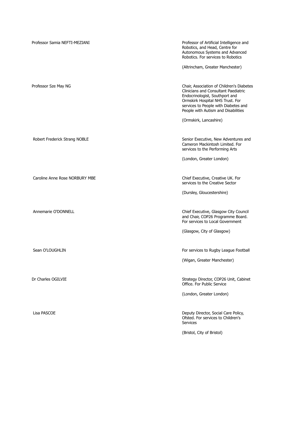| Professor Samia NEFTI-MEZIANI  | Professor of Artificial Intelligence and<br>Robotics, and Head, Centre for<br>Autonomous Systems and Advanced<br>Robotics. For services to Robotics<br>(Altrincham, Greater Manchester)                                                                          |
|--------------------------------|------------------------------------------------------------------------------------------------------------------------------------------------------------------------------------------------------------------------------------------------------------------|
| Professor Sze May NG           | Chair, Association of Children's Diabetes<br>Clinicians and Consultant Paediatric<br>Endocrinologist, Southport and<br>Ormskirk Hospital NHS Trust. For<br>services to People with Diabetes and<br>People with Autism and Disabilities<br>(Ormskirk, Lancashire) |
| Robert Frederick Strang NOBLE  | Senior Executive, New Adventures and<br>Cameron Mackintosh Limited. For<br>services to the Performing Arts<br>(London, Greater London)                                                                                                                           |
| Caroline Anne Rose NORBURY MBE | Chief Executive, Creative UK. For<br>services to the Creative Sector<br>(Dursley, Gloucestershire)                                                                                                                                                               |
| Annemarie O'DONNELL            | Chief Executive, Glasgow City Council<br>and Chair, COP26 Programme Board.<br>For services to Local Government<br>(Glasgow, City of Glasgow)                                                                                                                     |
| Sean O'LOUGHLIN                | For services to Rugby League Football<br>(Wigan, Greater Manchester)                                                                                                                                                                                             |
| Dr Charles OGILVIE             | Strategy Director, COP26 Unit, Cabinet<br>Office. For Public Service<br>(London, Greater London)                                                                                                                                                                 |
| Lisa PASCOE                    | Deputy Director, Social Care Policy,<br>Ofsted. For services to Children's<br><b>Services</b><br>(Bristol, City of Bristol)                                                                                                                                      |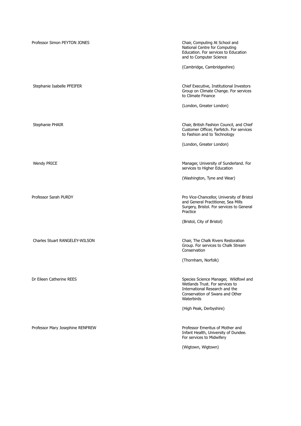| Professor Simon PEYTON JONES     | Chair, Computing At School and<br>National Centre for Computing<br>Education. For services to Education<br>and to Computer Science                          |
|----------------------------------|-------------------------------------------------------------------------------------------------------------------------------------------------------------|
|                                  | (Cambridge, Cambridgeshire)                                                                                                                                 |
| Stephanie Isabelle PFEIFER       | Chief Executive, Institutional Investors<br>Group on Climate Change. For services<br>to Climate Finance                                                     |
|                                  | (London, Greater London)                                                                                                                                    |
| Stephanie PHAIR                  | Chair, British Fashion Council, and Chief<br>Customer Officer, Farfetch. For services<br>to Fashion and to Technology                                       |
|                                  | (London, Greater London)                                                                                                                                    |
| Wendy PRICE                      | Manager, University of Sunderland. For<br>services to Higher Education                                                                                      |
|                                  | (Washington, Tyne and Wear)                                                                                                                                 |
| Professor Sarah PURDY            | Pro Vice-Chancellor, University of Bristol<br>and General Practitioner, Sea Mills<br>Surgery, Bristol. For services to General<br>Practice                  |
|                                  | (Bristol, City of Bristol)                                                                                                                                  |
| Charles Stuart RANGELEY-WILSON   | Chair, The Chalk Rivers Restoration<br>Group. For services to Chalk Stream<br>Conservation                                                                  |
|                                  | (Thornham, Norfolk)                                                                                                                                         |
| Dr Eileen Catherine REES         | Species Science Manager, Wildfowl and<br>Wetlands Trust. For services to<br>International Research and the<br>Conservation of Swans and Other<br>Waterbirds |
|                                  | (High Peak, Derbyshire)                                                                                                                                     |
| Professor Mary Josephine RENFREW | Professor Emeritus of Mother and<br>Infant Health, University of Dundee.<br>For services to Midwifery                                                       |
|                                  | (Wigtown, Wigtown)                                                                                                                                          |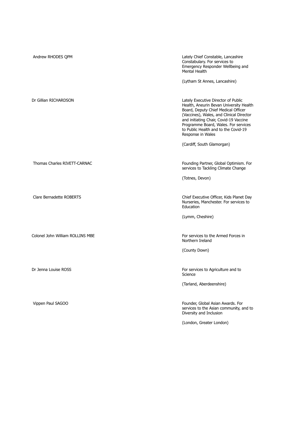| Andrew RHODES QPM                | Lately Chief Constable, Lancashire<br>Constabulary. For services to<br>Emergency Responder Wellbeing and<br>Mental Health<br>(Lytham St Annes, Lancashire)                                                                                                                                                                                     |
|----------------------------------|------------------------------------------------------------------------------------------------------------------------------------------------------------------------------------------------------------------------------------------------------------------------------------------------------------------------------------------------|
| Dr Gillian RICHARDSON            | Lately Executive Director of Public<br>Health, Aneurin Bevan University Health<br>Board, Deputy Chief Medical Officer<br>(Vaccines), Wales, and Clinical Director<br>and initiating Chair, Covid-19 Vaccine<br>Programme Board, Wales. For services<br>to Public Health and to the Covid-19<br>Response in Wales<br>(Cardiff, South Glamorgan) |
| Thomas Charles RIVETT-CARNAC     | Founding Partner, Global Optimism. For<br>services to Tackling Climate Change<br>(Totnes, Devon)                                                                                                                                                                                                                                               |
| <b>Clare Bernadette ROBERTS</b>  | Chief Executive Officer, Kids Planet Day<br>Nurseries, Manchester. For services to<br>Education<br>(Lymm, Cheshire)                                                                                                                                                                                                                            |
| Colonel John William ROLLINS MBE | For services to the Armed Forces in<br>Northern Ireland<br>(County Down)                                                                                                                                                                                                                                                                       |
| Dr Jenna Louise ROSS             | For services to Agriculture and to<br>Science<br>(Tarland, Aberdeenshire)                                                                                                                                                                                                                                                                      |
| Vippen Paul SAGOO                | Founder, Global Asian Awards. For<br>services to the Asian community, and to<br>Diversity and Inclusion<br>(London, Greater London)                                                                                                                                                                                                            |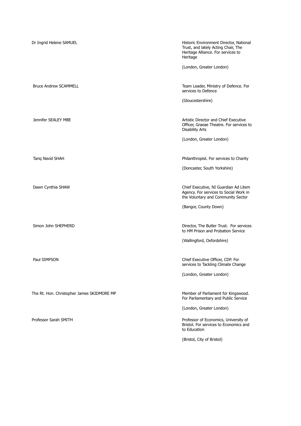| Dr Ingrid Helene SAMUEL                    | Historic Environment Director, National<br>Trust, and lately Acting Chair, The<br>Heritage Alliance. For services to<br>Heritage |
|--------------------------------------------|----------------------------------------------------------------------------------------------------------------------------------|
|                                            | (London, Greater London)                                                                                                         |
| <b>Bruce Andrew SCAMMELL</b>               | Team Leader, Ministry of Defence. For<br>services to Defence                                                                     |
|                                            | (Gloucestershire)                                                                                                                |
| Jennifer SEALEY MBE                        | Artistic Director and Chief Executive<br>Officer, Graeae Theatre. For services to<br><b>Disability Arts</b>                      |
|                                            | (London, Greater London)                                                                                                         |
| Tarig Navid SHAH                           | Philanthropist. For services to Charity                                                                                          |
|                                            | (Doncaster, South Yorkshire)                                                                                                     |
| Dawn Cynthia SHAW                          | Chief Executive, NI Guardian Ad Litem<br>Agency. For services to Social Work in<br>the Voluntary and Community Sector            |
|                                            | (Bangor, County Down)                                                                                                            |
| Simon John SHEPHERD                        | Director, The Butler Trust. For services<br>to HM Prison and Probation Service                                                   |
|                                            | (Wallingford, Oxfordshire)                                                                                                       |
| Paul SIMPSON                               | Chief Executive Officer, CDP. For<br>services to Tackling Climate Change                                                         |
|                                            | (London, Greater London)                                                                                                         |
| The Rt. Hon. Christopher James SKIDMORE MP | Member of Parliament for Kingswood.<br>For Parliamentary and Public Service                                                      |
|                                            | (London, Greater London)                                                                                                         |
| Professor Sarah SMITH                      | Professor of Economics, University of<br>Bristol. For services to Economics and<br>to Education                                  |
|                                            | (Bristol, City of Bristol)                                                                                                       |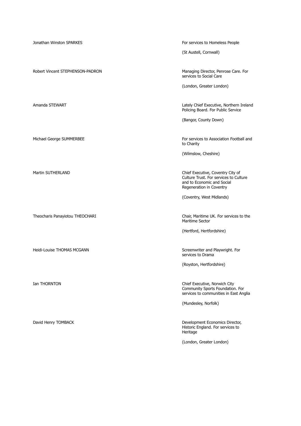Jonathan Winston SPARKES **For services to Homeless People** (St Austell, Cornwall) Robert Vincent STEPHENSON-PADRON Managing Director, Penrose Care. For services to Social Care (London, Greater London) Amanda STEWART Lately Chief Executive, Northern Ireland Policing Board. For Public Service (Bangor, County Down) Michael George SUMMERBEE For services to Association Football and to Charity (Wilmslow, Cheshire) Martin SUTHERLAND Chief Executive, Coventry City of Culture Trust. For services to Culture and to Economic and Social Regeneration in Coventry (Coventry, West Midlands) Theocharis Panayiotou THEOCHARI Chair, Maritime UK. For services to the Maritime Sector (Hertford, Hertfordshire) Heidi-Louise THOMAS MCGANN SCREEN SCREEN SCREENWRITER AND HOUSE SCREENWRITER AND HOUSE SCREENWRIGHT FOR SCREEN services to Drama (Royston, Hertfordshire) **Ian THORNTON** Chief Executive, Norwich City Community Sports Foundation. For services to communities in East Anglia (Mundesley, Norfolk) David Henry TOMBACK Development Economics Director, Historic England. For services to Heritage (London, Greater London)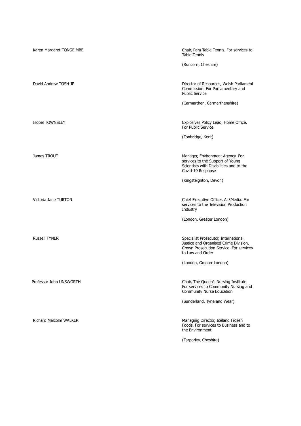| Karen Margaret TONGE MBE | Chair, Para Table Tennis. For services to<br><b>Table Tennis</b>                                                                             |
|--------------------------|----------------------------------------------------------------------------------------------------------------------------------------------|
|                          | (Runcorn, Cheshire)                                                                                                                          |
| David Andrew TOSH JP     | Director of Resources, Welsh Parliament<br>Commission. For Parliamentary and<br><b>Public Service</b>                                        |
|                          | (Carmarthen, Carmarthenshire)                                                                                                                |
| Isobel TOWNSLEY          | Explosives Policy Lead, Home Office.<br>For Public Service                                                                                   |
|                          | (Tonbridge, Kent)                                                                                                                            |
| James TROUT              | Manager, Environment Agency. For<br>services to the Support of Young<br>Scientists with Disabilities and to the<br>Covid-19 Response         |
|                          | (Kingsteignton, Devon)                                                                                                                       |
| Victoria Jane TURTON     | Chief Executive Officer, All3Media. For<br>services to the Television Production<br>Industry                                                 |
|                          | (London, Greater London)                                                                                                                     |
| <b>Russell TYNER</b>     | Specialist Prosecutor, International<br>Justice and Organised Crime Division,<br>Crown Prosecution Service. For services<br>to Law and Order |
|                          | (London, Greater London)                                                                                                                     |
| Professor John UNSWORTH  | Chair, The Queen's Nursing Institute.<br>For services to Community Nursing and<br><b>Community Nurse Education</b>                           |
|                          | (Sunderland, Tyne and Wear)                                                                                                                  |
| Richard Malcolm WALKER   | Managing Director, Iceland Frozen<br>Foods. For services to Business and to<br>the Environment                                               |
|                          | (Tarporley, Cheshire)                                                                                                                        |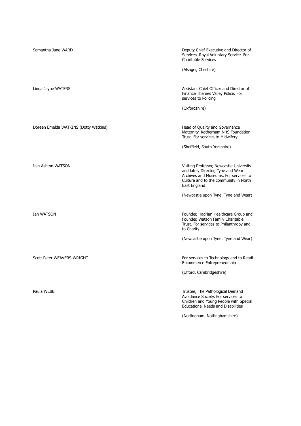| Samantha Jane WARD                    | Deputy Chief Executive and Director of<br>Services, Royal Voluntary Service. For<br><b>Charitable Services</b><br>(Alsager, Cheshire)                                                     |
|---------------------------------------|-------------------------------------------------------------------------------------------------------------------------------------------------------------------------------------------|
| Linda Jayne WATERS                    | Assistant Chief Officer and Director of<br>Finance Thames Valley Police. For<br>services to Policing<br>(Oxfordshire)                                                                     |
| Doreen Emelda WATKINS (Dotty Watkins) | Head of Quality and Governance<br>Maternity, Rotherham NHS Foundation<br>Trust. For services to Midwifery<br>(Sheffield, South Yorkshire)                                                 |
| <b>Iain Ashton WATSON</b>             | Visiting Professor, Newcastle University<br>and lately Director, Tyne and Wear<br>Archives and Museums. For services to<br>Culture and to the community in North<br>East England          |
| Ian WATSON                            | (Newcastle upon Tyne, Tyne and Wear)<br>Founder, Hadrian Healthcare Group and<br>Founder, Watson Family Charitable<br>Trust. For services to Philanthropy and<br>to Charity               |
| Scott Peter WEAVERS-WRIGHT            | (Newcastle upon Tyne, Tyne and Wear)<br>For services to Technology and to Retail<br>E-commerce Entrepreneurship                                                                           |
| Paula WEBB                            | (Ufford, Cambridgeshire)<br>Trustee, The Pathological Demand<br>Avoidance Society. For services to<br>Children and Young People with Special<br><b>Educational Needs and Disabilities</b> |
|                                       | (Nottingham, Nottinghamshire)                                                                                                                                                             |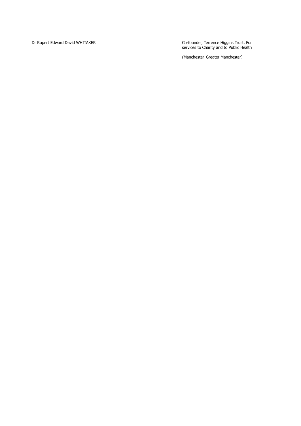Dr Rupert Edward David WHITAKER

Co-founder, Terrence Higgins Trust. For services to Charity and to Public Health

(Manchester, Greater Manchester)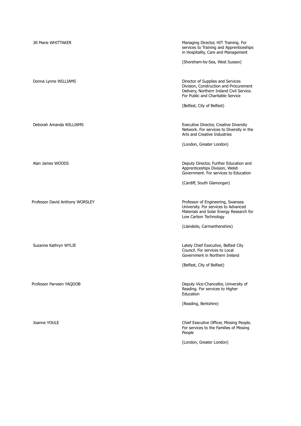| Jill Marie WHITTAKER            | Managing Director, HIT Training. For<br>services to Training and Apprenticeships<br>in Hospitality, Care and Management<br>(Shoreham-by-Sea, West Sussex)     |
|---------------------------------|---------------------------------------------------------------------------------------------------------------------------------------------------------------|
|                                 |                                                                                                                                                               |
| Donna Lynne WILLIAMS            | Director of Supplies and Services<br>Division, Construction and Procurement<br>Delivery, Northern Ireland Civil Service.<br>For Public and Charitable Service |
|                                 | (Belfast, City of Belfast)                                                                                                                                    |
| Deborah Amanda WILLIAMS         | Executive Director, Creative Diversity<br>Network. For services to Diversity in the<br>Arts and Creative Industries                                           |
|                                 | (London, Greater London)                                                                                                                                      |
| Alan James WOODS                | Deputy Director, Further Education and<br>Apprenticeships Division, Welsh<br>Government. For services to Education                                            |
|                                 | (Cardiff, South Glamorgan)                                                                                                                                    |
| Professor David Anthony WORSLEY | Professor of Engineering, Swansea<br>University. For services to Advanced<br>Materials and Solar Energy Research for<br>Low Carbon Technology                 |
|                                 | (Llandeilo, Carmarthenshire)                                                                                                                                  |
| Suzanne Kathryn WYLIE           | Lately Chief Executive, Belfast City<br>Council. For services to Local<br>Government in Northern Ireland                                                      |
|                                 | (Belfast, City of Belfast)                                                                                                                                    |
| Professor Parveen YAQOOB        | Deputy Vice-Chancellor, University of<br>Reading. For services to Higher<br>Education                                                                         |
|                                 | (Reading, Berkshire)                                                                                                                                          |
| Joanne YOULE                    | Chief Executive Officer, Missing People.<br>For services to the Families of Missing<br>People                                                                 |
|                                 | (London, Greater London)                                                                                                                                      |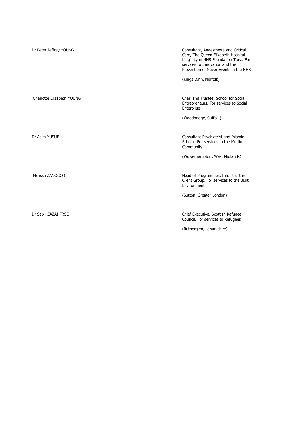| Dr Peter Jeffrey YOUNG    | Consultant, Anaesthesia and Critical<br>Care, The Queen Elizabeth Hospital<br>King's Lynn NHS Foundation Trust. For<br>services to Innovation and the<br>Prevention of Never Events in the NHS<br>(Kings Lynn, Norfolk) |
|---------------------------|-------------------------------------------------------------------------------------------------------------------------------------------------------------------------------------------------------------------------|
| Charlotte Elizabeth YOUNG | Chair and Trustee, School for Social<br>Entrepreneurs. For services to Social<br>Enterprise                                                                                                                             |
|                           | (Woodbridge, Suffolk)                                                                                                                                                                                                   |
| Dr Asim YUSUF             | Consultant Psychiatrist and Islamic<br>Scholar. For services to the Muslim<br>Community<br>(Wolverhampton, West Midlands)                                                                                               |
| Melissa ZANOCCO           | Head of Programmes, Infrastructure<br>Client Group. For services to the Built<br>Environment<br>(Sutton, Greater London)                                                                                                |
| Dr Sabir ZAZAI FRSE       | Chief Executive, Scottish Refugee<br>Council. For services to Refugees<br>(Rutherglen, Lanarkshire)                                                                                                                     |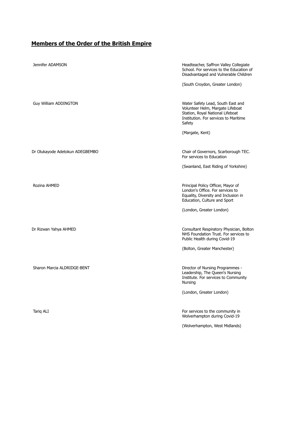## **Members of the Order of the British Empire**

| Jennifer ADAMSON                | Headteacher, Saffron Valley Collegiate<br>School. For services to the Education of<br>Disadvantaged and Vulnerable Children<br>(South Croydon, Greater London)             |
|---------------------------------|----------------------------------------------------------------------------------------------------------------------------------------------------------------------------|
| Guy William ADDINGTON           | Water Safety Lead, South East and<br>Volunteer Helm, Margate Lifeboat<br>Station, Royal National Lifeboat<br>Institution. For services to Maritime<br>Safety               |
|                                 | (Margate, Kent)                                                                                                                                                            |
| Dr Olukayode Adetokun ADEGBEMBO | Chair of Governors, Scarborough TEC.<br>For services to Education                                                                                                          |
|                                 | (Swanland, East Riding of Yorkshire)                                                                                                                                       |
| Rozina AHMED                    | Principal Policy Officer, Mayor of<br>London's Office. For services to<br>Equality, Diversity and Inclusion in<br>Education, Culture and Sport<br>(London, Greater London) |
|                                 |                                                                                                                                                                            |
| Dr Rizwan Yahya AHMED           | Consultant Respiratory Physician, Bolton<br>NHS Foundation Trust. For services to<br>Public Health during Covid-19                                                         |
|                                 | (Bolton, Greater Manchester)                                                                                                                                               |
| Sharon Marcia ALDRIDGE-BENT     | Director of Nursing Programmes -<br>Leadership, The Queen's Nursing<br>Institute. For services to Community<br>Nursing                                                     |
|                                 | (London, Greater London)                                                                                                                                                   |
| Tariq ALI                       | For services to the community in<br>Wolverhampton during Covid-19                                                                                                          |
|                                 | (Wolverhampton, West Midlands)                                                                                                                                             |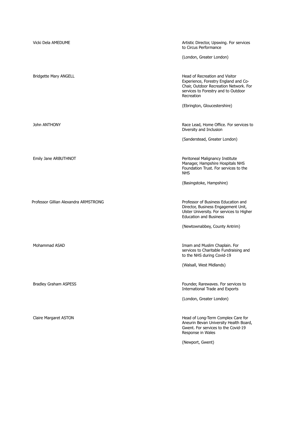| Vicki Dela AMEDUME                    | Artistic Director, Upswing. For services<br>to Circus Performance                                                                                                     |
|---------------------------------------|-----------------------------------------------------------------------------------------------------------------------------------------------------------------------|
|                                       | (London, Greater London)                                                                                                                                              |
| <b>Bridgette Mary ANGELL</b>          | Head of Recreation and Visitor<br>Experience, Forestry England and Co-<br>Chair, Outdoor Recreation Network. For<br>services to Forestry and to Outdoor<br>Recreation |
|                                       | (Ebrington, Gloucestershire)                                                                                                                                          |
| John ANTHONY                          | Race Lead, Home Office. For services to<br>Diversity and Inclusion                                                                                                    |
|                                       | (Sanderstead, Greater London)                                                                                                                                         |
| Emily Jane ARBUTHNOT                  | Peritoneal Malignancy Institute<br>Manager, Hampshire Hospitals NHS<br>Foundation Trust. For services to the<br><b>NHS</b>                                            |
|                                       | (Basingstoke, Hampshire)                                                                                                                                              |
| Professor Gillian Alexandra ARMSTRONG | Professor of Business Education and<br>Director, Business Engagement Unit,<br>Ulster University. For services to Higher<br><b>Education and Business</b>              |
|                                       | (Newtownabbey, County Antrim)                                                                                                                                         |
| Mohammad ASAD                         | Imam and Muslim Chaplain. For<br>services to Charitable Fundraising and<br>to the NHS during Covid-19                                                                 |
|                                       | (Walsall, West Midlands)                                                                                                                                              |
| <b>Bradley Graham ASPESS</b>          | Founder, Rarewaves. For services to<br><b>International Trade and Exports</b>                                                                                         |
|                                       | (London, Greater London)                                                                                                                                              |
| Claire Margaret ASTON                 | Head of Long-Term Complex Care for<br>Aneurin Bevan University Health Board,<br>Gwent. For services to the Covid-19<br>Response in Wales                              |
|                                       | (Newport, Gwent)                                                                                                                                                      |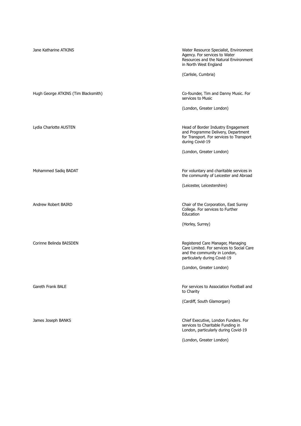| Jane Katharine ATKINS               | Water Resource Specialist, Environment<br>Agency. For services to Water<br>Resources and the Natural Environment<br>in North West England<br>(Carlisle, Cumbria) |
|-------------------------------------|------------------------------------------------------------------------------------------------------------------------------------------------------------------|
| Hugh George ATKINS (Tim Blacksmith) | Co-founder, Tim and Danny Music. For<br>services to Music                                                                                                        |
|                                     | (London, Greater London)                                                                                                                                         |
| Lydia Charlotte AUSTEN              | Head of Border Industry Engagement<br>and Programme Delivery, Department<br>for Transport. For services to Transport<br>during Covid-19                          |
|                                     | (London, Greater London)                                                                                                                                         |
| Mohammed Sadiq BADAT                | For voluntary and charitable services in<br>the community of Leicester and Abroad                                                                                |
|                                     | (Leicester, Leicestershire)                                                                                                                                      |
| Andrew Robert BAIRD                 | Chair of the Corporation, East Surrey<br>College. For services to Further<br>Education                                                                           |
|                                     | (Horley, Surrey)                                                                                                                                                 |
| Corinne Belinda BAISDEN             | Registered Care Manager, Managing<br>Care Limited. For services to Social Care<br>and the community in London,<br>particularly during Covid-19                   |
|                                     | (London, Greater London)                                                                                                                                         |
| Gareth Frank BALE                   | For services to Association Football and<br>to Charity                                                                                                           |
|                                     | (Cardiff, South Glamorgan)                                                                                                                                       |
| James Joseph BANKS                  | Chief Executive, London Funders. For<br>services to Charitable Funding in<br>London, particularly during Covid-19                                                |
|                                     | (London, Greater London)                                                                                                                                         |
|                                     |                                                                                                                                                                  |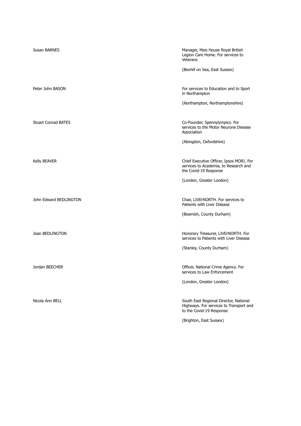| <b>Susan BARNES</b>        | Manager, Mais House Royal British<br>Legion Care Home. For services to<br>Veterans                            |
|----------------------------|---------------------------------------------------------------------------------------------------------------|
|                            | (Bexhill on Sea, East Sussex)                                                                                 |
| Peter John BASON           | For services to Education and to Sport<br>in Northampton                                                      |
|                            | (Northampton, Northamptonshire)                                                                               |
|                            |                                                                                                               |
| <b>Stuart Conrad BATES</b> | Co-Founder, Spennylympics. For<br>services to the Motor Neurone Disease<br>Association                        |
|                            | (Abingdon, Oxfordshire)                                                                                       |
|                            |                                                                                                               |
| <b>Kelly BEAVER</b>        | Chief Executive Officer, Ipsos MORI. For<br>services to Academia, to Research and<br>the Covid-19 Response    |
|                            | (London, Greater London)                                                                                      |
|                            |                                                                                                               |
| John Edward BEDLINGTON     | Chair, LIVErNORTH. For services to<br>Patients with Liver Disease                                             |
|                            | (Beamish, County Durham)                                                                                      |
|                            |                                                                                                               |
| Joan BEDLINGTON            | Honorary Treasurer, LIVErNORTH. For<br>services to Patients with Liver Disease                                |
|                            | (Stanley, County Durham)                                                                                      |
|                            |                                                                                                               |
| Jordan BEECHER             | Officer, National Crime Agency. For<br>services to Law Enforcement                                            |
|                            | (London, Greater London)                                                                                      |
|                            |                                                                                                               |
| Nicola Ann BELL            | South East Regional Director, National<br>Highways. For services to Transport and<br>to the Covid-19 Response |
|                            | (Brighton, East Sussex)                                                                                       |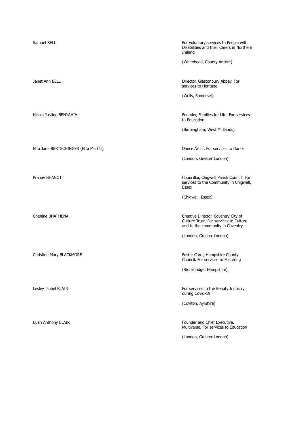Etta Jane BERTSCHINGER (Etta Murfitt) Dance Artist. For services to Dance

Samuel BELL For voluntary services to People with  $\sim$  For voluntary services to People with Disabilities and their Carers in Northern Ireland

(Whitehead, County Antrim)

Janet Ann BELL **Director, Glastonbury Abbey. For** Director, Glastonbury Abbey. For services to Heritage

(Wells, Somerset)

Nicola Justine BENYAHIA **Founder, Families for Life. For services** Founder, Families for Life. For services to Education

(Birmingham, West Midlands)

(London, Greater London)

Pranav BHANOT Councillor, Chigwell Parish Council. For services to the Community in Chigwell, Essex

(Chigwell, Essex)

Chenine BHATHENA Creative Director, Coventry City of Culture Trust. For services to Culture and to the community in Coventry

(London, Greater London)

Christine Mary BLACKMORE **Foster Carer, Hampshire County** Foster Carer, Hampshire County Council. For services to Fostering

(Stockbridge, Hampshire)

Lesley Isobel BLAIR **For services** to the Beauty Industry during Covid-19

(Coylton, Ayrshire)

Euan Anthony BLAIR Founder and Chief Executive, Multiverse. For services to Education

(London, Greater London)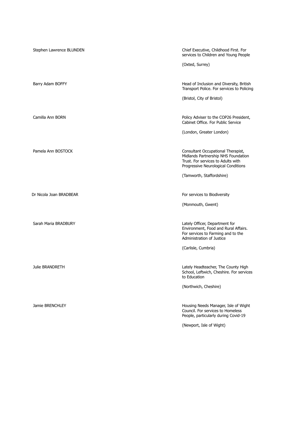| Stephen Lawrence BLUNDEN | Chief Executive, Childhood First. For<br>services to Children and Young People<br>(Oxted, Surrey)                                                                                   |
|--------------------------|-------------------------------------------------------------------------------------------------------------------------------------------------------------------------------------|
| Barry Adam BOFFY         | Head of Inclusion and Diversity, British<br>Transport Police. For services to Policing<br>(Bristol, City of Bristol)                                                                |
| Camilla Ann BORN         | Policy Adviser to the COP26 President,<br>Cabinet Office. For Public Service<br>(London, Greater London)                                                                            |
| Pamela Ann BOSTOCK       | Consultant Occupational Therapist,<br>Midlands Partnership NHS Foundation<br>Trust. For services to Adults with<br>Progressive Neurological Conditions<br>(Tamworth, Staffordshire) |
| Dr Nicola Joan BRADBEAR  | For services to Biodiversity<br>(Monmouth, Gwent)                                                                                                                                   |
| Sarah Maria BRADBURY     | Lately Officer, Department for<br>Environment, Food and Rural Affairs.<br>For services to Farming and to the<br>Administration of Justice<br>(Carlisle, Cumbria)                    |
| <b>Julie BRANDRETH</b>   | Lately Headteacher, The County High<br>School, Leftwich, Cheshire. For services<br>to Education<br>(Northwich, Cheshire)                                                            |
| Jamie BRENCHLEY          | Housing Needs Manager, Isle of Wight<br>Council. For services to Homeless<br>People, particularly during Covid-19<br>(Newport, Isle of Wight)                                       |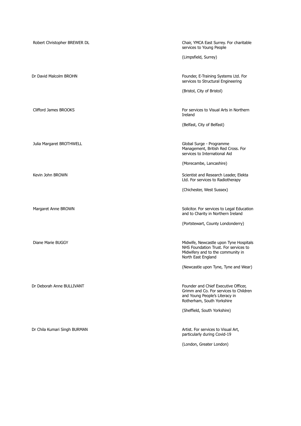| Robert Christopher BREWER DL | Chair, YMCA East Surrey. For charitable<br>services to Young People                                                                            |
|------------------------------|------------------------------------------------------------------------------------------------------------------------------------------------|
|                              | (Limpsfield, Surrey)                                                                                                                           |
| Dr David Malcolm BROHN       | Founder, E-Training Systems Ltd. For<br>services to Structural Engineering                                                                     |
|                              | (Bristol, City of Bristol)                                                                                                                     |
| Clifford James BROOKS        | For services to Visual Arts in Northern<br>Ireland                                                                                             |
|                              | (Belfast, City of Belfast)                                                                                                                     |
| Julia Margaret BROTHWELL     | Global Surge - Programme<br>Management, British Red Cross. For<br>services to International Aid                                                |
|                              | (Morecambe, Lancashire)                                                                                                                        |
| Kevin John BROWN             | Scientist and Research Leader, Elekta<br>Ltd. For services to Radiotherapy                                                                     |
|                              | (Chichester, West Sussex)                                                                                                                      |
| Margaret Anne BROWN          | Solicitor. For services to Legal Education<br>and to Charity in Northern Ireland                                                               |
|                              | (Portstewart, County Londonderry)                                                                                                              |
| Diane Marie BUGGY            | Midwife, Newcastle upon Tyne Hospitals<br>NHS Foundation Trust. For services to<br>Midwifery and to the community in<br>North East England     |
|                              | (Newcastle upon Tyne, Tyne and Wear)                                                                                                           |
| Dr Deborah Anne BULLIVANT    | Founder and Chief Executive Officer,<br>Grimm and Co. For services to Children<br>and Young People's Literacy in<br>Rotherham, South Yorkshire |
|                              | (Sheffield, South Yorkshire)                                                                                                                   |
| Dr Chila Kumari Singh BURMAN | Artist. For services to Visual Art,<br>particularly during Covid-19                                                                            |
|                              | (London, Greater London)                                                                                                                       |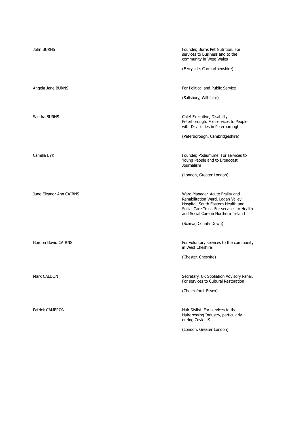| John BURNS                 | Founder, Burns Pet Nutrition. For<br>services to Business and to the<br>community in West Wales<br>(Ferryside, Carmarthenshire)                                                                                         |
|----------------------------|-------------------------------------------------------------------------------------------------------------------------------------------------------------------------------------------------------------------------|
| Angela Jane BURNS          | For Political and Public Service<br>(Salisbury, Wiltshire)                                                                                                                                                              |
| Sandra BURNS               | Chief Executive, Disability<br>Peterborough. For services to People<br>with Disabilities in Peterborough<br>(Peterborough, Cambridgeshire)                                                                              |
| Camilla BYK                | Founder, Podium.me. For services to<br>Young People and to Broadcast<br><b>Journalism</b><br>(London, Greater London)                                                                                                   |
| June Eleanor Ann CAIRNS    | Ward Manager, Acute Frailty and<br>Rehabilitation Ward, Lagan Valley<br>Hospital, South Eastern Health and<br>Social Care Trust. For services to Health<br>and Social Care in Northern Ireland<br>(Scarva, County Down) |
| <b>Gordon David CAIRNS</b> | For voluntary services to the community<br>in West Cheshire<br>(Chester, Cheshire)                                                                                                                                      |
| Mark CALDON                | Secretary, UK Spoliation Advisory Panel.<br>For services to Cultural Restoration<br>(Chelmsford, Essex)                                                                                                                 |
| Patrick CAMERON            | Hair Stylist. For services to the<br>Hairdressing Industry, particularly<br>during Covid-19<br>(London, Greater London)                                                                                                 |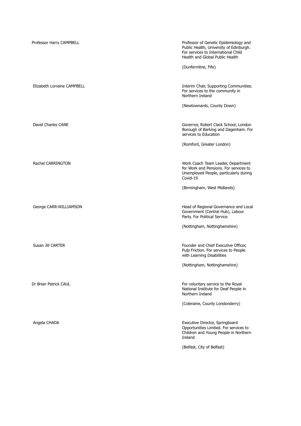| Professor Harry CAMPBELL    | Professor of Genetic Epidemiology and<br>Public Health, University of Edinburgh.<br>For services to International Child<br>Health and Global Public Health |
|-----------------------------|------------------------------------------------------------------------------------------------------------------------------------------------------------|
|                             | (Dunfermline, Fife)                                                                                                                                        |
| Elizabeth Lorraine CAMPBELL | Interim Chair, Supporting Communities.<br>For services to the community in<br>Northern Ireland                                                             |
|                             | (Newtownards, County Down)                                                                                                                                 |
| David Charles CANE          | Governor, Robert Clack School, London<br>Borough of Barking and Dagenham. For<br>services to Education                                                     |
|                             | (Romford, Greater London)                                                                                                                                  |
| Rachel CARRINGTON           | Work Coach Team Leader, Department<br>for Work and Pensions. For services to<br>Unemployed People, particularly during<br>Covid-19                         |
|                             | (Birmingham, West Midlands)                                                                                                                                |
| George CARR-WILLIAMSON      | Head of Regional Governance and Local<br>Government (Central Hub), Labour<br>Party. For Political Service                                                  |
|                             | (Nottingham, Nottinghamshire)                                                                                                                              |
| Susan Jill CARTER           | Founder and Chief Executive Officer,<br>Pulp Friction. For services to People<br>with Learning Disabilities                                                |
|                             | (Nottingham, Nottinghamshire)                                                                                                                              |
| Dr Brian Patrick CAUL       | For voluntary service to the Royal<br>National Institute for Deaf People in<br>Northern Ireland                                                            |
|                             | (Coleraine, County Londonderry)                                                                                                                            |
| Angela CHADA                | Executive Director, Springboard<br>Opportunities Limited. For services to<br>Children and Young People in Northern<br>Ireland                              |
|                             | (Belfast, City of Belfast)                                                                                                                                 |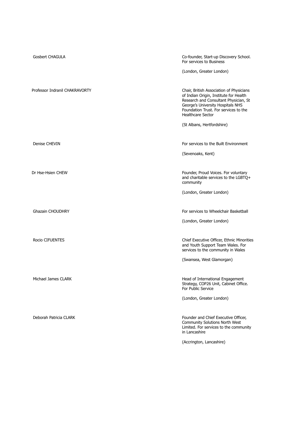| Gosbert CHAGULA                | Co-founder, Start-up Discovery School.<br>For services to Business                                                                                                                                                                    |
|--------------------------------|---------------------------------------------------------------------------------------------------------------------------------------------------------------------------------------------------------------------------------------|
|                                | (London, Greater London)                                                                                                                                                                                                              |
| Professor Indranil CHAKRAVORTY | Chair, British Association of Physicians<br>of Indian Origin, Institute for Health<br>Research and Consultant Physician, St<br>George's University Hospitals NHS<br>Foundation Trust. For services to the<br><b>Healthcare Sector</b> |
|                                | (St Albans, Hertfordshire)                                                                                                                                                                                                            |
|                                |                                                                                                                                                                                                                                       |
| Denise CHEVIN                  | For services to the Built Environment                                                                                                                                                                                                 |
|                                | (Sevenoaks, Kent)                                                                                                                                                                                                                     |
|                                |                                                                                                                                                                                                                                       |
| Dr Hse-Hsien CHEW              | Founder, Proud Voices. For voluntary<br>and charitable services to the LGBTQ+<br>community                                                                                                                                            |
|                                | (London, Greater London)                                                                                                                                                                                                              |
|                                |                                                                                                                                                                                                                                       |
| <b>Ghazain CHOUDHRY</b>        | For services to Wheelchair Basketball                                                                                                                                                                                                 |
|                                | (London, Greater London)                                                                                                                                                                                                              |
|                                |                                                                                                                                                                                                                                       |
| <b>Rocio CIFUENTES</b>         | Chief Executive Officer, Ethnic Minorities<br>and Youth Support Team Wales. For<br>services to the community in Wales                                                                                                                 |
|                                | (Swansea, West Glamorgan)                                                                                                                                                                                                             |
|                                |                                                                                                                                                                                                                                       |
| Michael James CLARK            | Head of International Engagement<br>Strategy, COP26 Unit, Cabinet Office.<br>For Public Service                                                                                                                                       |
|                                | (London, Greater London)                                                                                                                                                                                                              |
|                                |                                                                                                                                                                                                                                       |
| Deborah Patricia CLARK         | Founder and Chief Executive Officer,<br>Community Solutions North West<br>Limited. For services to the community<br>in Lancashire                                                                                                     |
|                                | (Accrington, Lancashire)                                                                                                                                                                                                              |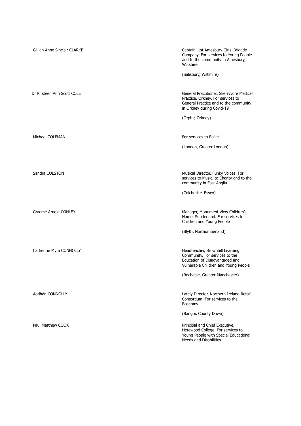| Gillian Anne Sinclair CLARKE | Captain, 1st Amesbury Girls' Brigade<br>Company. For services to Young People<br>and to the community in Amesbury,<br>Wiltshire                     |
|------------------------------|-----------------------------------------------------------------------------------------------------------------------------------------------------|
|                              | (Salisbury, Wiltshire)                                                                                                                              |
| Dr Kirsteen Ann Scott COLE   | General Practitioner, Skerryvore Medical<br>Practice, Orkney. For services to<br>General Practice and to the community<br>in Orkney during Covid-19 |
|                              | (Orphir, Orkney)                                                                                                                                    |
| Michael COLEMAN              | For services to Ballet                                                                                                                              |
|                              | (London, Greater London)                                                                                                                            |
| Sandra COLSTON               | Musical Director, Funky Voices. For<br>services to Music, to Charity and to the<br>community in East Anglia                                         |
|                              | (Colchester, Essex)                                                                                                                                 |
| Graeme Arnold CONLEY         | Manager, Monument View Children's<br>Home, Sunderland. For services to<br>Children and Young People                                                 |
|                              | (Blyth, Northumberland)                                                                                                                             |
| Catherine Myra CONNOLLY      | Headteacher, Brownhill Learning<br>Community. For services to the<br>Education of Disadvantaged and<br>Vulnerable Children and Young People         |
|                              | (Rochdale, Greater Manchester)                                                                                                                      |
| Aodhán CONNOLLY              | Lately Director, Northern Ireland Retail<br>Consortium. For services to the<br>Economy                                                              |
|                              | (Bangor, County Down)                                                                                                                               |
| Paul Matthew COOK            | Principal and Chief Executive,<br>Herewood College. For services to<br>Young People with Special Educational<br>Needs and Disabilities              |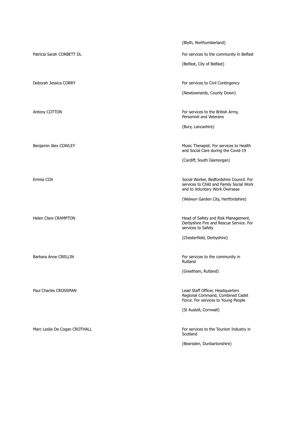(Blyth, Northumberland) Patricia Sarah CORBETT DL **For services to the community in Belfast** (Belfast, City of Belfast) Deborah Jessica CORRY For services to Civil Contingency (Newtownards, County Down) Antony COTTON For services to the British Army, Personnel and Veterans (Bury, Lancashire) Benjamin Alex COWLEY **Music Therapist. For services to Health** Music Therapist. For services to Health and Social Care during the Covid-19 (Cardiff, South Glamorgan) Emma COX Social Worker, Bedfordshire Council. For services to Child and Family Social Work and to Voluntary Work Overseas (Welwyn Garden City, Hertfordshire) Helen Clare CRAMPTON **Head of Safety and Risk Management**, Derbyshire Fire and Rescue Service. For services to Safety (Chesterfield, Derbyshire) Barbara Anne CRELLIN For services to the community in Rutland (Greetham, Rutland) Paul Charles CROSSMAN **Dead Staff Officer**, Headquarters Regional Command, Combined Cadet Force. For services to Young People (St Austell, Cornwall) Marc Leslie De Cogan CROTHALL **For services to the Tourism Industry in** Scotland (Bearsden, Dunbartonshire)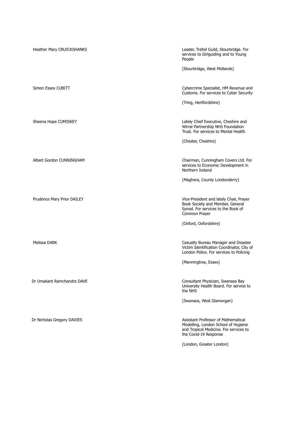| Heather Mary CRUICKSHANKS  | Leader, Trefoil Guild, Stourbridge. For<br>services to Girlguiding and to Young<br>People                                                     |
|----------------------------|-----------------------------------------------------------------------------------------------------------------------------------------------|
|                            | (Stourbridge, West Midlands)                                                                                                                  |
| Simon Essex CUBITT         | Cybercrime Specialist, HM Revenue and<br>Customs. For services to Cyber Security                                                              |
|                            | (Tring, Hertfordshire)                                                                                                                        |
| Sheena Hope CUMISKEY       | Lately Chief Executive, Cheshire and<br>Wirral Partnership NHS Foundation<br>Trust. For services to Mental Health                             |
|                            | (Chester, Cheshire)                                                                                                                           |
| Albert Gordon CUNNINGHAM   | Chairman, Cunningham Covers Ltd. For<br>services to Economic Development in<br>Northern Ireland                                               |
|                            | (Maghera, County Londonderry)                                                                                                                 |
| Prudence Mary Prior DAILEY | Vice-President and lately Chair, Prayer<br>Book Society and Member, General<br>Synod. For services to the Book of<br>Common Prayer            |
|                            | (Oxford, Oxfordshire)                                                                                                                         |
| Melissa DARK               | Casualty Bureau Manager and Disaster<br>Victim Identification Coordinator, City of<br>London Police. For services to Policing                 |
|                            | (Manningtree, Essex)                                                                                                                          |
| Dr Umakant Ramchandra DAVE | Consultant Physician, Swansea Bay<br>University Health Board. For service to<br>the NHS                                                       |
|                            | (Swansea, West Glamorgan)                                                                                                                     |
| Dr Nicholas Gregory DAVIES | Assistant Professor of Mathematical<br>Modelling, London School of Hygiene<br>and Tropical Medicine. For services to<br>the Covid-19 Response |
|                            | (London, Greater London)                                                                                                                      |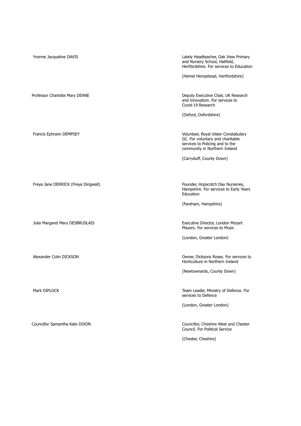Freya Jane DERRICK (Freya Dingwall) Founder, Hopscotch Day Nurseries,

Julia Margaret Mary DESBRUSLAIS Executive Director, London Mozart

Yvonne Jacqueline DAVIS **Lately Headteacher, Oak View Primary** Lately Headteacher, Oak View Primary and Nursery School, Hatfield, Hertfordshire. For services to Education

(Hemel Hempstead, Hertfordshire)

Professor Charlotte Mary DEANE **Deputy Executive Chair, UK Research** Deputy Executive Chair, UK Research and Innovation. For services to Covid-19 Research

(Oxford, Oxfordshire)

Francis Ephraim DEMPSEY **Volunteer, Royal Ulster Constabulary** Volunteer, Royal Ulster Constabulary GC. For voluntary and charitable services to Policing and to the community in Northern Ireland

(Carryduff, County Down)

Hampshire. For services to Early Years Education

(Fareham, Hampshire)

Players. For services to Music

(London, Greater London)

Alexander Colin DICKSON Owner, Dicksons Roses. For services to Horticulture in Northern Ireland

(Newtownards, County Down)

Mark DIPLOCK Team Leader, Ministry of Defence. For services to Defence

(London, Greater London)

Councillor Samantha Kate DIXON Councillor, Cheshire West and Chester Council. For Political Service

(Chester, Cheshire)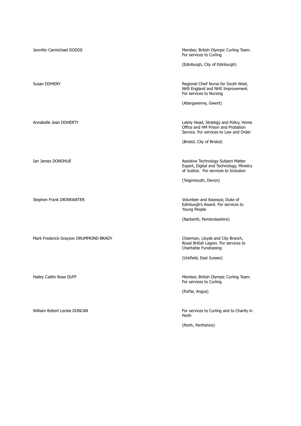| Jennifer Carmichael DODDS             | Member, British Olympic Curling Team.<br>For services to Curling                                                         |
|---------------------------------------|--------------------------------------------------------------------------------------------------------------------------|
|                                       | (Edinburgh, City of Edinburgh)                                                                                           |
| Susan DOHENY                          | Regional Chief Nurse for South West,<br>NHS England and NHS Improvement.<br>For services to Nursing                      |
|                                       | (Abergavenny, Gwent)                                                                                                     |
| Annabelle Jean DOHERTY                | Lately Head, Strategy and Policy, Home<br>Office and HM Prison and Probation<br>Service. For services to Law and Order   |
|                                       | (Bristol, City of Bristol)                                                                                               |
| Ian James DONOHUE                     | Assistive Technology Subject Matter<br>Expert, Digital and Technology, Ministry<br>of Justice. For services to Inclusion |
|                                       | (Teignmouth, Devon)                                                                                                      |
| Stephen Frank DRINKWATER              | Volunteer and Assessor, Duke of<br>Edinburgh's Award. For services to<br>Young People                                    |
|                                       | (Narberth, Pembrokeshire)                                                                                                |
| Mark Frederick Grayson DRUMMOND-BRADY | Chairman, Lloyds and City Branch,<br>Royal British Legion. For services to<br>Charitable Fundraising                     |
|                                       | (Uckfield, East Sussex)                                                                                                  |
| Hailey Caitlin Rose DUFF              | Member, British Olympic Curling Team.<br>For services to Curling                                                         |
|                                       | (Forfar, Angus)                                                                                                          |
| William Robert Leckie DUNCAN          | For services to Curling and to Charity in<br>Perth                                                                       |
|                                       | (Perth, Perthshire)                                                                                                      |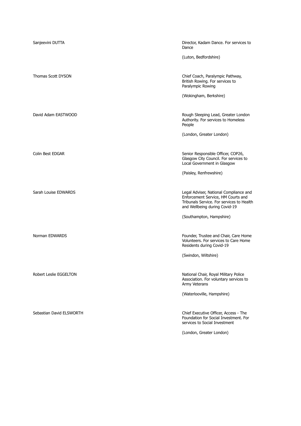| Sanjeevini DUTTA         | Director, Kadam Dance. For services to<br>Dance                                                                                                            |
|--------------------------|------------------------------------------------------------------------------------------------------------------------------------------------------------|
|                          | (Luton, Bedfordshire)                                                                                                                                      |
| Thomas Scott DYSON       | Chief Coach, Paralympic Pathway,<br>British Rowing. For services to<br>Paralympic Rowing                                                                   |
|                          | (Wokingham, Berkshire)                                                                                                                                     |
| David Adam EASTWOOD      | Rough Sleeping Lead, Greater London<br>Authority. For services to Homeless<br>People                                                                       |
|                          | (London, Greater London)                                                                                                                                   |
| Colin Best EDGAR         | Senior Responsible Officer, COP26,<br>Glasgow City Council. For services to<br>Local Government in Glasgow                                                 |
|                          | (Paisley, Renfrewshire)                                                                                                                                    |
| Sarah Louise EDWARDS     | Legal Adviser, National Compliance and<br>Enforcement Service, HM Courts and<br>Tribunals Service. For services to Health<br>and Wellbeing during Covid-19 |
|                          | (Southampton, Hampshire)                                                                                                                                   |
| Norman EDWARDS           | Founder, Trustee and Chair, Care Home<br>Volunteers. For services to Care Home<br>Residents during Covid-19                                                |
|                          | (Swindon, Wiltshire)                                                                                                                                       |
| Robert Leslie EGGELTON   | National Chair, Royal Military Police<br>Association. For voluntary services to<br>Army Veterans                                                           |
|                          | (Waterlooville, Hampshire)                                                                                                                                 |
| Sebastian David ELSWORTH | Chief Executive Officer, Access - The<br>Foundation for Social Investment. For<br>services to Social Investment                                            |
|                          | (London, Greater London)                                                                                                                                   |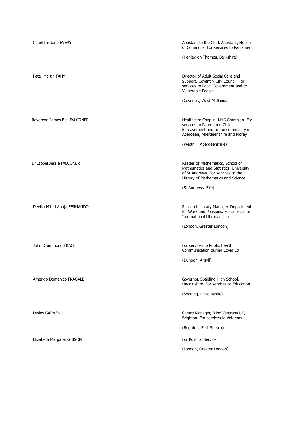| Charlotte Jane EVERY         | Assistant to the Clerk Assistant, House<br>of Commons. For services to Parliament                                                                      |
|------------------------------|--------------------------------------------------------------------------------------------------------------------------------------------------------|
|                              | (Henley-on-Thames, Berkshire)                                                                                                                          |
| Peter Martin FAHY            | Director of Adult Social Care and<br>Support, Coventry City Council. For<br>services to Local Government and to<br>Vulnerable People                   |
|                              | (Coventry, West Midlands)                                                                                                                              |
| Reverend James Bell FALCONER | Healthcare Chaplin, NHS Grampian. For<br>services to Parent and Child<br>Bereavement and to the community in<br>Aberdeen, Aberdeenshire and Moray      |
|                              | (Westhill, Aberdeenshire)                                                                                                                              |
| Dr Isobel Jessie FALCONER    | Reader of Mathematics, School of<br>Mathematics and Statistics, University<br>of St Andrews. For services to the<br>History of Mathematics and Science |
|                              | (St Andrews, Fife)                                                                                                                                     |
| Devika Mihiri Anoja FERNANDO | Research Library Manager, Department<br>for Work and Pensions. For services to<br>International Librarianship                                          |
|                              | (London, Greater London)                                                                                                                               |
| John Drummond FRACE          | For services to Public Health<br>Communication during Covid-19                                                                                         |
|                              | (Dunoon, Argyll)                                                                                                                                       |
| Amerigo Domenico FRAGALE     | Governor, Spalding High School,<br>Lincolnshire. For services to Education                                                                             |
|                              | (Spading, Lincolnshire)                                                                                                                                |
| Lesley GARVEN                | Centre Manager, Blind Veterans UK,<br>Brighton. For services to Veterans                                                                               |
|                              | (Brighton, East Sussex)                                                                                                                                |
| Elizabeth Margaret GIBSON    | <b>For Political Service</b>                                                                                                                           |
|                              | (London, Greater London)                                                                                                                               |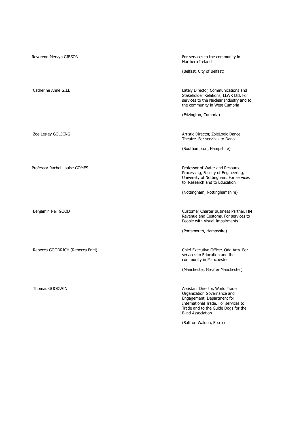| Reverend Mervyn GIBSON           | For services to the community in<br>Northern Ireland                                                                                                                                                                               |
|----------------------------------|------------------------------------------------------------------------------------------------------------------------------------------------------------------------------------------------------------------------------------|
|                                  | (Belfast, City of Belfast)                                                                                                                                                                                                         |
| Catherine Anne GIEL              | Lately Director, Communications and<br>Stakeholder Relations, LLWR Ltd. For<br>services to the Nuclear Industry and to<br>the community in West Cumbria                                                                            |
|                                  | (Frizington, Cumbria)                                                                                                                                                                                                              |
| Zoe Lesley GOLDING               | Artistic Director, ZoieLogic Dance<br>Theatre. For services to Dance                                                                                                                                                               |
|                                  | (Southampton, Hampshire)                                                                                                                                                                                                           |
| Professor Rachel Louise GOMES    | Professor of Water and Resource<br>Processing, Faculty of Engineering,<br>University of Nottingham. For services<br>to Research and to Education                                                                                   |
|                                  | (Nottingham, Nottinghamshire)                                                                                                                                                                                                      |
| Benjamin Neil GOOD               | Customer Charter Business Partner, HM<br>Revenue and Customs. For services to<br>People with Visual Impairments                                                                                                                    |
|                                  | (Portsmouth, Hampshire)                                                                                                                                                                                                            |
| Rebecca GOODRICH (Rebecca Friel) | Chief Executive Officer, Odd Arts. For<br>services to Education and the<br>community in Manchester                                                                                                                                 |
|                                  | (Manchester, Greater Manchester)                                                                                                                                                                                                   |
| Thomas GOODWIN                   | Assistant Director, World Trade<br>Organization Governance and<br>Engagement, Department for<br>International Trade. For services to<br>Trade and to the Guide Dogs for the<br><b>Blind Association</b><br>(Saffron Walden, Essex) |
|                                  |                                                                                                                                                                                                                                    |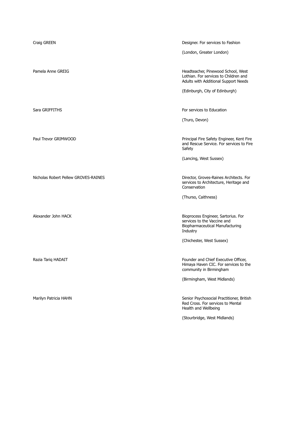**Craig GREEN** Craig GREEN **Designer.** For services to Fashion (London, Greater London) Pamela Anne GREIG **Headteacher, Pinewood School, West** Lothian. For services to Children and Adults with Additional Support Needs (Edinburgh, City of Edinburgh) Sara GRIFFITHS For services to Education and Sara GRIFFITHS (Truro, Devon) Paul Trevor GRIMWOOD **Principal Fire Safety Engineer, Kent Fire** and Rescue Service. For services to Fire Safety (Lancing, West Sussex) Nicholas Robert Pellew GROVES-RAINES Director, Groves-Raines Architects. For services to Architecture, Heritage and Conservation (Thurso, Caithness) Alexander John HACK **Bioprocess Engineer, Sartorius. For** services to the Vaccine and Biopharmaceutical Manufacturing Industry (Chichester, West Sussex) Razia Tariq HADAIT **Founder and Chief Executive Officer**, Himaya Haven CIC. For services to the community in Birmingham (Birmingham, West Midlands)

Marilyn Patricia HAHN Senior Psychosocial Practitioner, British

(Stourbridge, West Midlands)

Health and Wellbeing

Red Cross. For services to Mental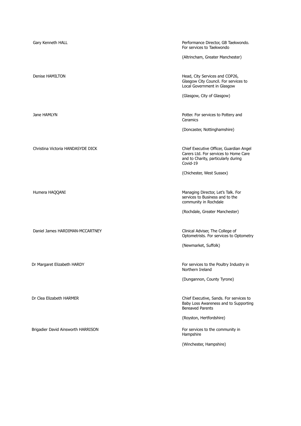| Gary Kenneth HALL                  | Performance Director, GB Taekwondo.<br>For services to Taekwondo                                                                    |
|------------------------------------|-------------------------------------------------------------------------------------------------------------------------------------|
|                                    | (Altrincham, Greater Manchester)                                                                                                    |
| Denise HAMILTON                    | Head, City Services and COP26,<br>Glasgow City Council. For services to<br>Local Government in Glasgow                              |
|                                    | (Glasgow, City of Glasgow)                                                                                                          |
| Jane HAMLYN                        | Potter. For services to Pottery and<br>Ceramics                                                                                     |
|                                    | (Doncaster, Nottinghamshire)                                                                                                        |
| Christina Victoria HANDASYDE DICK  | Chief Executive Officer, Guardian Angel<br>Carers Ltd. For services to Home Care<br>and to Charity, particularly during<br>Covid-19 |
|                                    | (Chichester, West Sussex)                                                                                                           |
| Humera HAQQANI                     | Managing Director, Let's Talk. For<br>services to Business and to the<br>community in Rochdale                                      |
|                                    | (Rochdale, Greater Manchester)                                                                                                      |
| Daniel James HARDIMAN-MCCARTNEY    | Clinical Adviser, The College of<br>Optometrists. For services to Optometry                                                         |
|                                    | (Newmarket, Suffolk)                                                                                                                |
| Dr Margaret Elizabeth HARDY        | For services to the Poultry Industry in<br>Northern Ireland                                                                         |
|                                    | (Dungannon, County Tyrone)                                                                                                          |
| Dr Clea Elizabeth HARMER           | Chief Executive, Sands. For services to<br>Baby Loss Awareness and to Supporting<br><b>Bereaved Parents</b>                         |
|                                    | (Royston, Hertfordshire)                                                                                                            |
| Brigadier David Ainsworth HARRISON | For services to the community in<br>Hampshire                                                                                       |
|                                    | (Winchester, Hampshire)                                                                                                             |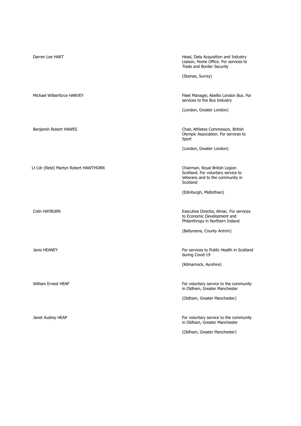| Darren Lee HART                      | Head, Data Acquisition and Industry<br>Liaison, Home Office. For services to<br>Trade and Border Security            |
|--------------------------------------|----------------------------------------------------------------------------------------------------------------------|
|                                      | (Staines, Surrey)                                                                                                    |
| Michael Wilberforce HARVEY           | Fleet Manager, Abellio London Bus. For<br>services to the Bus Industry                                               |
|                                      | (London, Greater London)                                                                                             |
| Benjamin Robert HAWES                | Chair, Athletes Commission, British<br>Olympic Association. For services to<br>Sport                                 |
|                                      | (London, Greater London)                                                                                             |
| Lt Cdr (Retd) Martyn Robert HAWTHORN | Chairman, Royal British Legion<br>Scotland. For voluntary service to<br>Veterans and to the community in<br>Scotland |
|                                      | (Edinburgh, Midlothian)                                                                                              |
| <b>Colin HAYBURN</b>                 | Executive Director, Almac. For services<br>to Economic Development and<br>Philanthropy in Northern Ireland           |
|                                      | (Ballymena, County Antrim)                                                                                           |
| Janis HEANEY                         | For services to Public Health in Scotland<br>during Covid-19                                                         |
|                                      | (Kilmarnock, Ayrshire)                                                                                               |
| <b>William Ernest HEAP</b>           | For voluntary service to the community<br>in Oldham, Greater Manchester                                              |
|                                      | (Oldham, Greater Manchester)                                                                                         |
| Janet Audrey HEAP                    | For voluntary service to the community<br>in Oldham, Greater Manchester                                              |
|                                      | (Oldham, Greater Manchester)                                                                                         |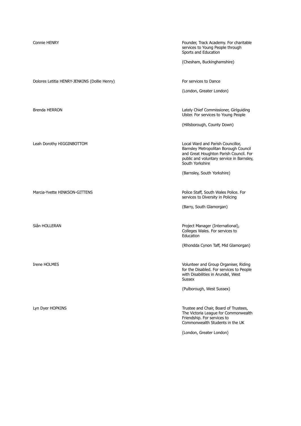| <b>Connie HENRY</b>                          | Founder, Track Academy. For charitable<br>services to Young People through<br>Sports and Education                                                                                   |
|----------------------------------------------|--------------------------------------------------------------------------------------------------------------------------------------------------------------------------------------|
|                                              | (Chesham, Buckinghamshire)                                                                                                                                                           |
|                                              |                                                                                                                                                                                      |
| Dolores Letitia HENRY-JENKINS (Dollie Henry) | For services to Dance                                                                                                                                                                |
|                                              | (London, Greater London)                                                                                                                                                             |
|                                              |                                                                                                                                                                                      |
| Brenda HERRON                                | Lately Chief Commissioner, Girlguiding<br>Ulster. For services to Young People                                                                                                       |
|                                              | (Hillsborough, County Down)                                                                                                                                                          |
|                                              |                                                                                                                                                                                      |
| Leah Dorothy HIGGINBOTTOM                    | Local Ward and Parish Councillor,<br>Barnsley Metropolitan Borough Council<br>and Great Houghton Parish Council. For<br>public and voluntary service in Barnsley,<br>South Yorkshire |
|                                              | (Barnsley, South Yorkshire)                                                                                                                                                          |
|                                              |                                                                                                                                                                                      |
| Marcia-Yvette HINKSON-GITTENS                | Police Staff, South Wales Police. For<br>services to Diversity in Policing                                                                                                           |
|                                              | (Barry, South Glamorgan)                                                                                                                                                             |
|                                              |                                                                                                                                                                                      |
| Siân HOLLERAN                                | Project Manager (International),<br>Colleges Wales. For services to<br>Education                                                                                                     |
|                                              | (Rhondda Cynon Taff, Mid Glamorgan)                                                                                                                                                  |
|                                              |                                                                                                                                                                                      |
| Irene HOLMES                                 | Volunteer and Group Organiser, Riding<br>for the Disabled. For services to People<br>with Disabilities in Arundel, West<br><b>Sussex</b>                                             |
|                                              | (Pulborough, West Sussex)                                                                                                                                                            |
|                                              |                                                                                                                                                                                      |
| Lyn Dyer HOPKINS                             | Trustee and Chair, Board of Trustees,<br>The Victoria League for Commonwealth<br>Friendship. For services to<br>Commonwealth Students in the UK                                      |

(London, Greater London)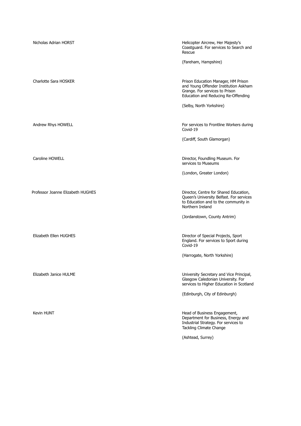| Nicholas Adrian HORST             | Helicopter Aircrew, Her Majesty's<br>Coastguard. For services to Search and<br>Rescue                                                                 |
|-----------------------------------|-------------------------------------------------------------------------------------------------------------------------------------------------------|
|                                   | (Fareham, Hampshire)                                                                                                                                  |
| Charlotte Sara HOSKER             | Prison Education Manager, HM Prison<br>and Young Offender Institution Askham<br>Grange. For services to Prison<br>Education and Reducing Re-Offending |
|                                   | (Selby, North Yorkshire)                                                                                                                              |
| Andrew Rhys HOWELL                | For services to Frontline Workers during<br>Covid-19                                                                                                  |
|                                   | (Cardiff, South Glamorgan)                                                                                                                            |
| Caroline HOWELL                   | Director, Foundling Museum. For<br>services to Museums                                                                                                |
|                                   | (London, Greater London)                                                                                                                              |
| Professor Joanne Elizabeth HUGHES | Director, Centre for Shared Education,<br>Queen's University Belfast. For services<br>to Education and to the community in<br>Northern Ireland        |
|                                   | (Jordanstown, County Antrim)                                                                                                                          |
| Elizabeth Ellen HUGHES            | Director of Special Projects, Sport<br>England. For services to Sport during<br>Covid-19                                                              |
|                                   | (Harrogate, North Yorkshire)                                                                                                                          |
| Elizabeth Janice HULME            | University Secretary and Vice Principal,<br>Glasgow Caledonian University. For<br>services to Higher Education in Scotland                            |
|                                   | (Edinburgh, City of Edinburgh)                                                                                                                        |
| Kevin HUNT                        | Head of Business Engagement,<br>Department for Business, Energy and<br>Industrial Strategy. For services to<br>Tackling Climate Change                |
|                                   | (Ashtead, Surrey)                                                                                                                                     |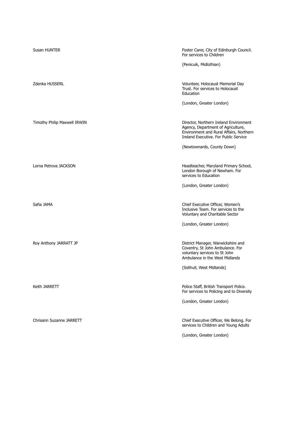| Susan HUNTER                 | Foster Carer, City of Edinburgh Council.<br>For services to Children                                                                                             |
|------------------------------|------------------------------------------------------------------------------------------------------------------------------------------------------------------|
|                              | (Penicuik, Midlothian)                                                                                                                                           |
| Zdenka HUSSERL               | Volunteer, Holocaust Memorial Day<br>Trust. For services to Holocaust<br>Education                                                                               |
|                              | (London, Greater London)                                                                                                                                         |
| Timothy Philip Maxwell IRWIN | Director, Northern Ireland Environment<br>Agency, Department of Agriculture,<br>Environment and Rural Affairs, Northern<br>Ireland Executive. For Public Service |
|                              | (Newtownards, County Down)                                                                                                                                       |
| Lorna Petrova JACKSON        | Headteacher, Maryland Primary School,<br>London Borough of Newham. For<br>services to Education                                                                  |
|                              | (London, Greater London)                                                                                                                                         |
| Safia JAMA                   | Chief Executive Officer, Women's<br>Inclusive Team. For services to the<br>Voluntary and Charitable Sector                                                       |
|                              | (London, Greater London)                                                                                                                                         |
| Roy Anthony JARRATT JP       | District Manager, Warwickshire and<br>Coventry, St John Ambulance. For<br>voluntary services to St John<br>Ambulance in the West Midlands                        |
|                              | (Solihull, West Midlands)                                                                                                                                        |
| Keith JARRETT                | Police Staff, British Transport Police.<br>For services to Policing and to Diversity                                                                             |
|                              | (London, Greater London)                                                                                                                                         |
| Chrisann Suzanne JARRETT     | Chief Executive Officer, We Belong. For<br>services to Children and Young Adults                                                                                 |
|                              | (London, Greater London)                                                                                                                                         |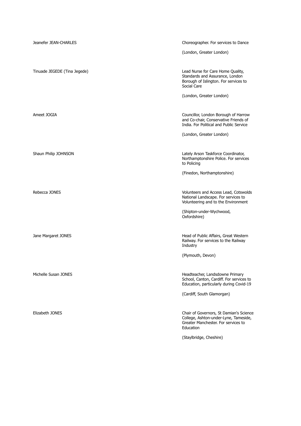| Jeanefer JEAN-CHARLES        | Choreographer. For services to Dance                                                                                                 |
|------------------------------|--------------------------------------------------------------------------------------------------------------------------------------|
|                              | (London, Greater London)                                                                                                             |
|                              |                                                                                                                                      |
| Tinuade JEGEDE (Tina Jegede) | Lead Nurse for Care Home Quality,<br>Standards and Assurance, London<br>Borough of Islington. For services to<br>Social Care         |
|                              | (London, Greater London)                                                                                                             |
|                              |                                                                                                                                      |
| Ameet JOGIA                  | Councillor, London Borough of Harrow<br>and Co-chair, Conservative Friends of<br>India. For Political and Public Service             |
|                              | (London, Greater London)                                                                                                             |
|                              |                                                                                                                                      |
| Shaun Philip JOHNSON         | Lately Arson Taskforce Coordinator,<br>Northamptonshire Police. For services<br>to Policing                                          |
|                              | (Finedon, Northamptonshire)                                                                                                          |
|                              |                                                                                                                                      |
| Rebecca JONES                | Volunteers and Access Lead, Cotswolds<br>National Landscape. For services to<br>Volunteering and to the Environment                  |
|                              | (Shipton-under-Wychwood,<br>Oxfordshire)                                                                                             |
|                              |                                                                                                                                      |
| Jane Margaret JONES          | Head of Public Affairs, Great Western<br>Railway. For services to the Railway<br>Industry                                            |
|                              | (Plymouth, Devon)                                                                                                                    |
|                              |                                                                                                                                      |
| Michelle Susan JONES         | Headteacher, Landsdowne Primary<br>School, Canton, Cardiff. For services to<br>Education, particularly during Covid-19               |
|                              | (Cardiff, South Glamorgan)                                                                                                           |
|                              |                                                                                                                                      |
| Elizabeth JONES              | Chair of Governors, St Damian's Science<br>College, Ashton-under-Lyne, Tameside,<br>Greater Manchester. For services to<br>Education |
|                              | (Staylbridge, Cheshire)                                                                                                              |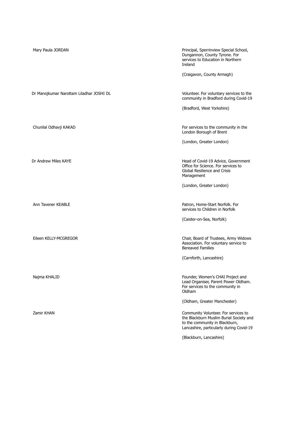| Mary Paula JORDAN                        | Principal, Sperrinview Special School,<br>Dungannon, County Tyrone. For<br>services to Education in Northern<br>Ireland<br>(Craigavon, County Armagh)                                                                    |
|------------------------------------------|--------------------------------------------------------------------------------------------------------------------------------------------------------------------------------------------------------------------------|
| Dr Manojkumar Narottam Liladhar JOSHI DL | Volunteer. For voluntary services to the<br>community in Bradford during Covid-19<br>(Bradford, West Yorkshire)                                                                                                          |
| Chunilal Odhavji KAKAD                   | For services to the community in the<br>London Borough of Brent<br>(London, Greater London)                                                                                                                              |
| Dr Andrew Miles KAYE                     | Head of Covid-19 Advice, Government<br>Office for Science. For services to<br>Global Resilience and Crisis<br>Management<br>(London, Greater London)                                                                     |
| Ann Tavener KEABLE                       | Patron, Home-Start Norfolk. For<br>services to Children in Norfolk<br>(Caister-on-Sea, Norfolk)                                                                                                                          |
| Eileen KELLY-MCGREGOR                    | Chair, Board of Trustees, Army Widows<br>Association. For voluntary service to<br><b>Bereaved Families</b><br>(Carnforth, Lancashire)                                                                                    |
| Najma KHALID                             | Founder, Women's CHAI Project and<br>Lead Organiser, Parent Power Oldham.<br>For services to the community in<br>Oldham                                                                                                  |
| Zamir KHAN                               | (Oldham, Greater Manchester)<br>Community Volunteer. For services to<br>the Blackburn Muslim Burial Society and<br>to the community in Blackburn,<br>Lancashire, particularly during Covid-19<br>(Blackburn, Lancashire) |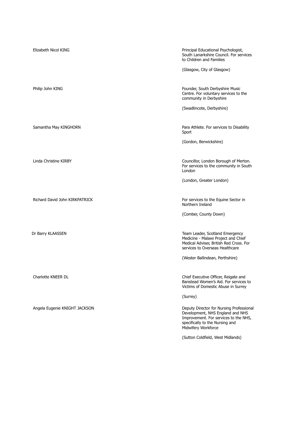| Elizabeth Nicol KING           | Principal Educational Psychologist,<br>South Lanarkshire Council. For services<br>to Children and Families<br>(Glasgow, City of Glasgow)                                        |
|--------------------------------|---------------------------------------------------------------------------------------------------------------------------------------------------------------------------------|
| Philip John KING               | Founder, South Derbyshire Music<br>Centre. For voluntary services to the<br>community in Derbyshire                                                                             |
|                                | (Swadlincote, Derbyshire)                                                                                                                                                       |
| Samantha May KINGHORN          | Para Athlete. For services to Disability<br>Sport                                                                                                                               |
|                                | (Gordon, Berwickshire)                                                                                                                                                          |
| Linda Christine KIRBY          | Councillor, London Borough of Merton.<br>For services to the community in South<br>London                                                                                       |
|                                | (London, Greater London)                                                                                                                                                        |
| Richard David John KIRKPATRICK | For services to the Equine Sector in<br>Northern Ireland                                                                                                                        |
|                                | (Comber, County Down)                                                                                                                                                           |
| Dr Barry KLAASSEN              | Team Leader, Scotland Emergency<br>Medicine - Malawi Project and Chief<br>Medical Adviser, British Red Cross. For<br>services to Overseas Healthcare                            |
|                                | (Wester Ballindean, Perthshire)                                                                                                                                                 |
| Charlotte KNEER DL             | Chief Executive Officer, Reigate and<br>Banstead Women's Aid. For services to<br>Victims of Domestic Abuse in Surrey                                                            |
|                                | (Surrey)                                                                                                                                                                        |
| Angela Eugenie KNIGHT JACKSON  | Deputy Director for Nursing Professional<br>Development, NHS England and NHS<br>Improvement. For services to the NHS,<br>specifically to the Nursing and<br>Midwifery Workforce |
|                                | (Sutton Coldfield, West Midlands)                                                                                                                                               |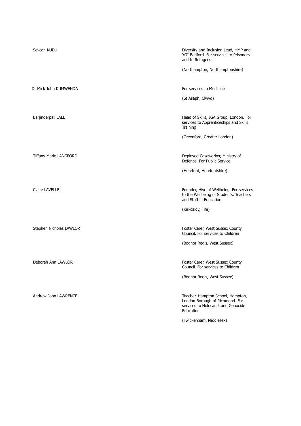| Sevcan KUDU                   | Diversity and Inclusion Lead, HMP and<br>YOI Bedford. For services to Prisoners<br>and to Refugees                      |
|-------------------------------|-------------------------------------------------------------------------------------------------------------------------|
|                               | (Northampton, Northamptonshire)                                                                                         |
|                               |                                                                                                                         |
| Dr Mick John KUMWENDA         | For services to Medicine                                                                                                |
|                               | (St Asaph, Clwyd)                                                                                                       |
|                               |                                                                                                                         |
| Barjinderpall LALL            | Head of Skills, JGA Group, London. For<br>services to Apprenticeships and Skills<br>Training                            |
|                               | (Greenford, Greater London)                                                                                             |
|                               |                                                                                                                         |
| <b>Tiffany Marie LANGFORD</b> | Deployed Caseworker, Ministry of<br>Defence. For Public Service                                                         |
|                               | (Hereford, Herefordshire)                                                                                               |
|                               |                                                                                                                         |
| <b>Claire LAVELLE</b>         | Founder, Hive of Wellbeing. For services<br>to the Wellbeing of Students, Teachers<br>and Staff in Education            |
|                               | (Kirkcaldy, Fife)                                                                                                       |
|                               |                                                                                                                         |
| Stephen Nicholas LAWLOR       | Foster Carer, West Sussex County<br>Council. For services to Children                                                   |
|                               | (Bognor Regis, West Sussex)                                                                                             |
|                               |                                                                                                                         |
| Deborah Ann LAWLOR            | Foster Carer, West Sussex County<br>Council. For services to Children                                                   |
|                               | (Bognor Regis, West Sussex)                                                                                             |
|                               |                                                                                                                         |
| Andrew John LAWRENCE          | Teacher, Hampton School, Hampton,<br>London Borough of Richmond. For<br>services to Holocaust and Genocide<br>Education |
|                               | (Twickenham, Middlesex)                                                                                                 |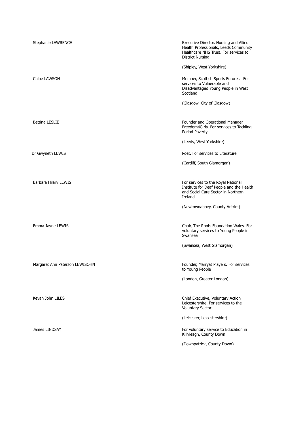| Stephanie LAWRENCE             | Executive Director, Nursing and Allied<br>Health Professionals, Leeds Community<br>Healthcare NHS Trust. For services to<br><b>District Nursing</b> |
|--------------------------------|-----------------------------------------------------------------------------------------------------------------------------------------------------|
| Chloe LAWSON                   | (Shipley, West Yorkshire)<br>Member, Scottish Sports Futures. For<br>services to Vulnerable and<br>Disadvantaged Young People in West<br>Scotland   |
|                                | (Glasgow, City of Glasgow)                                                                                                                          |
| <b>Bettina LESLIE</b>          | Founder and Operational Manager,<br>Freedom4Girls. For services to Tackling<br>Period Poverty                                                       |
|                                | (Leeds, West Yorkshire)                                                                                                                             |
| Dr Gwyneth LEWIS               | Poet. For services to Literature                                                                                                                    |
|                                | (Cardiff, South Glamorgan)                                                                                                                          |
| Barbara Hilary LEWIS           | For services to the Royal National<br>Institute for Deaf People and the Health<br>and Social Care Sector in Northern<br>Ireland                     |
|                                | (Newtownabbey, County Antrim)                                                                                                                       |
| Emma Jayne LEWIS               | Chair, The Roots Foundation Wales. For<br>voluntary services to Young People in<br>Swansea                                                          |
|                                | (Swansea, West Glamorgan)                                                                                                                           |
| Margaret Ann Paterson LEWISOHN | Founder, Marryat Players. For services<br>to Young People                                                                                           |
|                                | (London, Greater London)                                                                                                                            |
| Kevan John LILES               | Chief Executive, Voluntary Action<br>Leicestershire. For services to the<br><b>Voluntary Sector</b>                                                 |
|                                | (Leicester, Leicestershire)                                                                                                                         |
| James LINDSAY                  | For voluntary service to Education in<br>Killyleagh, County Down                                                                                    |
|                                | (Downpatrick, County Down)                                                                                                                          |
|                                |                                                                                                                                                     |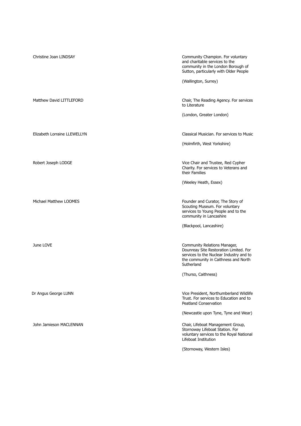| Christine Joan LINDSAY       | Community Champion. For voluntary<br>and charitable services to the<br>community in the London Borough of<br>Sutton, particularly with Older People<br>(Wallington, Surrey)                                    |
|------------------------------|----------------------------------------------------------------------------------------------------------------------------------------------------------------------------------------------------------------|
| Matthew David LITTLEFORD     | Chair, The Reading Agency. For services<br>to Literature<br>(London, Greater London)                                                                                                                           |
| Elizabeth Lorraine LLEWELLYN | Classical Musician. For services to Music<br>(Holmfirth, West Yorkshire)                                                                                                                                       |
| Robert Joseph LODGE          | Vice Chair and Trustee, Red Cypher<br>Charity. For services to Veterans and<br>their Families<br>(Weeley Heath, Essex)                                                                                         |
| Michael Matthew LOOMES       | Founder and Curator, The Story of<br>Scouting Museum. For voluntary<br>services to Young People and to the<br>community in Lancashire<br>(Blackpool, Lancashire)                                               |
| June LOVE                    | Community Relations Manager,<br>Dounreay Site Restoration Limited. For<br>services to the Nuclear Industry and to<br>the community in Caithness and North<br>Sutherland<br>(Thurso, Caithness)                 |
| Dr Angus George LUNN         | Vice President, Northumberland Wildlife<br>Trust. For services to Education and to<br>Peatland Conservation                                                                                                    |
| John Jamieson MACLENNAN      | (Newcastle upon Tyne, Tyne and Wear)<br>Chair, Lifeboat Management Group,<br>Stornoway Lifeboat Station. For<br>voluntary services to the Royal National<br>Lifeboat Institution<br>(Stornoway, Western Isles) |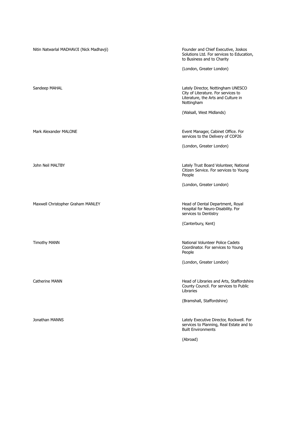Nitin Natwarlal MADHAVJI (Nick Madhavji) Founder and Chief Executive, Joskos Solutions Ltd. For services to Education, to Business and to Charity (London, Greater London) Sandeep MAHAL **Sandeep MAHAL** Sandeep MAHAL Lately Director, Nottingham UNESCO City of Literature. For services to Literature, the Arts and Culture in Nottingham (Walsall, West Midlands) Mark Alexander MALONE **Event Manager, Cabinet Office.** For services to the Delivery of COP26 (London, Greater London) John Neil MALTBY **Lately Trust Board Volunteer, National** Citizen Service. For services to Young People (London, Greater London) Maxwell Christopher Graham MANLEY **Head of Dental Department, Royal** Hospital for Neuro-Disability. For services to Dentistry (Canterbury, Kent) Timothy MANN National Volunteer Police Cadets Coordinator. For services to Young People (London, Greater London) Catherine MANN **Catherine MANN Head of Libraries and Arts, Staffordshire** County Council. For services to Public Libraries (Bramshall, Staffordshire) Jonathan MANNS Lately Executive Director, Rockwell. For services to Planning, Real Estate and to Built Environments (Abroad)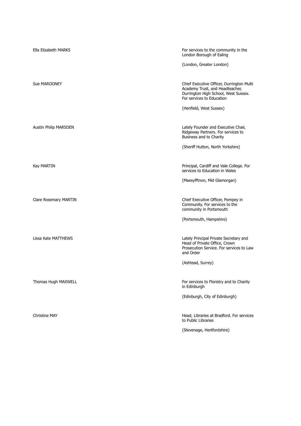| Ella Elizabeth MARKS  | For services to the community in the<br>London Borough of Ealing                                                                                  |
|-----------------------|---------------------------------------------------------------------------------------------------------------------------------------------------|
|                       | (London, Greater London)                                                                                                                          |
| Sue MAROONEY          | Chief Executive Officer, Durrington Multi<br>Academy Trust, and Headteacher,<br>Durrington High School, West Sussex.<br>For services to Education |
|                       | (Henfield, West Sussex)                                                                                                                           |
| Austin Philip MARSDEN | Lately Founder and Executive Chair,<br>Ridgeway Partners. For services to<br>Business and to Charity                                              |
|                       | (Sheriff Hutton, North Yorkshire)                                                                                                                 |
| Kay MARTIN            | Principal, Cardiff and Vale College. For<br>services to Education in Wales                                                                        |
|                       | (Maesyfftnon, Mid Glamorgan)                                                                                                                      |
| Clare Rosemary MARTIN | Chief Executive Officer, Pompey in<br>Community. For services to the<br>community in Portsmouth                                                   |
|                       | (Portsmouth, Hampshire)                                                                                                                           |
| Lissa Kate MATTHEWS   | Lately Principal Private Secretary and<br>Head of Private Office, Crown<br>Prosecution Service. For services to Law<br>and Order                  |
|                       | (Ashtead, Surrey)                                                                                                                                 |
| Thomas Hugh MAXWELL   | For services to Floristry and to Charity<br>in Edinburgh                                                                                          |
|                       | (Edinburgh, City of Edinburgh)                                                                                                                    |
| <b>Christine MAY</b>  | Head, Libraries at Bradford. For services<br>to Public Libraries                                                                                  |
|                       | (Stevenage, Hertfordshire)                                                                                                                        |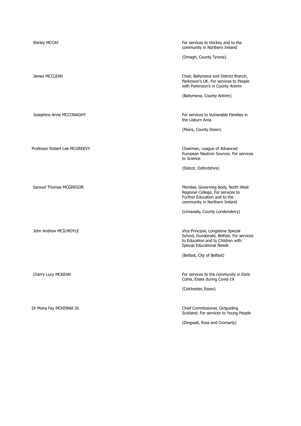| Shirley MCCAY                 | For services to Hockey and to the<br>community in Northern Ireland                                                                              |
|-------------------------------|-------------------------------------------------------------------------------------------------------------------------------------------------|
|                               | (Omagh, County Tyrone)                                                                                                                          |
| James MCCLEAN                 | Chair, Ballymena and District Branch,<br>Parkinson's UK. For services to People<br>with Parkinson's in County Antrim                            |
|                               | (Ballymena, County Antrim)                                                                                                                      |
| Josephine Anne MCCONAGHY      | For services to Vulnerable Families in<br>the Lisburn Area                                                                                      |
|                               | (Moira, County Down)                                                                                                                            |
| Professor Robert Lee MCGREEVY | Chairman, League of Advanced<br>European Neutron Sources. For services<br>to Science                                                            |
|                               | (Didcot, Oxfordshire)                                                                                                                           |
| Samuel Thomas MCGREGOR        | Member, Governing Body, North West<br>Regional College. For services to<br>Further Education and to the<br>community in Northern Ireland        |
|                               | (Limavady, County Londonderry)                                                                                                                  |
| John Andrew MCILMOYLE         | Vice-Principal, Longstone Special<br>School, Dundonald, Belfast. For services<br>to Education and to Children with<br>Special Educational Needs |
|                               | (Belfast, City of Belfast)                                                                                                                      |
| Cherry Lucy MCKEAN            | For services to the community in Earls<br>Colne, Essex during Covid-19                                                                          |
|                               | (Colchester, Essex)                                                                                                                             |
| Dr Moira Fay MCKENNA DL       | Chief Commissioner, Girlguiding<br>Scotland. For services to Young People                                                                       |

(Dingwall, Ross and Cromarty)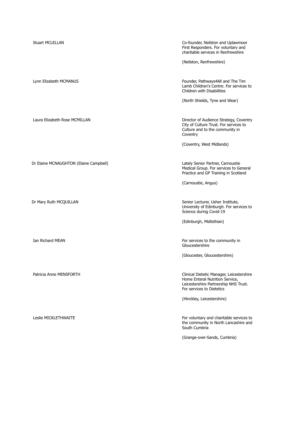| <b>Stuart MCLELLAN</b>                 | Co-founder, Neilston and Uplawmoor<br>First Responders. For voluntary and<br>charitable services in Renfrewshire                                   |
|----------------------------------------|----------------------------------------------------------------------------------------------------------------------------------------------------|
|                                        | (Neilston, Renfrewshire)                                                                                                                           |
| Lynn Elizabeth MCMANUS                 | Founder, Pathways4All and The Tim<br>Lamb Children's Centre. For services to<br>Children with Disabilities                                         |
|                                        | (North Shields, Tyne and Wear)                                                                                                                     |
| Laura Elizabeth Rose MCMILLAN          | Director of Audience Strategy, Coventry<br>City of Culture Trust. For services to<br>Culture and to the community in<br>Coventry                   |
|                                        | (Coventry, West Midlands)                                                                                                                          |
| Dr Elaine MCNAUGHTON (Elaine Campbell) | Lately Senior Partner, Carnoustie<br>Medical Group. For services to General<br>Practice and GP Training in Scotland                                |
|                                        | (Carnoustie, Angus)                                                                                                                                |
| Dr Mary Ruth MCQUILLAN                 | Senior Lecturer, Usher Institute,<br>University of Edinburgh. For services to<br>Science during Covid-19                                           |
|                                        | (Edinburgh, Midlothian)                                                                                                                            |
| Ian Richard MEAN                       | For services to the community in<br>Gloucestershire                                                                                                |
|                                        | (Gloucester, Gloucestershire)                                                                                                                      |
| Patricia Anne MENSFORTH                | Clinical Dietetic Manager, Leicestershire<br>Home Enteral Nutrition Service,<br>Leicestershire Partnership NHS Trust.<br>For services to Dietetics |
|                                        | (Hinckley, Leicestershire)                                                                                                                         |
| Leslie MICKLETHWAITE                   | For voluntary and charitable services to<br>the community in North Lancashire and<br>South Cumbria                                                 |
|                                        | (Grange-over-Sands, Cumbria)                                                                                                                       |
|                                        |                                                                                                                                                    |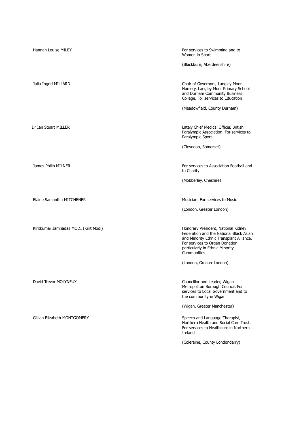| Hannah Louise MILEY                   | For services to Swimming and to<br>Women in Sport                                                                                                                                                              |
|---------------------------------------|----------------------------------------------------------------------------------------------------------------------------------------------------------------------------------------------------------------|
|                                       | (Blackburn, Aberdeenshire)                                                                                                                                                                                     |
| Julia Ingrid MILLARD                  | Chair of Governors, Langley Moor<br>Nursery, Langley Moor Primary School<br>and Durham Community Business<br>College. For services to Education                                                                |
|                                       | (Meadowfield, County Durham)                                                                                                                                                                                   |
| Dr Ian Stuart MILLER                  | Lately Chief Medical Officer, British<br>Paralympic Association. For services to<br>Paralympic Sport                                                                                                           |
|                                       | (Clevedon, Somerset)                                                                                                                                                                                           |
| James Philip MILNER                   | For services to Association Football and<br>to Charity                                                                                                                                                         |
|                                       | (Mobberley, Cheshire)                                                                                                                                                                                          |
| Elaine Samantha MITCHENER             | Musician. For services to Music                                                                                                                                                                                |
|                                       | (London, Greater London)                                                                                                                                                                                       |
|                                       |                                                                                                                                                                                                                |
| Kiritkumar Jamnadas MODI (Kirit Modi) | Honorary President, National Kidney<br>Federation and the National Black Asian<br>and Minority Ethnic Transplant Alliance.<br>For services to Organ Donation<br>particularly in Ethnic Minority<br>Communities |
|                                       | (London, Greater London)                                                                                                                                                                                       |
| David Trevor MOLYNEUX                 | Councillor and Leader, Wigan<br>Metropolitan Borough Council. For<br>services to Local Government and to<br>the community in Wigan                                                                             |
|                                       | (Wigan, Greater Manchester)                                                                                                                                                                                    |
| Gillian Elizabeth MONTGOMERY          | Speech and Language Therapist,<br>Northern Health and Social Care Trust.<br>For services to Healthcare in Northern<br>Ireland                                                                                  |
|                                       | (Coleraine, County Londonderry)                                                                                                                                                                                |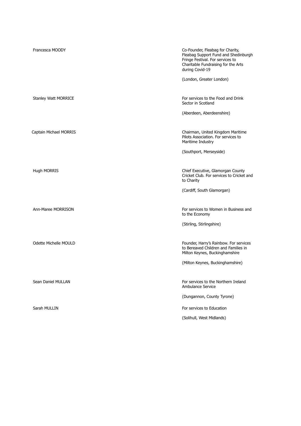| Francesca MOODY             | Co-Founder, Fleabag for Charity,<br>Fleabag Support Fund and Shedinburgh<br>Fringe Festival. For services to<br>Charitable Fundraising for the Arts<br>during Covid-19<br>(London, Greater London) |
|-----------------------------|----------------------------------------------------------------------------------------------------------------------------------------------------------------------------------------------------|
| <b>Stanley Watt MORRICE</b> | For services to the Food and Drink<br>Sector in Scotland                                                                                                                                           |
|                             | (Aberdeen, Aberdeenshire)                                                                                                                                                                          |
| Captain Michael MORRIS      | Chairman, United Kingdom Maritime<br>Pilots Association. For services to<br>Maritime Industry                                                                                                      |
|                             | (Southport, Merseyside)                                                                                                                                                                            |
| <b>Hugh MORRIS</b>          | Chief Executive, Glamorgan County<br>Cricket Club. For services to Cricket and<br>to Charity                                                                                                       |
|                             | (Cardiff, South Glamorgan)                                                                                                                                                                         |
| Ann-Maree MORRISON          | For services to Women in Business and<br>to the Economy                                                                                                                                            |
|                             | (Stirling, Stirlingshire)                                                                                                                                                                          |
| Odette Michelle MOULD       | Founder, Harry's Rainbow. For services<br>to Bereaved Children and Families in<br>Milton Keynes, Buckinghamshire                                                                                   |
|                             | (Milton Keynes, Buckinghamshire)                                                                                                                                                                   |
| Sean Daniel MULLAN          | For services to the Northern Ireland<br>Ambulance Service                                                                                                                                          |
|                             | (Dungannon, County Tyrone)                                                                                                                                                                         |
| Sarah MULLIN                | For services to Education                                                                                                                                                                          |
|                             | (Solihull, West Midlands)                                                                                                                                                                          |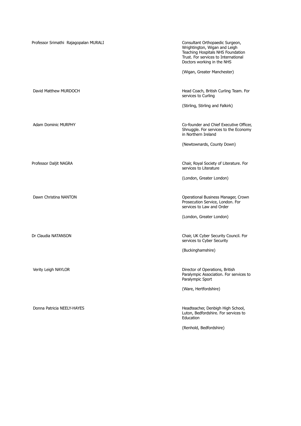| Professor Srimathi Rajagopalan MURALI | Consultant Orthopaedic Surgeon,<br>Wrightington, Wigan and Leigh<br>Teaching Hospitals NHS Foundation<br>Trust. For services to International<br>Doctors working in the NHS |
|---------------------------------------|-----------------------------------------------------------------------------------------------------------------------------------------------------------------------------|
|                                       | (Wigan, Greater Manchester)                                                                                                                                                 |
| David Matthew MURDOCH                 | Head Coach, British Curling Team. For<br>services to Curling                                                                                                                |
|                                       | (Stirling, Stirling and Falkirk)                                                                                                                                            |
| <b>Adam Dominic MURPHY</b>            | Co-founder and Chief Executive Officer,<br>Shnuggle. For services to the Economy<br>in Northern Ireland                                                                     |
|                                       | (Newtownards, County Down)                                                                                                                                                  |
| Professor Daljit NAGRA                | Chair, Royal Society of Literature. For<br>services to Literature                                                                                                           |
|                                       | (London, Greater London)                                                                                                                                                    |
| Dawn Christina NANTON                 | Operational Business Manager, Crown<br>Prosecution Service, London. For<br>services to Law and Order                                                                        |
|                                       | (London, Greater London)                                                                                                                                                    |
| Dr Claudia NATANSON                   | Chair, UK Cyber Security Council. For<br>services to Cyber Security                                                                                                         |
|                                       | (Buckinghamshire)                                                                                                                                                           |
| Verity Leigh NAYLOR                   | Director of Operations, British<br>Paralympic Association. For services to<br>Paralympic Sport                                                                              |
|                                       | (Ware, Hertfordshire)                                                                                                                                                       |
| Donna Patricia NEELY-HAYES            | Headteacher, Denbigh High School,<br>Luton, Bedfordshire. For services to<br>Education                                                                                      |
|                                       | (Renhold, Bedfordshire)                                                                                                                                                     |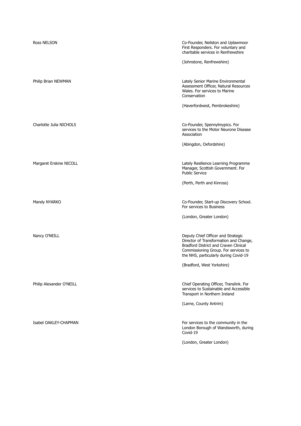| <b>Ross NELSON</b>       | Co-Founder, Neilston and Uplawmoor<br>First Responders. For voluntary and<br>charitable services in Renfrewshire<br>(Johnstone, Renfrewshire)                                                          |
|--------------------------|--------------------------------------------------------------------------------------------------------------------------------------------------------------------------------------------------------|
|                          |                                                                                                                                                                                                        |
| Philip Brian NEWMAN      | Lately Senior Marine Environmental<br>Assessment Officer, Natural Resources<br>Wales. For services to Marine<br>Conservation                                                                           |
|                          | (Haverfordwest, Pembrokeshire)                                                                                                                                                                         |
|                          |                                                                                                                                                                                                        |
| Charlotte Julia NICHOLS  | Co-Founder, Spennylmypics. For<br>services to the Motor Neurone Disease<br>Association                                                                                                                 |
|                          | (Abingdon, Oxfordshire)                                                                                                                                                                                |
|                          |                                                                                                                                                                                                        |
| Margaret Erskine NICOLL  | Lately Resilience Learning Programme<br>Manager, Scottish Government. For<br><b>Public Service</b>                                                                                                     |
|                          | (Perth, Perth and Kinross)                                                                                                                                                                             |
|                          |                                                                                                                                                                                                        |
| Mandy NYARKO             | Co-Founder, Start-up Discovery School.<br>For services to Business                                                                                                                                     |
|                          | (London, Greater London)                                                                                                                                                                               |
|                          |                                                                                                                                                                                                        |
| Nancy O'NEILL            | Deputy Chief Officer and Strategic<br>Director of Transformation and Change,<br>Bradford District and Craven Clinical<br>Commissioning Group. For services to<br>the NHS, particularly during Covid-19 |
|                          | (Bradford, West Yorkshire)                                                                                                                                                                             |
|                          |                                                                                                                                                                                                        |
| Philip Alexander O'NEILL | Chief Operating Officer, Translink. For<br>services to Sustainable and Accessible<br>Transport in Northern Ireland                                                                                     |
|                          | (Larne, County Antrim)                                                                                                                                                                                 |
|                          |                                                                                                                                                                                                        |
| Isabel OAKLEY-CHAPMAN    | For services to the community in the<br>London Borough of Wandsworth, during<br>Covid-19                                                                                                               |
|                          | (London, Greater London)                                                                                                                                                                               |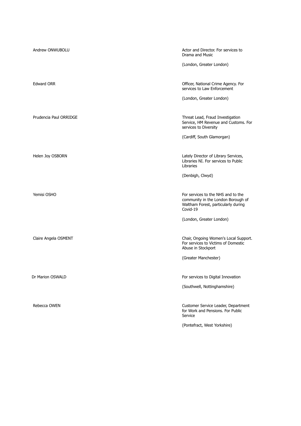| Andrew ONWUBOLU        | Actor and Director. For services to<br>Drama and Music<br>(London, Greater London)                                              |
|------------------------|---------------------------------------------------------------------------------------------------------------------------------|
| <b>Edward ORR</b>      | Officer, National Crime Agency. For<br>services to Law Enforcement<br>(London, Greater London)                                  |
| Prudencia Paul ORRIDGE | Threat Lead, Fraud Investigation<br>Service, HM Revenue and Customs. For<br>services to Diversity<br>(Cardiff, South Glamorgan) |
| Helen Joy OSBORN       | Lately Director of Library Services,<br>Libraries NI. For services to Public<br>Libraries<br>(Denbigh, Clwyd)                   |
| Yemisi OSHO            | For services to the NHS and to the<br>community in the London Borough of<br>Waltham Forest, particularly during<br>Covid-19     |
| Claire Angela OSMENT   | (London, Greater London)<br>Chair, Ongoing Women's Local Support.<br>For services to Victims of Domestic<br>Abuse in Stockport  |
|                        | (Greater Manchester)                                                                                                            |
| Dr Marion OSWALD       | For services to Digital Innovation<br>(Southwell, Nottinghamshire)                                                              |
| Rebecca OWEN           | Customer Service Leader, Department<br>for Work and Pensions. For Public<br>Service                                             |
|                        | (Pontefract, West Yorkshire)                                                                                                    |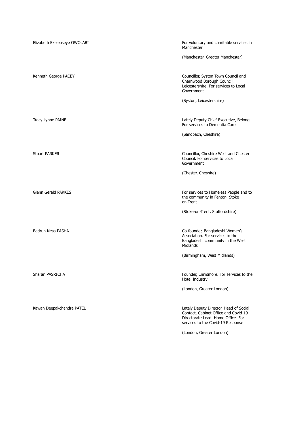| Elizabeth Ekeleoseye OWOLABI | For voluntary and charitable services in<br>Manchester                                                                                                    |
|------------------------------|-----------------------------------------------------------------------------------------------------------------------------------------------------------|
|                              | (Manchester, Greater Manchester)                                                                                                                          |
| Kenneth George PACEY         | Councillor, Syston Town Council and<br>Charnwood Borough Council,<br>Leicestershire. For services to Local<br>Government                                  |
|                              | (Syston, Leicestershire)                                                                                                                                  |
| Tracy Lynne PAINE            | Lately Deputy Chief Executive, Belong.<br>For services to Dementia Care                                                                                   |
|                              | (Sandbach, Cheshire)                                                                                                                                      |
| <b>Stuart PARKER</b>         | Councillor, Cheshire West and Chester<br>Council. For services to Local<br>Government                                                                     |
|                              | (Chester, Cheshire)                                                                                                                                       |
| <b>Glenn Gerald PARKES</b>   | For services to Homeless People and to<br>the community in Fenton, Stoke<br>on-Trent                                                                      |
|                              | (Stoke-on-Trent, Staffordshire)                                                                                                                           |
| Badrun Nesa PASHA            | Co-founder, Bangladeshi Women's<br>Association. For services to the<br>Bangladeshi community in the West<br>Midlands                                      |
|                              | (Birmingham, West Midlands)                                                                                                                               |
| Sharan PASRICHA              | Founder, Ennismore. For services to the<br>Hotel Industry                                                                                                 |
|                              | (London, Greater London)                                                                                                                                  |
| Kawan Deepakchandra PATEL    | Lately Deputy Director, Head of Social<br>Contact, Cabinet Office and Covid-19<br>Directorate Lead, Home Office. For<br>services to the Covid-19 Response |
|                              | (London, Greater London)                                                                                                                                  |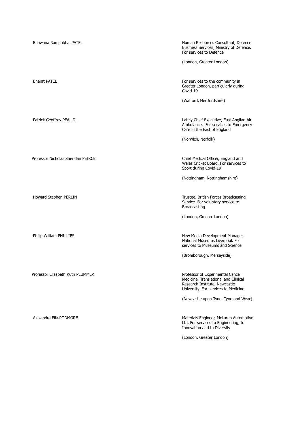Bhawana Ramanbhai PATEL Human Resources Consultant, Defence Business Services, Ministry of Defence. For services to Defence (London, Greater London) Bharat PATEL **For services** to the community in Greater London, particularly during Covid-19 (Watford, Hertfordshire) Patrick Geoffrey PEAL DL **Chief Executive, East Anglian Air** Lately Chief Executive, East Anglian Air Ambulance. For services to Emergency Care in the East of England (Norwich, Norfolk) Professor Nicholas Sheridan PEIRCE **Chief Medical Officer, England and** Wales Cricket Board. For services to Sport during Covid-19 (Nottingham, Nottinghamshire) Howard Stephen PERLIN Trustee, British Forces Broadcasting Service. For voluntary service to Broadcasting (London, Greater London) Philip William PHILLIPS **New Media Development Manager**, National Museums Liverpool. For services to Museums and Science (Bromborough, Merseyside) Professor Elizabeth Ruth PLUMMER **Professor Elizabeth Ruth PLUMMER Professor of Experimental Cancer** Medicine, Translational and Clinical Research Institute, Newcastle University. For services to Medicine (Newcastle upon Tyne, Tyne and Wear) Alexandra Ella PODMORE **Materials Engineer, McLaren Automotive** Materials Engineer, McLaren Automotive Ltd. For services to Engineering, to Innovation and to Diversity (London, Greater London)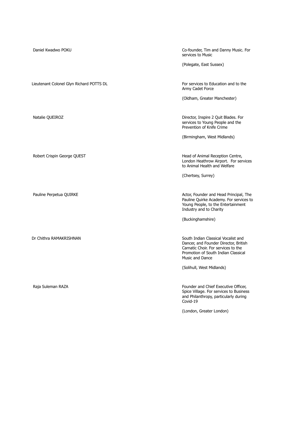| Daniel Kwadwo POKU                       | Co-founder, Tim and Danny Music. For<br>services to Music                                                                                                                     |
|------------------------------------------|-------------------------------------------------------------------------------------------------------------------------------------------------------------------------------|
|                                          | (Polegate, East Sussex)                                                                                                                                                       |
|                                          |                                                                                                                                                                               |
| Lieutenant Colonel Glyn Richard POTTS DL | For services to Education and to the<br>Army Cadet Force                                                                                                                      |
|                                          | (Oldham, Greater Manchester)                                                                                                                                                  |
|                                          |                                                                                                                                                                               |
| Natalie QUEIROZ                          | Director, Inspire 2 Quit Blades. For<br>services to Young People and the<br>Prevention of Knife Crime                                                                         |
|                                          | (Birmingham, West Midlands)                                                                                                                                                   |
|                                          |                                                                                                                                                                               |
| Robert Crispin George QUEST              | Head of Animal Reception Centre,<br>London Heathrow Airport. For services<br>to Animal Health and Welfare                                                                     |
|                                          | (Chertsey, Surrey)                                                                                                                                                            |
|                                          |                                                                                                                                                                               |
| Pauline Perpetua QUIRKE                  | Actor, Founder and Head Principal, The<br>Pauline Quirke Academy. For services to<br>Young People, to the Entertainment<br>Industry and to Charity                            |
|                                          | (Buckinghamshire)                                                                                                                                                             |
|                                          |                                                                                                                                                                               |
| Dr Chithra RAMAKRISHNAN                  | South Indian Classical Vocalist and<br>Dancer, and Founder Director, British<br>Carnatic Choir. For services to the<br>Promotion of South Indian Classical<br>Music and Dance |
|                                          | (Solihull, West Midlands)                                                                                                                                                     |
|                                          |                                                                                                                                                                               |
| Raja Suleman RAZA                        | Founder and Chief Executive Officer,<br>Spice Village. For services to Business<br>and Philanthropy, particularly during<br>Covid-19                                          |
|                                          | (London, Greater London)                                                                                                                                                      |
|                                          |                                                                                                                                                                               |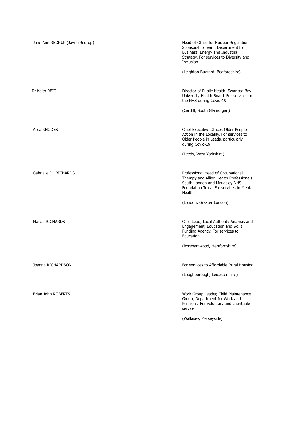| Jane Ann REDRUP (Jayne Redrup) | Head of Office for Nuclear Regulation<br>Sponsorship Team, Department for<br>Business, Energy and Industrial<br>Strategy. For services to Diversity and<br>Inclusion |
|--------------------------------|----------------------------------------------------------------------------------------------------------------------------------------------------------------------|
|                                | (Leighton Buzzard, Bedfordshire)                                                                                                                                     |
| Dr Keith REID                  | Director of Public Health, Swansea Bay<br>University Health Board. For services to<br>the NHS during Covid-19                                                        |
|                                | (Cardiff, South Glamorgan)                                                                                                                                           |
| Ailsa RHODES                   | Chief Executive Officer, Older People's<br>Action in the Locality. For services to<br>Older People in Leeds, particularly<br>during Covid-19                         |
|                                | (Leeds, West Yorkshire)                                                                                                                                              |
| Gabrielle Jill RICHARDS        | Professional Head of Occupational<br>Therapy and Allied Health Professionals,<br>South London and Maudsley NHS<br>Foundation Trust. For services to Mental<br>Health |
|                                | (London, Greater London)                                                                                                                                             |
| Marcia RICHARDS                | Case Lead, Local Authority Analysis and<br>Engagement, Education and Skills<br>Funding Agency. For services to<br>Education                                          |
|                                | (Borehamwood, Hertfordshire)                                                                                                                                         |
| Joanna RICHARDSON              | For services to Affordable Rural Housing                                                                                                                             |
|                                | (Loughborough, Leicestershire)                                                                                                                                       |
| <b>Brian John ROBERTS</b>      | Work Group Leader, Child Maintenance<br>Group, Department for Work and<br>Pensions. For voluntary and charitable<br>service                                          |
|                                | (Wallasey, Merseyside)                                                                                                                                               |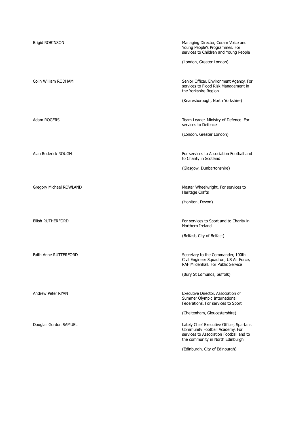| <b>Brigid ROBINSON</b>  | Managing Director, Coram Voice and<br>Young People's Programmes. For<br>services to Children and Young People                                              |
|-------------------------|------------------------------------------------------------------------------------------------------------------------------------------------------------|
|                         | (London, Greater London)                                                                                                                                   |
| Colin William RODHAM    | Senior Officer, Environment Agency. For<br>services to Flood Risk Management in<br>the Yorkshire Region                                                    |
|                         | (Knaresborough, North Yorkshire)                                                                                                                           |
| Adam ROGERS             | Team Leader, Ministry of Defence. For<br>services to Defence                                                                                               |
|                         | (London, Greater London)                                                                                                                                   |
| Alan Roderick ROUGH     | For services to Association Football and<br>to Charity in Scotland                                                                                         |
|                         | (Glasgow, Dunbartonshire)                                                                                                                                  |
| Gregory Michael ROWLAND | Master Wheelwright. For services to<br>Heritage Crafts                                                                                                     |
|                         | (Honiton, Devon)                                                                                                                                           |
| Eilish RUTHERFORD       | For services to Sport and to Charity in<br>Northern Ireland                                                                                                |
|                         | (Belfast, City of Belfast)                                                                                                                                 |
| Faith Anne RUTTERFORD   | Secretary to the Commander, 100th<br>Civil Engineer Squadron, US Air Force,<br>RAF Mildenhall. For Public Service                                          |
|                         | (Bury St Edmunds, Suffolk)                                                                                                                                 |
| Andrew Peter RYAN       | Executive Director, Association of<br>Summer Olympic International<br>Federations. For services to Sport                                                   |
|                         | (Cheltenham, Gloucestershire)                                                                                                                              |
| Douglas Gordon SAMUEL   | Lately Chief Executive Officer, Spartans<br>Community Football Academy. For<br>services to Association Football and to<br>the community in North Edinburgh |
|                         | (Edinburgh, City of Edinburgh)                                                                                                                             |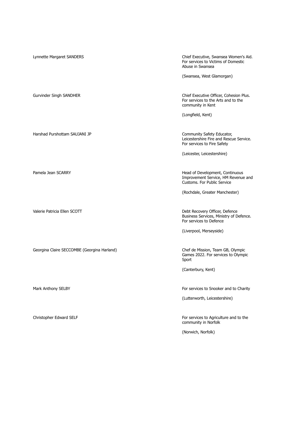Lynnette Margaret SANDERS Chief Executive, Swansea Women's Aid. For services to Victims of Domestic Abuse in Swansea (Swansea, West Glamorgan) Gurvinder Singh SANDHER Chief Executive Officer, Cohesion Plus. For services to the Arts and to the community in Kent (Longfield, Kent) Harshad Purshottam SAUJANI JP Community Safety Educator, Leicestershire Fire and Rescue Service. For services to Fire Safety (Leicester, Leicestershire) Pamela Jean SCARRY **Example 20 and 20 and 20 and 20 and 20 and 20 and 20 and 20 and 20 and 20 and 20 and 20 and 20 and 20 and 20 and 20 and 20 and 20 and 20 and 20 and 20 and 20 and 20 and 20 and 20 and 20 and 20 and 20 an** Improvement Service, HM Revenue and Customs. For Public Service (Rochdale, Greater Manchester) Valerie Patricia Ellen SCOTT Debt Recovery Officer, Defence Business Services, Ministry of Defence. For services to Defence (Liverpool, Merseyside) Georgina Claire SECCOMBE (Georgina Harland) Chef de Mission, Team GB, Olympic Games 2022. For services to Olympic Sport (Canterbury, Kent) Mark Anthony SELBY For services to Snooker and to Charity (Lutterworth, Leicestershire) Christopher Edward SELF **For services to Agriculture and to the** community in Norfolk (Norwich, Norfolk)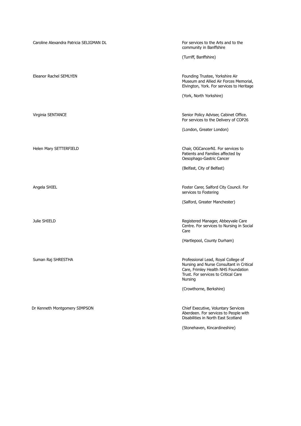| Caroline Alexandra Patricia SELIGMAN DL | For services to the Arts and to the<br>community in Banffshire                                                                                                            |
|-----------------------------------------|---------------------------------------------------------------------------------------------------------------------------------------------------------------------------|
|                                         | (Turriff, Banffshire)                                                                                                                                                     |
|                                         |                                                                                                                                                                           |
| Eleanor Rachel SEMLYEN                  | Founding Trustee, Yorkshire Air<br>Museum and Allied Air Forces Memorial,<br>Elvington, York. For services to Heritage                                                    |
|                                         | (York, North Yorkshire)                                                                                                                                                   |
|                                         |                                                                                                                                                                           |
| Virginia SENTANCE                       | Senior Policy Adviser, Cabinet Office.<br>For services to the Delivery of COP26                                                                                           |
|                                         | (London, Greater London)                                                                                                                                                  |
|                                         |                                                                                                                                                                           |
| Helen Mary SETTERFIELD                  | Chair, OGCancerNI. For services to<br>Patients and Families affected by<br>Oesophago-Gastric Cancer                                                                       |
|                                         | (Belfast, City of Belfast)                                                                                                                                                |
|                                         |                                                                                                                                                                           |
| Angela SHIEL                            | Foster Carer, Salford City Council. For<br>services to Fostering                                                                                                          |
|                                         | (Salford, Greater Manchester)                                                                                                                                             |
|                                         |                                                                                                                                                                           |
| Julie SHIELD                            | Registered Manager, Abbeyvale Care<br>Centre. For services to Nursing in Social<br>Care                                                                                   |
|                                         | (Hartlepool, County Durham)                                                                                                                                               |
|                                         |                                                                                                                                                                           |
| Suman Raj SHRESTHA                      | Professional Lead, Royal College of<br>Nursing and Nurse Consultant in Critical<br>Care, Frimley Health NHS Foundation<br>Trust. For services to Critical Care<br>Nursing |
|                                         | (Crowthorne, Berkshire)                                                                                                                                                   |
|                                         |                                                                                                                                                                           |
| Dr Kenneth Montgomery SIMPSON           | Chief Executive, Voluntary Services<br>Aberdeen. For services to People with<br>Disabilities in North East Scotland                                                       |

(Stonehaven, Kincardineshire)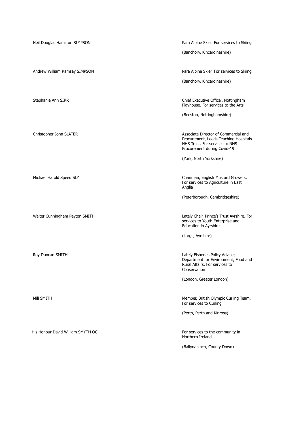Neil Douglas Hamilton SIMPSON Para Alpine Skier. For services to Skiing (Banchory, Kincardineshire) Andrew William Ramsay SIMPSON Para Alpine Skier. For services to Skiing (Banchory, Kincardineshire) Stephanie Ann SIRR Chief Executive Officer, Nottingham Playhouse. For services to the Arts (Beeston, Nottinghamshire) Christopher John SLATER **Associate Director of Commercial and** Procurement, Leeds Teaching Hospitals NHS Trust. For services to NHS Procurement during Covid-19 (York, North Yorkshire) Michael Harold Speed SLY Chairman, English Mustard Growers. For services to Agriculture in East Anglia (Peterborough, Cambridgeshire) Walter Cunningham Peyton SMITH **Lately Chair, Prince's Trust Ayrshire.** For services to Youth Enterprise and Education in Ayrshire (Largs, Ayrshire) Roy Duncan SMITH **Roy Duncan SMITH Lately Fisheries Policy Adviser,** Department for Environment, Food and Rural Affairs. For services to Conservation (London, Greater London) Mili SMITH Member, British Olympic Curling Team. For services to Curling (Perth, Perth and Kinross) His Honour David William SMYTH QC **Formulation** For services to the community in Northern Ireland (Ballynahinch, County Down)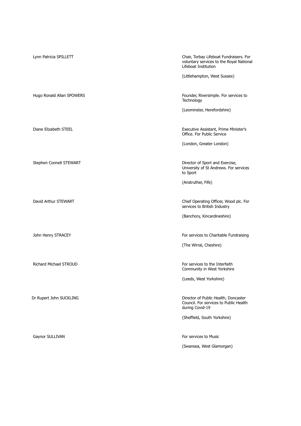| Lynn Patricia SPILLETT        | Chair, Torbay Lifeboat Fundraisers. For<br>voluntary services to the Royal National<br>Lifeboat Institution |
|-------------------------------|-------------------------------------------------------------------------------------------------------------|
|                               | (Littlehampton, West Sussex)                                                                                |
| Hugo Ronald Allan SPOWERS     | Founder, Riversimple. For services to<br>Technology                                                         |
|                               | (Leominster, Herefordshire)                                                                                 |
| Diane Elizabeth STEEL         | Executive Assistant, Prime Minister's<br>Office. For Public Service                                         |
|                               | (London, Greater London)                                                                                    |
| Stephen Connell STEWART       | Director of Sport and Exercise,<br>University of St Andrews. For services<br>to Sport                       |
|                               | (Anstruther, Fife)                                                                                          |
| David Arthur STEWART          | Chief Operating Officer, Wood plc. For<br>services to British Industry                                      |
|                               | (Banchory, Kincardineshire)                                                                                 |
| John Henry STRACEY            | For services to Charitable Fundraising                                                                      |
|                               | (The Wirral, Cheshire)                                                                                      |
| <b>Richard Michael STROUD</b> | For services to the Interfaith<br>Community in West Yorkshire                                               |
|                               | (Leeds, West Yorkshire)                                                                                     |
| Dr Rupert John SUCKLING       | Director of Public Health, Doncaster<br>Council. For services to Public Health<br>during Covid-19           |
|                               | (Sheffield, South Yorkshire)                                                                                |
| Gaynor SULLIVAN               | For services to Music                                                                                       |
|                               | (Swansea, West Glamorgan)                                                                                   |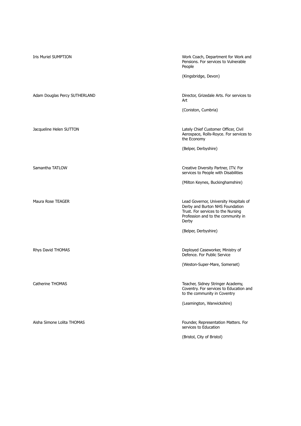| <b>Iris Muriel SUMPTION</b>   | Work Coach, Department for Work and<br>Pensions. For services to Vulnerable<br>People                                                                          |
|-------------------------------|----------------------------------------------------------------------------------------------------------------------------------------------------------------|
|                               | (Kingsbridge, Devon)                                                                                                                                           |
| Adam Douglas Percy SUTHERLAND | Director, Grizedale Arts. For services to<br>Art                                                                                                               |
|                               | (Coniston, Cumbria)                                                                                                                                            |
| Jacqueline Helen SUTTON       | Lately Chief Customer Officer, Civil<br>Aerospace, Rolls-Royce. For services to<br>the Economy                                                                 |
|                               | (Belper, Derbyshire)                                                                                                                                           |
|                               |                                                                                                                                                                |
| Samantha TATLOW               | Creative Diversity Partner, ITV. For<br>services to People with Disabilities                                                                                   |
|                               | (Milton Keynes, Buckinghamshire)                                                                                                                               |
| Maura Rose TEAGER             | Lead Governor, University Hospitals of<br>Derby and Burton NHS Foundation<br>Trust. For services to the Nursing<br>Profession and to the community in<br>Derby |
|                               | (Belper, Derbyshire)                                                                                                                                           |
| Rhys David THOMAS             | Deployed Caseworker, Ministry of<br>Defence. For Public Service                                                                                                |
|                               | (Weston-Super-Mare, Somerset)                                                                                                                                  |
| Catherine THOMAS              | Teacher, Sidney Stringer Academy,<br>Coventry. For services to Education and<br>to the community in Coventry                                                   |
|                               | (Leamington, Warwickshire)                                                                                                                                     |
| Aisha Simone Lolita THOMAS    | Founder, Representation Matters. For<br>services to Education                                                                                                  |
|                               | (Bristol, City of Bristol)                                                                                                                                     |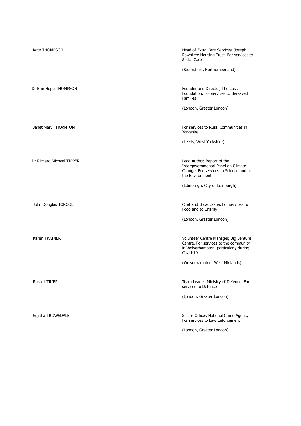| Kate THOMPSON             | Head of Extra Care Services, Joseph                                                                                                 |
|---------------------------|-------------------------------------------------------------------------------------------------------------------------------------|
|                           | Rowntree Housing Trust. For services to<br>Social Care                                                                              |
|                           | (Stocksfield, Northumberland)                                                                                                       |
| Dr Erin Hope THOMPSON     | Founder and Director, The Loss<br>Foundation. For services to Bereaved<br><b>Families</b>                                           |
|                           | (London, Greater London)                                                                                                            |
| Janet Mary THORNTON       | For services to Rural Communities in<br>Yorkshire                                                                                   |
|                           | (Leeds, West Yorkshire)                                                                                                             |
| Dr Richard Michael TIPPER | Lead Author, Report of the<br>Intergovernmental Panel on Climate<br>Change. For services to Science and to<br>the Environment       |
|                           | (Edinburgh, City of Edinburgh)                                                                                                      |
| John Douglas TORODE       | Chef and Broadcaster. For services to<br>Food and to Charity                                                                        |
|                           | (London, Greater London)                                                                                                            |
| Karen TRAINER             | Volunteer Centre Manager, Big Venture<br>Centre. For services to the community<br>in Wolverhampton, particularly during<br>Covid-19 |
|                           | (Wolverhampton, West Midlands)                                                                                                      |
| <b>Russell TRIPP</b>      | Team Leader, Ministry of Defence. For<br>services to Defence                                                                        |
|                           | (London, Greater London)                                                                                                            |
| Sujitha TROWSDALE         | Senior Officer, National Crime Agency.<br>For services to Law Enforcement                                                           |
|                           | (London, Greater London)                                                                                                            |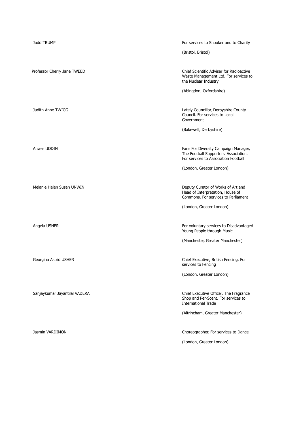| <b>Judd TRUMP</b>             | For services to Snooker and to Charity                                                                                |
|-------------------------------|-----------------------------------------------------------------------------------------------------------------------|
|                               | (Bristol, Bristol)                                                                                                    |
|                               |                                                                                                                       |
| Professor Cherry Jane TWEED   | Chief Scientific Adviser for Radioactive<br>Waste Management Ltd. For services to<br>the Nuclear Industry             |
|                               | (Abingdon, Oxfordshire)                                                                                               |
|                               |                                                                                                                       |
| Judith Anne TWIGG             | Lately Councillor, Derbyshire County<br>Council. For services to Local<br>Government                                  |
|                               | (Bakewell, Derbyshire)                                                                                                |
|                               |                                                                                                                       |
| Anwar UDDIN                   | Fans For Diversity Campaign Manager,<br>The Football Supporters' Association.<br>For services to Association Football |
|                               | (London, Greater London)                                                                                              |
|                               |                                                                                                                       |
| Melanie Helen Susan UNWIN     | Deputy Curator of Works of Art and<br>Head of Interpretation, House of<br>Commons. For services to Parliament         |
|                               | (London, Greater London)                                                                                              |
|                               |                                                                                                                       |
| Angela USHER                  | For voluntary services to Disadvantaged<br>Young People through Music                                                 |
|                               | (Manchester, Greater Manchester)                                                                                      |
|                               |                                                                                                                       |
| Georgina Astrid USHER         | Chief Executive, British Fencing. For<br>services to Fencing                                                          |
|                               | (London, Greater London)                                                                                              |
|                               |                                                                                                                       |
| Sanjaykumar Jayantilal VADERA | Chief Executive Officer, The Fragrance<br>Shop and Per-Scent. For services to<br><b>International Trade</b>           |
|                               | (Altrincham, Greater Manchester)                                                                                      |
|                               |                                                                                                                       |
| Jasmin VARDIMON               | Choreographer. For services to Dance                                                                                  |
|                               | (London, Greater London)                                                                                              |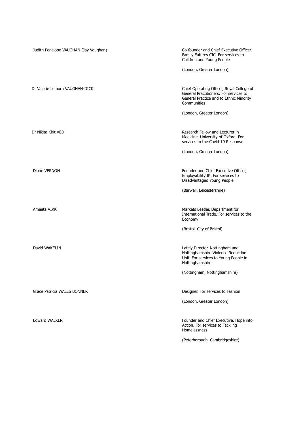| Judith Penelope VAUGHAN (Jay Vaughan) | Co-founder and Chief Executive Officer,<br>Family Futures CIC. For services to<br>Children and Young People                                   |
|---------------------------------------|-----------------------------------------------------------------------------------------------------------------------------------------------|
|                                       | (London, Greater London)                                                                                                                      |
| Dr Valerie Lemorn VAUGHAN-DICK        | Chief Operating Officer, Royal College of<br>General Practitioners. For services to<br>General Practice and to Ethnic Minority<br>Communities |
|                                       | (London, Greater London)                                                                                                                      |
| Dr Nikita Kirit VED                   | Research Fellow and Lecturer in<br>Medicine, University of Oxford. For<br>services to the Covid-19 Response                                   |
|                                       | (London, Greater London)                                                                                                                      |
| Diane VERNON                          | Founder and Chief Executive Officer,<br>EmployabilityUK. For services to<br>Disadvantaged Young People                                        |
|                                       | (Barwell, Leicestershire)                                                                                                                     |
| Ameeta VIRK                           | Markets Leader, Department for<br>International Trade. For services to the<br>Economy                                                         |
|                                       | (Bristol, City of Bristol)                                                                                                                    |
| David WAKELIN                         | Lately Director, Nottingham and<br>Nottinghamshire Violence Reduction<br>Unit. For services to Young People in<br>Nottinghamshire             |
|                                       | (Nottingham, Nottinghamshire)                                                                                                                 |
| Grace Patricia WALES BONNER           | Designer. For services to Fashion                                                                                                             |
|                                       | (London, Greater London)                                                                                                                      |
| <b>Edward WALKER</b>                  | Founder and Chief Executive, Hope into<br>Action. For services to Tackling<br>Homelessness                                                    |
|                                       | (Peterborough, Cambridgeshire)                                                                                                                |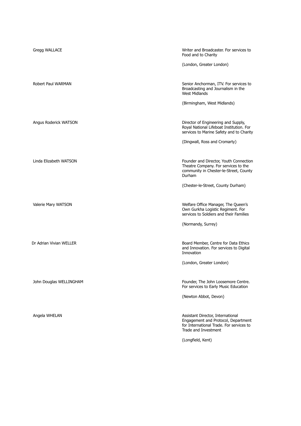| Gregg WALLACE           | Writer and Broadcaster. For services to<br>Food and to Charity                                                                               |
|-------------------------|----------------------------------------------------------------------------------------------------------------------------------------------|
|                         | (London, Greater London)                                                                                                                     |
| Robert Paul WARMAN      | Senior Anchorman, ITV. For services to<br>Broadcasting and Journalism in the<br><b>West Midlands</b>                                         |
|                         | (Birmingham, West Midlands)                                                                                                                  |
| Angus Roderick WATSON   | Director of Engineering and Supply,<br>Royal National Lifeboat Institution. For<br>services to Marine Safety and to Charity                  |
|                         | (Dingwall, Ross and Cromarty)                                                                                                                |
| Linda Elizabeth WATSON  | Founder and Director, Youth Connection<br>Theatre Company. For services to the<br>community in Chester-le-Street, County<br>Durham           |
|                         | (Chester-le-Street, County Durham)                                                                                                           |
| Valerie Mary WATSON     | Welfare Office Manager, The Queen's<br>Own Gurkha Logistic Regiment. For<br>services to Soldiers and their Families                          |
|                         | (Normandy, Surrey)                                                                                                                           |
| Dr Adrian Vivian WELLER | Board Member, Centre for Data Ethics<br>and Innovation. For services to Digital<br>Innovation                                                |
|                         | (London, Greater London)                                                                                                                     |
| John Douglas WELLINGHAM | Founder, The John Loosemore Centre.<br>For services to Early Music Education                                                                 |
|                         | (Newton Abbot, Devon)                                                                                                                        |
| Angela WHELAN           | Assistant Director, International<br>Engagement and Protocol, Department<br>for International Trade. For services to<br>Trade and Investment |
|                         | (Longfield, Kent)                                                                                                                            |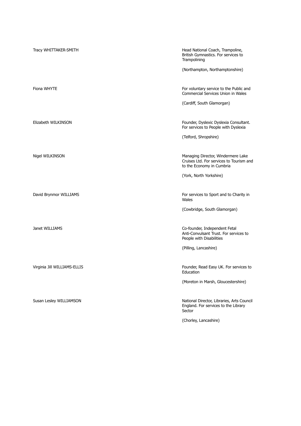| Tracy WHITTAKER-SMITH        | Head National Coach, Trampoline,<br>British Gymnastics. For services to<br>Trampolining<br>(Northampton, Northamptonshire) |
|------------------------------|----------------------------------------------------------------------------------------------------------------------------|
|                              |                                                                                                                            |
| Fiona WHYTE                  | For voluntary service to the Public and<br><b>Commercial Services Union in Wales</b>                                       |
|                              | (Cardiff, South Glamorgan)                                                                                                 |
|                              |                                                                                                                            |
| Elizabeth WILKINSON          | Founder, Dyslexic Dyslexia Consultant.<br>For services to People with Dyslexia                                             |
|                              | (Telford, Shropshire)                                                                                                      |
|                              |                                                                                                                            |
| Nigel WILKINSON              | Managing Director, Windermere Lake<br>Cruises Ltd. For services to Tourism and<br>to the Economy in Cumbria                |
|                              | (York, North Yorkshire)                                                                                                    |
|                              |                                                                                                                            |
| David Brynmor WILLIAMS       | For services to Sport and to Charity in<br>Wales                                                                           |
|                              | (Cowbridge, South Glamorgan)                                                                                               |
|                              |                                                                                                                            |
| Janet WILLIAMS               | Co-founder, Independent Fetal<br>Anti-Convulsant Trust. For services to<br>People with Disabilities                        |
|                              | (Pilling, Lancashire)                                                                                                      |
|                              |                                                                                                                            |
| Virginia Jill WILLIAMS-ELLIS | Founder, Read Easy UK. For services to<br>Education                                                                        |
|                              | (Moreton in Marsh, Gloucestershire)                                                                                        |
|                              |                                                                                                                            |
| Susan Lesley WILLIAMSON      | National Director, Libraries, Arts Council<br>England. For services to the Library<br>Sector                               |
|                              | (Chorley, Lancashire)                                                                                                      |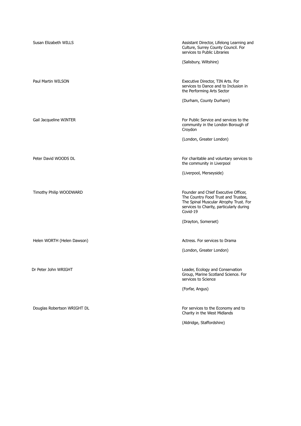| Susan Elizabeth WILLS       | Assistant Director, Lifelong Learning and<br>Culture, Surrey County Council. For<br>services to Public Libraries                                                              |
|-----------------------------|-------------------------------------------------------------------------------------------------------------------------------------------------------------------------------|
|                             | (Salisbury, Wiltshire)                                                                                                                                                        |
| Paul Martin WILSON          | Executive Director, TIN Arts. For<br>services to Dance and to Inclusion in<br>the Performing Arts Sector                                                                      |
|                             | (Durham, County Durham)                                                                                                                                                       |
| Gail Jacqueline WINTER      | For Public Service and services to the<br>community in the London Borough of<br>Croydon                                                                                       |
|                             | (London, Greater London)                                                                                                                                                      |
| Peter David WOODS DL        | For charitable and voluntary services to<br>the community in Liverpool                                                                                                        |
|                             | (Liverpool, Merseyside)                                                                                                                                                       |
| Timothy Philip WOODWARD     | Founder and Chief Executive Officer,<br>The Country Food Trust and Trustee,<br>The Spinal Muscular Atrophy Trust. For<br>services to Charity, particularly during<br>Covid-19 |
|                             | (Drayton, Somerset)                                                                                                                                                           |
| Helen WORTH (Helen Dawson)  | Actress. For services to Drama                                                                                                                                                |
|                             | (London, Greater London)                                                                                                                                                      |
| Dr Peter John WRIGHT        | Leader, Ecology and Conservation<br>Group, Marine Scotland Science. For<br>services to Science                                                                                |
|                             | (Forfar, Angus)                                                                                                                                                               |
| Douglas Robertson WRIGHT DL | For services to the Economy and to<br>Charity in the West Midlands                                                                                                            |
|                             | (Aldridge, Staffordshire)                                                                                                                                                     |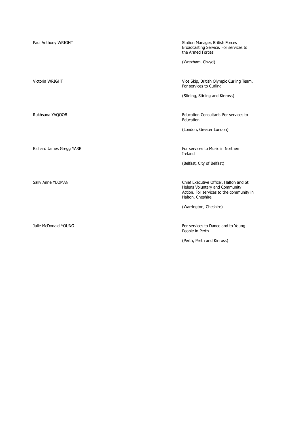| Paul Anthony WRIGHT      | Station Manager, British Forces<br>Broadcasting Service. For services to<br>the Armed Forces                                             |
|--------------------------|------------------------------------------------------------------------------------------------------------------------------------------|
|                          | (Wrexham, Clwyd)                                                                                                                         |
| Victoria WRIGHT          | Vice Skip, British Olympic Curling Team.<br>For services to Curling                                                                      |
|                          | (Stirling, Stirling and Kinross)                                                                                                         |
|                          |                                                                                                                                          |
| Rukhsana YAQOOB          | Education Consultant. For services to<br>Education                                                                                       |
|                          | (London, Greater London)                                                                                                                 |
|                          |                                                                                                                                          |
| Richard James Gregg YARR | For services to Music in Northern<br>Ireland                                                                                             |
|                          | (Belfast, City of Belfast)                                                                                                               |
|                          |                                                                                                                                          |
| Sally Anne YEOMAN        | Chief Executive Officer, Halton and St<br>Helens Voluntary and Community<br>Action. For services to the community in<br>Halton, Cheshire |
|                          | (Warrington, Cheshire)                                                                                                                   |
|                          |                                                                                                                                          |
| Julie McDonald YOUNG     | For services to Dance and to Young<br>People in Perth                                                                                    |
|                          | (Perth, Perth and Kinross)                                                                                                               |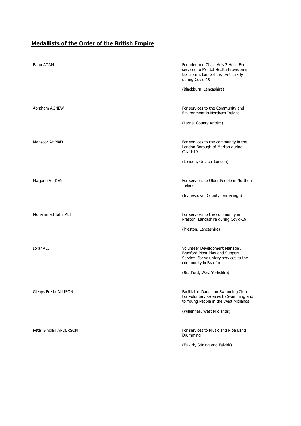## **Medallists of the Order of the British Empire**

| Banu ADAM               | Founder and Chair, Arts 2 Heal. For<br>services to Mental Health Provision in<br>Blackburn, Lancashire, particularly<br>during Covid-19 |
|-------------------------|-----------------------------------------------------------------------------------------------------------------------------------------|
|                         | (Blackburn, Lancashire)                                                                                                                 |
| Abraham AGNEW           | For services to the Community and<br>Environment in Northern Ireland                                                                    |
|                         | (Larne, County Antrim)                                                                                                                  |
| Mansoor AHMAD           | For services to the community in the<br>London Borough of Merton during<br>Covid-19                                                     |
|                         | (London, Greater London)                                                                                                                |
| Marjorie AITKEN         | For services to Older People in Northern<br>Ireland                                                                                     |
|                         | (Irvinestown, County Fermanagh)                                                                                                         |
| Mohammed Tahir ALI      | For services to the community in<br>Preston, Lancashire during Covid-19                                                                 |
|                         | (Preston, Lancashire)                                                                                                                   |
| Ibrar ALI               | Volunteer Development Manager,<br>Bradford Moor Play and Support<br>Service. For voluntary services to the<br>community in Bradford     |
|                         | (Bradford, West Yorkshire)                                                                                                              |
| Glenys Freda ALLISON    | Facilitator, Darlaston Swimming Club.<br>For voluntary services to Swimming and<br>to Young People in the West Midlands                 |
|                         | (Willenhall, West Midlands)                                                                                                             |
| Peter Sinclair ANDERSON | For services to Music and Pipe Band<br>Drumming                                                                                         |
|                         | (Falkirk, Stirling and Falkirk)                                                                                                         |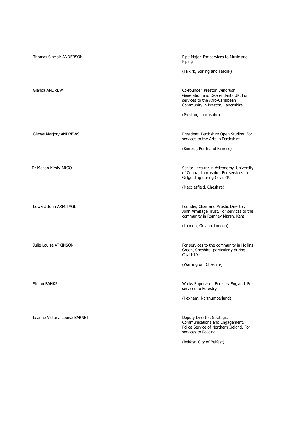| <b>Thomas Sinclair ANDERSON</b> | Pipe Major. For services to Music and<br>Piping                                                                                          |
|---------------------------------|------------------------------------------------------------------------------------------------------------------------------------------|
|                                 | (Falkirk, Stirling and Falkirk)                                                                                                          |
| Glenda ANDREW                   | Co-founder, Preston Windrush<br>Generation and Descendants UK. For<br>services to the Afro-Caribbean<br>Community in Preston, Lancashire |
|                                 | (Preston, Lancashire)                                                                                                                    |
| Glenys Marjory ANDREWS          | President, Perthshire Open Studios. For<br>services to the Arts in Perthshire                                                            |
|                                 | (Kinross, Perth and Kinross)                                                                                                             |
| Dr Megan Kirsty ARGO            | Senior Lecturer in Astronomy, University<br>of Central Lancashire. For services to<br>Girlguiding during Covid-19                        |
|                                 | (Macclesfield, Cheshire)                                                                                                                 |
| Edward John ARMITAGE            | Founder, Chair and Artistic Director,<br>John Armitage Trust. For services to the<br>community in Romney Marsh, Kent                     |
|                                 | (London, Greater London)                                                                                                                 |
| Julie Louise ATKINSON           | For services to the community in Hollins<br>Green, Cheshire, particularly during<br>Covid-19                                             |
|                                 | (Warrington, Cheshire)                                                                                                                   |
| Simon BANKS                     | Works Supervisor, Forestry England. For<br>services to Forestry.                                                                         |
|                                 | (Hexham, Northumberland)                                                                                                                 |
| Leanne Victoria Louise BARNETT  | Deputy Director, Strategic<br>Communications and Engagement,<br>Police Service of Northern Ireland. For<br>services to Policing          |
|                                 | (Belfast, City of Belfast)                                                                                                               |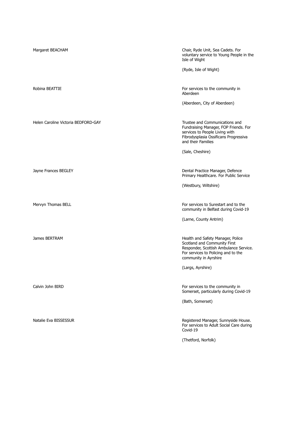| Margaret BEACHAM                    | Chair, Ryde Unit, Sea Cadets. For<br>voluntary service to Young People in the<br>Isle of Wight                                                                                                   |
|-------------------------------------|--------------------------------------------------------------------------------------------------------------------------------------------------------------------------------------------------|
|                                     | (Ryde, Isle of Wight)                                                                                                                                                                            |
| Robina BEATTIE                      | For services to the community in<br>Aberdeen                                                                                                                                                     |
|                                     | (Aberdeen, City of Aberdeen)                                                                                                                                                                     |
| Helen Caroline Victoria BEDFORD-GAY | Trustee and Communications and<br>Fundraising Manager, FOP Friends. For<br>services to People Living with<br>Fibrodysplasia Ossificans Progressiva<br>and their Families                         |
|                                     | (Sale, Cheshire)                                                                                                                                                                                 |
| Jayne Frances BEGLEY                | Dental Practice Manager, Defence<br>Primary Healthcare. For Public Service                                                                                                                       |
|                                     | (Westbury, Wiltshire)                                                                                                                                                                            |
|                                     |                                                                                                                                                                                                  |
| Mervyn Thomas BELL                  | For services to Surestart and to the<br>community in Belfast during Covid-19                                                                                                                     |
|                                     | (Larne, County Antrim)                                                                                                                                                                           |
| James BERTRAM                       | Health and Safety Manager, Police<br>Scotland and Community First<br>Responder, Scottish Ambulance Service.<br>For services to Policing and to the<br>community in Ayrshire<br>(Largs, Ayrshire) |
|                                     |                                                                                                                                                                                                  |
| Calvin John BIRD                    | For services to the community in<br>Somerset, particularly during Covid-19                                                                                                                       |
|                                     | (Bath, Somerset)                                                                                                                                                                                 |
| Natalie Eva BISSESSUR               | Registered Manager, Sunnyside House.<br>For services to Adult Social Care during<br>Covid-19                                                                                                     |
|                                     | (Thetford, Norfolk)                                                                                                                                                                              |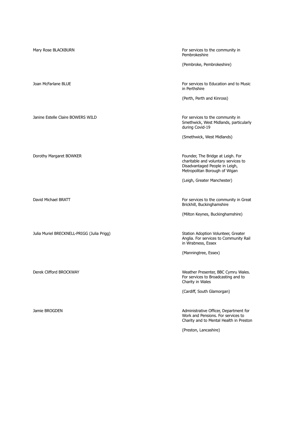| Mary Rose BLACKBURN                        | For services to the community in<br>Pembrokeshire                                                                                            |
|--------------------------------------------|----------------------------------------------------------------------------------------------------------------------------------------------|
|                                            | (Pembroke, Pembrokeshire)                                                                                                                    |
| Joan McFarlane BLUE                        | For services to Education and to Music<br>in Perthshire                                                                                      |
|                                            | (Perth, Perth and Kinross)                                                                                                                   |
| Janine Estelle Claire BOWERS WILD          | For services to the community in<br>Smethwick, West Midlands, particularly<br>during Covid-19                                                |
|                                            | (Smethwick, West Midlands)                                                                                                                   |
| Dorothy Margaret BOWKER                    | Founder, The Bridge at Leigh. For<br>charitable and voluntary services to<br>Disadvantaged People in Leigh,<br>Metropolitan Borough of Wigan |
|                                            | (Leigh, Greater Manchester)                                                                                                                  |
| David Michael BRATT                        | For services to the community in Great<br>Brickhill, Buckinghamshire                                                                         |
|                                            | (Milton Keynes, Buckinghamshire)                                                                                                             |
| Julia Muriel BRECKNELL-PRIGG (Julia Prigg) | Station Adoption Volunteer, Greater<br>Anglia. For services to Community Rail<br>in Wrabness, Essex                                          |
|                                            | (Manningtree, Essex)                                                                                                                         |
| Derek Clifford BROCKWAY                    | Weather Presenter, BBC Cymru Wales.<br>For services to Broadcasting and to<br>Charity in Wales                                               |
|                                            | (Cardiff, South Glamorgan)                                                                                                                   |
| Jamie BROGDEN                              | Administrative Officer, Department for<br>Work and Pensions. For services to<br>Charity and to Mental Health in Preston                      |
|                                            | (Preston, Lancashire)                                                                                                                        |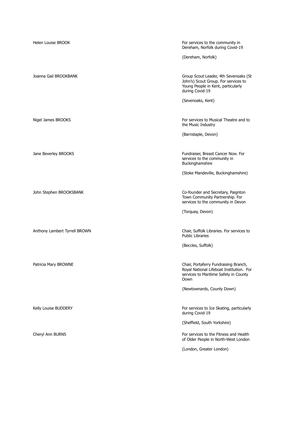| <b>Helen Louise BROOK</b>     | For services to the community in<br>Dereham, Norfolk during Covid-19                                                                   |
|-------------------------------|----------------------------------------------------------------------------------------------------------------------------------------|
|                               | (Dereham, Norfolk)                                                                                                                     |
| Joanna Gail BROOKBANK         | Group Scout Leader, 4th Sevenoaks (St<br>John's) Scout Group. For services to<br>Young People in Kent, particularly<br>during Covid-19 |
|                               | (Sevenoaks, Kent)                                                                                                                      |
| Nigel James BROOKS            | For services to Musical Theatre and to<br>the Music Industry                                                                           |
|                               | (Barnstaple, Devon)                                                                                                                    |
| Jane Beverley BROOKS          | Fundraiser, Breast Cancer Now. For<br>services to the community in<br>Buckinghamshire                                                  |
|                               | (Stoke Mandeville, Buckinghamshire)                                                                                                    |
| John Stephen BROOKSBANK       | Co-founder and Secretary, Paignton<br>Town Community Partnership. For<br>services to the community in Devon                            |
|                               | (Torquay, Devon)                                                                                                                       |
| Anthony Lambert Tyrrell BROWN | Chair, Suffolk Libraries. For services to<br><b>Public Libraries</b>                                                                   |
|                               | (Beccles, Suffolk)                                                                                                                     |
| Patricia Mary BROWNE          | Chair, Portaferry Fundraising Branch,<br>Royal National Lifeboat Institution. For<br>services to Maritime Safety in County<br>Down     |
|                               | (Newtownards, County Down)                                                                                                             |
| Kelly Louise BUDDERY          | For services to Ice Skating, particularly<br>during Covid-19                                                                           |
|                               | (Sheffield, South Yorkshire)                                                                                                           |
| Cheryl Ann BURNS              | For services to the Fitness and Health<br>of Older People in North-West London                                                         |
|                               | (London, Greater London)                                                                                                               |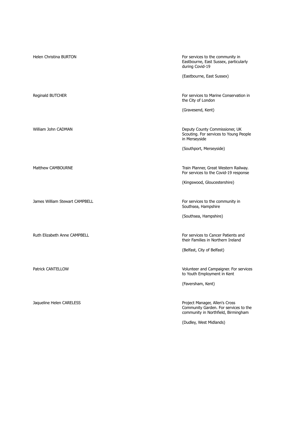Helen Christina BURTON For services to the community in Eastbourne, East Sussex, particularly during Covid-19 (Eastbourne, East Sussex) Reginald BUTCHER For services to Marine Conservation in the City of London (Gravesend, Kent) William John CADMAN Deputy County County County County County County County County County County County County Scouting. For services to Young People in Merseyside (Southport, Merseyside) Matthew CAMBOURNE **Train Planner, Great Western Railway.** Train Planner, Great Western Railway. For services to the Covid-19 response (Kingswood, Gloucestershire) James William Stewart CAMPBELL For services to the community in Southsea, Hampshire (Southsea, Hampshire) Ruth Elizabeth Anne CAMPBELL For services to Cancer Patients and their Families in Northern Ireland (Belfast, City of Belfast) Patrick CANTELLOW **Patrick CANTELLOW Patrick CANTELLOW Volunteer and Campaigner. For services** to Youth Employment in Kent (Faversham, Kent) Jaqueline Helen CARELESS **Project Manager, Allen's Cross** Community Garden. For services to the community in Northfield, Birmingham (Dudley, West Midlands)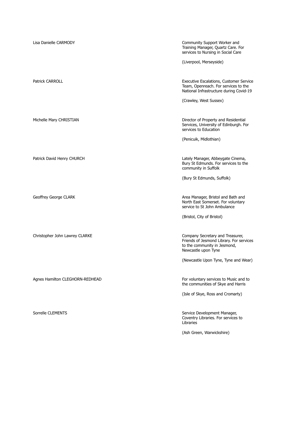| Lisa Danielle CARMODY           | Community Support Worker and<br>Training Manager, Quartz Care. For<br>services to Nursing in Social Care                            |
|---------------------------------|-------------------------------------------------------------------------------------------------------------------------------------|
|                                 | (Liverpool, Merseyside)                                                                                                             |
| <b>Patrick CARROLL</b>          | Executive Escalations, Customer Service<br>Team, Openreach. For services to the<br>National Infrastructure during Covid-19          |
|                                 | (Crawley, West Sussex)                                                                                                              |
| Michelle Mary CHRISTIAN         | Director of Property and Residential<br>Services, University of Edinburgh. For<br>services to Education                             |
|                                 | (Penicuik, Midlothian)                                                                                                              |
| Patrick David Henry CHURCH      | Lately Manager, Abbeygate Cinema,<br>Bury St Edmunds. For services to the<br>community in Suffolk                                   |
|                                 | (Bury St Edmunds, Suffolk)                                                                                                          |
| Geoffrey George CLARK           | Area Manager, Bristol and Bath and<br>North East Somerset. For voluntary<br>service to St John Ambulance                            |
|                                 | (Bristol, City of Bristol)                                                                                                          |
| Christopher John Lawrey CLARKE  | Company Secretary and Treasurer,<br>Friends of Jesmond Library. For services<br>to the community in Jesmond,<br>Newcastle upon Tyne |
|                                 | (Newcastle Upon Tyne, Tyne and Wear)                                                                                                |
| Agnes Hamilton CLEGHORN-REDHEAD | For voluntary services to Music and to<br>the communities of Skye and Harris                                                        |
|                                 | (Isle of Skye, Ross and Cromarty)                                                                                                   |
| Sorrelle CLEMENTS               | Service Development Manager,<br>Coventry Libraries. For services to<br>Libraries                                                    |

(Ash Green, Warwickshire)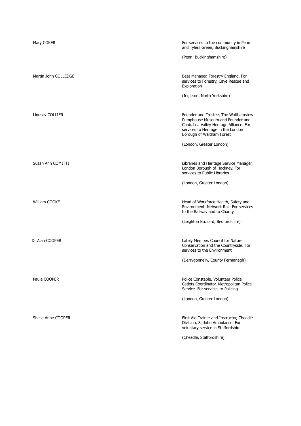| Mary COKER           | For services to the community in Penn<br>and Tylers Green, Buckinghamshire                                                                                                              |
|----------------------|-----------------------------------------------------------------------------------------------------------------------------------------------------------------------------------------|
|                      | (Penn, Buckinghamshire)                                                                                                                                                                 |
| Martin John COLLEDGE | Beat Manager, Forestry England. For<br>services to Forestry, Cave Rescue and<br>Exploration                                                                                             |
|                      | (Ingleton, North Yorkshire)                                                                                                                                                             |
| Lindsay COLLIER      | Founder and Trustee, The Walthamstow<br>Pumphouse Museum and Founder and<br>Chair, Lea Valley Heritage Alliance. For<br>services to Heritage in the London<br>Borough of Waltham Forest |
|                      | (London, Greater London)                                                                                                                                                                |
| Susan Ann COMITTI    | Libraries and Heritage Service Manager,<br>London Borough of Hackney. For<br>services to Public Libraries                                                                               |
|                      | (London, Greater London)                                                                                                                                                                |
| William COOKE        | Head of Workforce Health, Safety and<br>Environment, Network Rail. For services<br>to the Railway and to Charity                                                                        |
|                      | (Leighton Buzzard, Bedfordshire)                                                                                                                                                        |
| Dr Alan COOPER       | Lately Member, Council for Nature<br>Conservation and the Countryside. For<br>services to the Environment                                                                               |
|                      | (Derrygonnelly, County Fermanagh)                                                                                                                                                       |
| Paula COOPER         | Police Constable, Volunteer Police<br>Cadets Coordinator, Metropolitan Police<br>Service. For services to Policing                                                                      |
|                      | (London, Greater London)                                                                                                                                                                |
| Sheila Anne COOPER   | First Aid Trainer and Instructor, Cheadle<br>Division, St John Ambulance. For<br>voluntary service in Staffordshire                                                                     |
|                      | (Cheadle, Staffordshire)                                                                                                                                                                |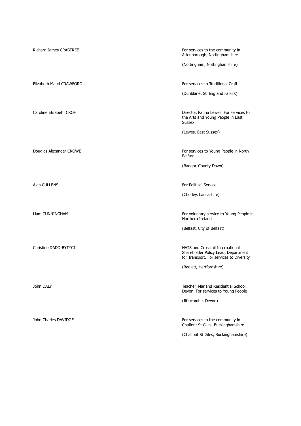Richard James CRABTREE For services to the community in Attenborough, Nottinghamshire

(Nottingham, Nottinghamshire)

Elizabeth Maud CRAWFORD **For services to Traditional Craft** 

(Dunblane, Stirling and Falkirk)

Caroline Elizabeth CROFT **Director, Patina Lewes. For services to** Director, Patina Lewes. For services to the Arts and Young People in East Sussex

(Lewes, East Sussex)

Douglas Alexander CROWE For services to Young People in North Belfast

(Bangor, County Down)

Alan CULLENS **For Political Service For Political Service For Political Service** 

(Chorley, Lancashire)

Liam CUNNINGHAM **For voluntary service to Young People in** Northern Ireland

(Belfast, City of Belfast)

Christine DADD-BYTYCI **NATS** and Crossrail International Shareholder Policy Lead, Department for Transport. For services to Diversity

(Radlett, Hertfordshire)

John DALY Teacher, Marland Residential School, Devon. For services to Young People

(Ilfracombe, Devon)

John Charles DAVIDGE **For services** to the community in Chalfont St Giles, Buckinghamshire

(Chalfont St Giles, Buckinghamshire)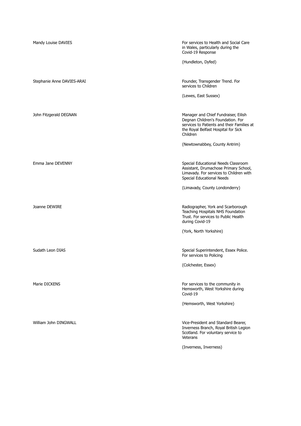| Mandy Louise DAVIES        | For services to Health and Social Care<br>in Wales, particularly during the<br>Covid-19 Response                                                                           |
|----------------------------|----------------------------------------------------------------------------------------------------------------------------------------------------------------------------|
|                            | (Hundleton, Dyfed)                                                                                                                                                         |
| Stephanie Anne DAVIES-ARAI | Founder, Transgender Trend. For<br>services to Children                                                                                                                    |
|                            | (Lewes, East Sussex)                                                                                                                                                       |
| John Fitzgerald DEGNAN     | Manager and Chief Fundraiser, Eilish<br>Degnan Children's Foundation. For<br>services to Patients and their Families at<br>the Royal Belfast Hospital for Sick<br>Children |
|                            | (Newtownabbey, County Antrim)                                                                                                                                              |
| Emma Jane DEVENNY          | Special Educational Needs Classroom<br>Assistant, Drumachose Primary School,<br>Limavady. For services to Children with<br>Special Educational Needs                       |
|                            | (Limavady, County Londonderry)                                                                                                                                             |
| Joanne DEWIRE              | Radiographer, York and Scarborough<br>Teaching Hospitals NHS Foundation<br>Trust. For services to Public Health<br>during Covid-19                                         |
|                            | (York, North Yorkshire)                                                                                                                                                    |
| Sudath Leon DIAS           | Special Superintendent, Essex Police.<br>For services to Policing                                                                                                          |
|                            | (Colchester, Essex)                                                                                                                                                        |
| Marie DICKENS              | For services to the community in<br>Hemsworth, West Yorkshire during<br>Covid-19                                                                                           |
|                            | (Hemsworth, West Yorkshire)                                                                                                                                                |
| William John DINGWALL      | Vice-President and Standard Bearer,<br>Inverness Branch, Royal British Legion<br>Scotland. For voluntary service to<br>Veterans                                            |
|                            | (Inverness, Inverness)                                                                                                                                                     |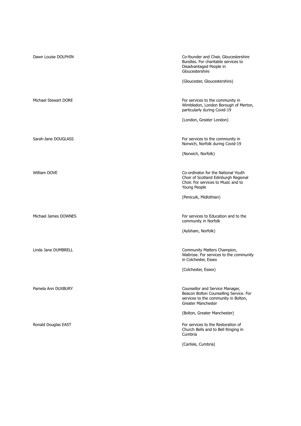| Dawn Louise DOLPHIN  | Co-founder and Chair, Gloucestershire<br>Bundles. For charitable services to<br>Disadvantaged People in<br>Gloucestershire<br>(Gloucester, Gloucestershire)  |
|----------------------|--------------------------------------------------------------------------------------------------------------------------------------------------------------|
| Michael Stewart DORE | For services to the community in<br>Wimbledon, London Borough of Merton,<br>particularly during Covid-19<br>(London, Greater London)                         |
| Sarah-Jane DOUGLASS  | For services to the community in<br>Norwich, Norfolk during Covid-19<br>(Norwich, Norfolk)                                                                   |
| William DOVE         | Co-ordinator for the National Youth<br>Choir of Scotland Edinburgh Regional<br>Choir. For services to Music and to<br>Young People<br>(Penicuik, Midlothian) |
| Michael James DOWNES | For services to Education and to the<br>community in Norfolk<br>(Aylsham, Norfolk)                                                                           |
| Linda Jane DUMBRELL  | Community Matters Champion,<br>Waitrose. For services to the community<br>in Colchester, Essex<br>(Colchester, Essex)                                        |
| Pamela Ann DUXBURY   | Counsellor and Service Manager,<br>Beacon Bolton Counselling Service. For<br>services to the community in Bolton,<br>Greater Manchester                      |
| Ronald Douglas EAST  | (Bolton, Greater Manchester)<br>For services to the Restoration of<br>Church Bells and to Bell Ringing in<br>Cumbria<br>(Carlisle, Cumbria)                  |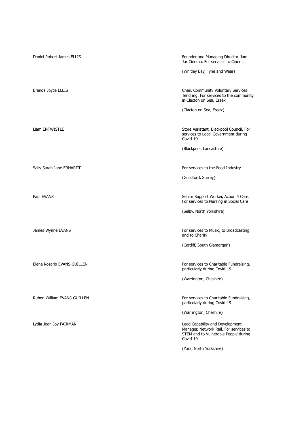| Daniel Robert James ELLIS   | Founder and Managing Director, Jam<br>Jar Cinema. For services to Cinema                                                      |
|-----------------------------|-------------------------------------------------------------------------------------------------------------------------------|
|                             | (Whitley Bay, Tyne and Wear)                                                                                                  |
| Brenda Joyce ELLIS          | Chair, Community Voluntary Services<br>Tendring. For services to the community<br>in Clacton on Sea, Essex                    |
|                             | (Clacton on Sea, Essex)                                                                                                       |
| Liam ENTWISTLE              | Store Assistant, Blackpool Council. For<br>services to Local Government during<br>Covid-19                                    |
|                             | (Blackpool, Lancashire)                                                                                                       |
| Sally Sarah Jane ERHARDT    | For services to the Food Industry                                                                                             |
|                             | (Guildford, Surrey)                                                                                                           |
|                             |                                                                                                                               |
| Paul EVANS                  | Senior Support Worker, Action 4 Care.<br>For services to Nursing in Social Care                                               |
|                             | (Selby, North Yorkshire)                                                                                                      |
|                             |                                                                                                                               |
| James Wynne EVANS           | For services to Music, to Broadcasting<br>and to Charity                                                                      |
|                             | (Cardiff, South Glamorgan)                                                                                                    |
| Elena Rosario EVANS-GUILLEN | For services to Charitable Fundraising,<br>particularly during Covid-19                                                       |
|                             | (Warrington, Cheshire)                                                                                                        |
|                             |                                                                                                                               |
| Ruben William EVANS-GUILLEN | For services to Charitable Fundraising,<br>particularly during Covid-19                                                       |
|                             | (Warrington, Cheshire)                                                                                                        |
| Lydia Joan Joy FAIRMAN      | Lead Capability and Development<br>Manager, Network Rail. For services to<br>STEM and to Vulnerable People during<br>Covid-19 |
|                             | (York, North Yorkshire)                                                                                                       |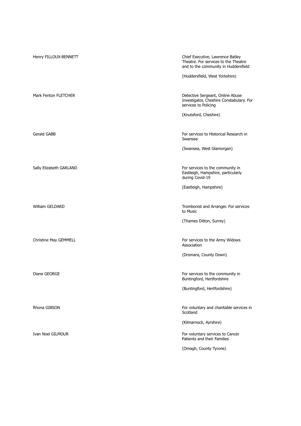| Henry FILLOUX-BENNETT   | Chief Executive, Lawrence Batley<br>Theatre. For services to the Theatre<br>and to the community in Huddersfield |
|-------------------------|------------------------------------------------------------------------------------------------------------------|
|                         | (Huddersfield, West Yorkshire)                                                                                   |
| Mark Fenton FLETCHER    | Detective Sergeant, Online Abuse<br>Investigator, Cheshire Constabulary. For<br>services to Policing             |
|                         | (Knutsford, Cheshire)                                                                                            |
| Gerald GABB             | For services to Historical Research in<br>Swansea                                                                |
|                         | (Swansea, West Glamorgan)                                                                                        |
| Sally Elizabeth GARLAND | For services to the community in<br>Eastleigh, Hampshire, particularly<br>during Covid-19                        |
|                         | (Eastleigh, Hampshire)                                                                                           |
| William GELDARD         | Trombonist and Arranger. For services<br>to Music                                                                |
|                         | (Thames Ditton, Surrey)                                                                                          |
| Christine May GEMMELL   | For services to the Army Widows<br>Association                                                                   |
|                         | (Dromara, County Down)                                                                                           |
| Diane GEORGE            | For services to the community in<br>Buntingford, Hertfordshire                                                   |
|                         | (Buntingford, Hertfordshire)                                                                                     |
| Rhona GIBSON            | For voluntary and charitable services in<br>Scotland                                                             |
|                         | (Kilmarnock, Ayrshire)                                                                                           |
| Ivan Noel GILMOUR       | For voluntary services to Cancer<br>Patients and their Families                                                  |
|                         | (Omagh, County Tyrone)                                                                                           |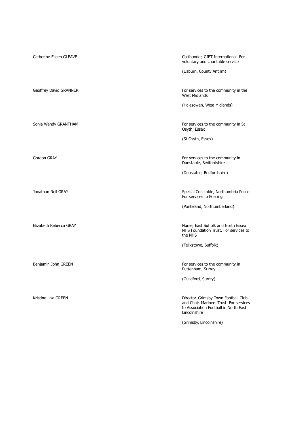Catherine Eileen GLEAVE Co-founder, GIFT International. For voluntary and charitable service (Lisburn, County Antrim) Geoffrey David GRANNER **For services to the community in the** Geoffrey David GRANNER West Midlands (Halesowen, West Midlands) Sonia Wendy GRANTHAM **For services to the community in St** Osyth, Essex (St Osyth, Essex) Gordon GRAY For services to the community in Dunstable, Bedfordshire (Dunstable, Bedfordshire) Jonathan Neil GRAY Special Constable, Northumbria Police. For services to Policing (Ponteland, Northumberland) Elizabeth Rebecca GRAY Nurse, East Suffolk and North Essex NHS Foundation Trust. For services to the NHS (Felixstowe, Suffolk) Benjamin John GREEN For services to the community in Puttenham, Surrey (Guildford, Surrey) Kristine Lisa GREEN **Director**, Grimsby Town Football Club and Chair, Mariners Trust. For services to Association Football in North East Lincolnshire (Grimsby, Lincolnshire)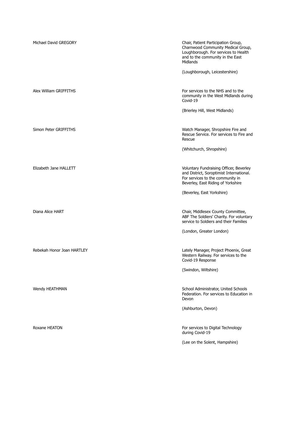| Michael David GREGORY      | Chair, Patient Participation Group,<br>Charnwood Community Medical Group,<br>Loughborough. For services to Health<br>and to the community in the East<br>Midlands<br>(Loughborough, Leicestershire) |
|----------------------------|-----------------------------------------------------------------------------------------------------------------------------------------------------------------------------------------------------|
| Alex William GRIFFITHS     | For services to the NHS and to the<br>community in the West Midlands during<br>Covid-19<br>(Brierley Hill, West Midlands)                                                                           |
| Simon Peter GRIFFITHS      | Watch Manager, Shropshire Fire and<br>Rescue Service. For services to Fire and<br>Rescue<br>(Whitchurch, Shropshire)                                                                                |
| Elizabeth Jane HALLETT     | Voluntary Fundraising Officer, Beverley<br>and District, Soroptimist International.<br>For services to the community in<br>Beverley, East Riding of Yorkshire<br>(Beverley, East Yorkshire)         |
| Diana Alice HART           | Chair, Middlesex County Committee,<br>ABF The Soldiers' Charity. For voluntary<br>service to Soldiers and their Families<br>(London, Greater London)                                                |
| Rebekah Honor Joan HARTLEY | Lately Manager, Project Phoenix, Great<br>Western Railway. For services to the<br>Covid-19 Response<br>(Swindon, Wiltshire)                                                                         |
| Wendy HEATHMAN             | School Administrator, United Schools<br>Federation. For services to Education in<br>Devon<br>(Ashburton, Devon)                                                                                     |
| Roxane HEATON              | For services to Digital Technology<br>during Covid-19<br>(Lee on the Solent, Hampshire)                                                                                                             |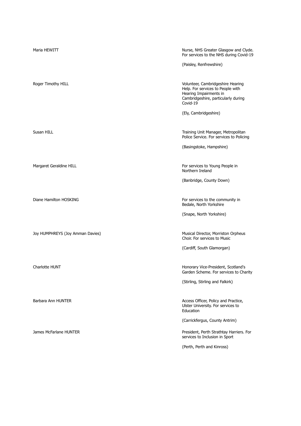| Maria HEWITT                     | Nurse, NHS Greater Glasgow and Clyde.<br>For services to the NHS during Covid-19<br>(Paisley, Renfrewshire)                                         |
|----------------------------------|-----------------------------------------------------------------------------------------------------------------------------------------------------|
| Roger Timothy HILL               | Volunteer, Cambridgeshire Hearing<br>Help. For services to People with<br>Hearing Impairments in<br>Cambridgeshire, particularly during<br>Covid-19 |
|                                  | (Ely, Cambridgeshire)                                                                                                                               |
| Susan HILL                       | Training Unit Manager, Metropolitan<br>Police Service. For services to Policing                                                                     |
|                                  | (Basingstoke, Hampshire)                                                                                                                            |
| Margaret Geraldine HILL          | For services to Young People in<br>Northern Ireland                                                                                                 |
|                                  | (Banbridge, County Down)                                                                                                                            |
| Diane Hamilton HOSKING           | For services to the community in<br>Bedale, North Yorkshire                                                                                         |
|                                  | (Snape, North Yorkshire)                                                                                                                            |
| Joy HUMPHREYS (Joy Amman Davies) | Musical Director, Morriston Orpheus<br>Choir. For services to Music                                                                                 |
|                                  | (Cardiff, South Glamorgan)                                                                                                                          |
| Charlotte HUNT                   | Honorary Vice-President, Scotland's<br>Garden Scheme. For services to Charity                                                                       |
|                                  | (Stirling, Stirling and Falkirk)                                                                                                                    |
| Barbara Ann HUNTER               | Access Officer, Policy and Practice,<br>Ulster University. For services to<br>Education                                                             |
|                                  | (Carrickfergus, County Antrim)                                                                                                                      |
| James McFarlane HUNTER           | President, Perth Strathtay Harriers. For<br>services to Inclusion in Sport                                                                          |
|                                  | (Perth, Perth and Kinross)                                                                                                                          |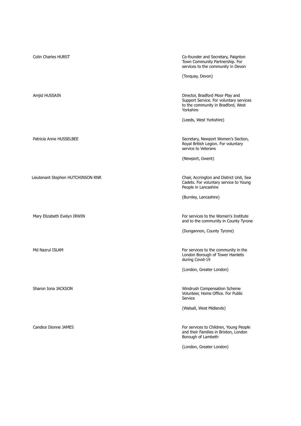| <b>Colin Charles HURST</b>        | Co-founder and Secretary, Paignton<br>Town Community Partnership. For<br>services to the community in Devon<br>(Torquay, Devon) |
|-----------------------------------|---------------------------------------------------------------------------------------------------------------------------------|
| Amjid HUSSAIN                     | Director, Bradford Moor Play and<br>Support Service. For voluntary services<br>to the community in Bradford, West<br>Yorkshire  |
|                                   | (Leeds, West Yorkshire)                                                                                                         |
| Patricia Anne HUSSELBEE           | Secretary, Newport Women's Section,<br>Royal British Legion. For voluntary<br>service to Veterans                               |
|                                   | (Newport, Gwent)                                                                                                                |
| Lieutenant Stephen HUTCHINSON RNR | Chair, Accrington and District Unit, Sea<br>Cadets. For voluntary service to Young<br>People in Lancashire                      |
|                                   | (Burnley, Lancashire)                                                                                                           |
| Mary Elizabeth Evelyn IRWIN       | For services to the Women's Institute<br>and to the community in County Tyrone                                                  |
|                                   | (Dungannon, County Tyrone)                                                                                                      |
| Md Nazrul ISLAM                   | For services to the community in the<br>London Borough of Tower Hamlets<br>during Covid-19                                      |
|                                   | (London, Greater London)                                                                                                        |
| Sharon Iona JACKSON               | Windrush Compensation Scheme<br>Volunteer, Home Office. For Public<br>Service                                                   |
|                                   | (Walsall, West Midlands)                                                                                                        |
| Candice Dionne JAMES              | For services to Children, Young People<br>and their Families in Brixton, London<br>Borough of Lambeth                           |
|                                   | (London, Greater London)                                                                                                        |
|                                   |                                                                                                                                 |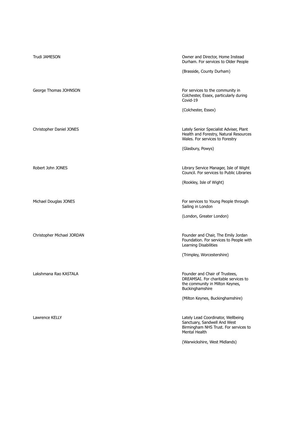| Trudi JAMESON              | Owner and Director, Home Instead<br>Durham. For services to Older People<br>(Brasside, County Durham)                        |
|----------------------------|------------------------------------------------------------------------------------------------------------------------------|
| George Thomas JOHNSON      | For services to the community in<br>Colchester, Essex, particularly during<br>Covid-19                                       |
| Christopher Daniel JONES   | (Colchester, Essex)<br>Lately Senior Specialist Adviser, Plant<br>Health and Forestry, Natural Resources                     |
|                            | Wales. For services to Forestry<br>(Glasbury, Powys)                                                                         |
| Robert John JONES          | Library Service Manager, Isle of Wight<br>Council. For services to Public Libraries<br>(Rookley, Isle of Wight)              |
| Michael Douglas JONES      | For services to Young People through                                                                                         |
|                            | Sailing in London<br>(London, Greater London)                                                                                |
| Christopher Michael JORDAN | Founder and Chair, The Emily Jordan<br>Foundation. For services to People with<br>Learning Disabilities                      |
|                            | (Trimpley, Worcestershire)                                                                                                   |
| Lakshmana Rao KASTALA      | Founder and Chair of Trustees,<br>DREAMSAI. For charitable services to<br>the community in Milton Keynes,<br>Buckinghamshire |
|                            | (Milton Keynes, Buckinghamshire)                                                                                             |
| Lawrence KELLY             | Lately Lead Coordinator, Wellbeing<br>Sanctuary, Sandwell And West<br>Birmingham NHS Trust. For services to<br>Mental Health |
|                            | (Warwickshire, West Midlands)                                                                                                |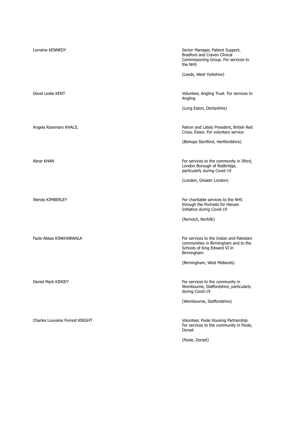| Lorraine KENNEDY                | Senior Manager, Patient Support,<br>Bradford and Craven Clinical<br>Commissioning Group. For services to<br>the NHS            |
|---------------------------------|--------------------------------------------------------------------------------------------------------------------------------|
|                                 | (Leeds, West Yorkshire)                                                                                                        |
| David Leslie KENT               | Volunteer, Angling Trust. For services to<br>Angling                                                                           |
|                                 | (Long Eaton, Derbyshire)                                                                                                       |
| Angela Rosemary KHALIL          | Patron and Lately President, British Red<br>Cross, Essex. For voluntary service                                                |
|                                 | (Bishops Stortford, Hertfordshire)                                                                                             |
| Abrar KHAN                      | For services to the community in Ilford,<br>London Borough of Redbridge,<br>particularly during Covid-19                       |
|                                 | (London, Greater London)                                                                                                       |
| Wendy KIMBERLEY                 | For charitable services to the NHS<br>through the Portraits for Heroes<br>Initiative during Covid-19                           |
|                                 | (Norwich, Norfolk)                                                                                                             |
| Fazle Abbas KINKHABWALA         | For services to the Indian and Pakistani<br>communities in Birmingham and to the<br>Schools of King Edward VI in<br>Birmingham |
|                                 | (Birmingham, West Midlands)                                                                                                    |
| Daniel Mark KINSEY              | For services to the community in<br>Wombourne, Staffordshire, particularly<br>during Covid-19                                  |
|                                 | (Wombourne, Staffordshire)                                                                                                     |
| Charles Louvaine Forrest KNIGHT | Volunteer, Poole Housing Partnership.<br>For services to the community in Poole,<br>Dorset                                     |
|                                 | (Poole, Dorset)                                                                                                                |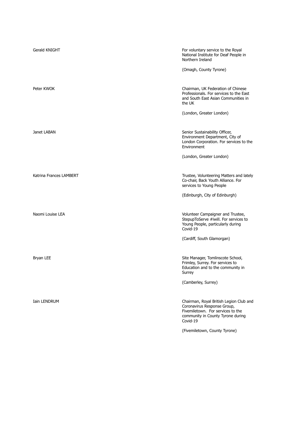| Gerald KNIGHT           | For voluntary service to the Royal<br>National Institute for Deaf People in<br>Northern Ireland<br>(Omagh, County Tyrone)                                    |
|-------------------------|--------------------------------------------------------------------------------------------------------------------------------------------------------------|
| Peter KWOK              | Chairman, UK Federation of Chinese<br>Professionals. For services to the East<br>and South East Asian Communities in<br>the UK<br>(London, Greater London)   |
| Janet LABAN             | Senior Sustainability Officer,<br>Environment Department, City of<br>London Corporation. For services to the<br>Environment                                  |
| Katrina Frances LAMBERT | (London, Greater London)<br>Trustee, Volunteering Matters and lately<br>Co-chair, Back Youth Alliance. For<br>services to Young People                       |
| Naomi Louise LEA        | (Edinburgh, City of Edinburgh)<br>Volunteer Campaigner and Trustee,<br>StepupToServe #iwill. For services to<br>Young People, particularly during            |
|                         | Covid-19<br>(Cardiff, South Glamorgan)                                                                                                                       |
| Bryan LEE               | Site Manager, Tomlinscote School,<br>Frimley, Surrey. For services to<br>Education and to the community in<br>Surrey                                         |
|                         | (Camberley, Surrey)                                                                                                                                          |
| <b>Iain LENDRUM</b>     | Chairman, Royal British Legion Club and<br>Coronavirus Response Group,<br>Fivemiletown. For services to the<br>community in County Tyrone during<br>Covid-19 |
|                         | (Fivemiletown, County Tyrone)                                                                                                                                |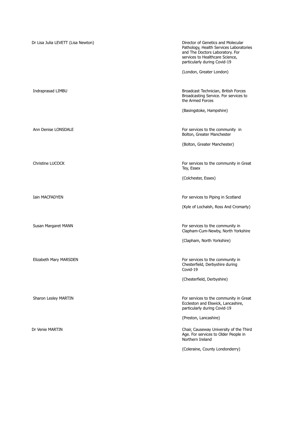| Dr Lisa Julia LEVETT (Lisa Newton) | Director of Genetics and Molecular<br>Pathology, Health Services Laboratories<br>and The Doctors Laboratory. For<br>services to Healthcare Science,<br>particularly during Covid-19<br>(London, Greater London) |
|------------------------------------|-----------------------------------------------------------------------------------------------------------------------------------------------------------------------------------------------------------------|
| Indraprasad LIMBU                  | Broadcast Technician, British Forces<br>Broadcasting Service. For services to<br>the Armed Forces                                                                                                               |
|                                    | (Basingstoke, Hampshire)                                                                                                                                                                                        |
| Ann Denise LONSDALE                | For services to the community in<br>Bolton, Greater Manchester                                                                                                                                                  |
|                                    | (Bolton, Greater Manchester)                                                                                                                                                                                    |
| Christine LUCOCK                   | For services to the community in Great<br>Tey, Essex                                                                                                                                                            |
|                                    | (Colchester, Essex)                                                                                                                                                                                             |
| <b>Iain MACFADYEN</b>              | For services to Piping in Scotland                                                                                                                                                                              |
|                                    | (Kyle of Lochalsh, Ross And Cromarty)                                                                                                                                                                           |
| Susan Margaret MANN                | For services to the community in<br>Clapham-Cum-Newby, North Yorkshire                                                                                                                                          |
|                                    | (Clapham, North Yorkshire)                                                                                                                                                                                      |
| Elizabeth Mary MARSDEN             | For services to the community in<br>Chesterfield, Derbyshire during<br>Covid-19                                                                                                                                 |
|                                    | (Chesterfield, Derbyshire)                                                                                                                                                                                      |
| Sharon Lesley MARTIN               | For services to the community in Great<br>Eccleston and Elswick, Lancashire,<br>particularly during Covid-19                                                                                                    |
|                                    | (Preston, Lancashire)                                                                                                                                                                                           |
| Dr Venie MARTIN                    | Chair, Causeway University of the Third<br>Age. For services to Older People in<br>Northern Ireland                                                                                                             |
|                                    | (Coleraine, County Londonderry)                                                                                                                                                                                 |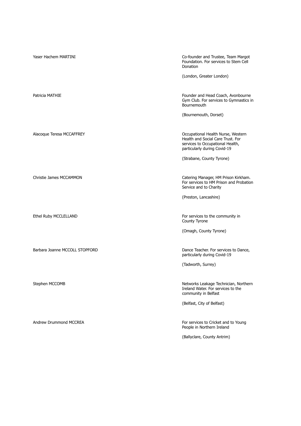| Yaser Hachem MARTINI           | Co-founder and Trustee, Team Margot<br>Foundation. For services to Stem Cell<br>Donation                                                    |
|--------------------------------|---------------------------------------------------------------------------------------------------------------------------------------------|
|                                | (London, Greater London)                                                                                                                    |
| Patricia MATHIE                | Founder and Head Coach, Avonbourne<br>Gym Club. For services to Gymnastics in<br>Bournemouth                                                |
|                                | (Bournemouth, Dorset)                                                                                                                       |
| Alacoque Teresa MCCAFFREY      | Occupational Health Nurse, Western<br>Health and Social Care Trust. For<br>services to Occupational Health,<br>particularly during Covid-19 |
|                                | (Strabane, County Tyrone)                                                                                                                   |
| Christie James MCCAMMON        | Catering Manager, HM Prison Kirkham.<br>For services to HM Prison and Probation<br>Service and to Charity                                   |
|                                | (Preston, Lancashire)                                                                                                                       |
| Ethel Ruby MCCLELLAND          | For services to the community in<br>County Tyrone                                                                                           |
|                                | (Omagh, County Tyrone)                                                                                                                      |
| Barbara Joanne MCCOLL STOPFORD | Dance Teacher. For services to Dance,<br>particularly during Covid-19                                                                       |
|                                | (Tadworth, Surrey)                                                                                                                          |
| Stephen MCCOMB                 | Networks Leakage Technician, Northern<br>Ireland Water. For services to the<br>community in Belfast                                         |
|                                | (Belfast, City of Belfast)                                                                                                                  |
| Andrew Drummond MCCREA         | For services to Cricket and to Young<br>People in Northern Ireland<br>(Ballyclare, County Antrim)                                           |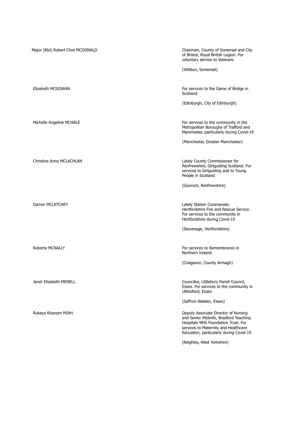| Major (Rtd) Robert Clive MCDONALD | Chairman, County of Somerset and City<br>of Bristol, Royal British Legion. For<br>voluntary service to Veterans                                                                                         |
|-----------------------------------|---------------------------------------------------------------------------------------------------------------------------------------------------------------------------------------------------------|
|                                   | (Williton, Somerset)                                                                                                                                                                                    |
|                                   |                                                                                                                                                                                                         |
| Elizabeth MCGOWAN                 | For services to the Game of Bridge in<br>Scotland                                                                                                                                                       |
|                                   | (Edinburgh, City of Edinburgh)                                                                                                                                                                          |
|                                   |                                                                                                                                                                                                         |
| Michelle Angeline MCHALE          | For services to the community in the<br>Metropolitan Boroughs of Trafford and<br>Manchester, particularly during Covid-19                                                                               |
|                                   | (Manchester, Greater Manchester)                                                                                                                                                                        |
|                                   |                                                                                                                                                                                                         |
| Christine Anne MCLACHLAN          | Lately County Commissioner for<br>Renfrewshire, Girlguiding Scotland. For<br>services to Girlguiding and to Young<br>People in Scotland                                                                 |
|                                   | (Gourock, Renfrewshire)                                                                                                                                                                                 |
|                                   |                                                                                                                                                                                                         |
| Darren MCLATCHEY                  | Lately Station Commander,<br>Hertfordshire Fire and Rescue Service.<br>For services to the community in<br>Hertfordshire during Covid-19                                                                |
|                                   | (Stevenage, Hertfordshire)                                                                                                                                                                              |
|                                   |                                                                                                                                                                                                         |
| Roberta MCNALLY                   | For services to Remembrance in<br>Northern Ireland                                                                                                                                                      |
|                                   | (Craigavon, County Armagh)                                                                                                                                                                              |
|                                   |                                                                                                                                                                                                         |
| Janet Elizabeth MENELL            | Councillor, Littlebury Parish Council,<br>Essex. For services to the community in<br>Uttlesford, Essex                                                                                                  |
|                                   | (Saffron Walden, Essex)                                                                                                                                                                                 |
| Rukeya Khanom MIAH                | Deputy Associate Director of Nursing<br>and Senior Midwife, Bradford Teaching<br>Hospitals NHS Foundation Trust. For<br>services to Maternity and Healthcare<br>Education, particularly during Covid-19 |
|                                   | (Keighley, West Yorkshire)                                                                                                                                                                              |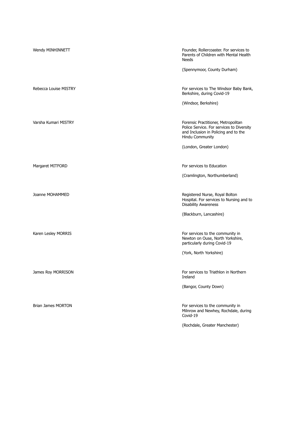| Wendy MINHINNETT          | Founder, Rollercoaster. For services to<br>Parents of Children with Mental Health<br><b>Needs</b>                                           |
|---------------------------|---------------------------------------------------------------------------------------------------------------------------------------------|
|                           | (Spennymoor, County Durham)                                                                                                                 |
| Rebecca Louise MISTRY     | For services to The Windsor Baby Bank,<br>Berkshire, during Covid-19                                                                        |
|                           | (Windsor, Berkshire)                                                                                                                        |
| Varsha Kumari MISTRY      | Forensic Practitioner, Metropolitan<br>Police Service. For services to Diversity<br>and Inclusion in Policing and to the<br>Hindu Community |
|                           | (London, Greater London)                                                                                                                    |
| Margaret MITFORD          | For services to Education                                                                                                                   |
|                           | (Cramlington, Northumberland)                                                                                                               |
| Joanne MOHAMMED           | Registered Nurse, Royal Bolton<br>Hospital. For services to Nursing and to<br><b>Disability Awareness</b>                                   |
|                           | (Blackburn, Lancashire)                                                                                                                     |
| Karen Lesley MORRIS       | For services to the community in<br>Newton on Ouse, North Yorkshire,<br>particularly during Covid-19                                        |
|                           | (York, North Yorkshire)                                                                                                                     |
| James Roy MORRISON        | For services to Triathlon in Northern<br>Ireland                                                                                            |
|                           | (Bangor, County Down)                                                                                                                       |
| <b>Brian James MORTON</b> | For services to the community in<br>Milnrow and Newhey, Rochdale, during<br>Covid-19                                                        |
|                           | (Rochdale, Greater Manchester)                                                                                                              |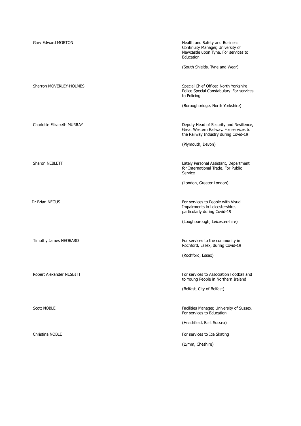| Gary Edward MORTON         | Health and Safety and Business<br>Continuity Manager, University of<br>Newcastle upon Tyne. For services to<br>Education  |
|----------------------------|---------------------------------------------------------------------------------------------------------------------------|
|                            | (South Shields, Tyne and Wear)                                                                                            |
| Sharron MOVERLEY-HOLMES    | Special Chief Officer, North Yorkshire<br>Police Special Constabulary. For services<br>to Policing                        |
|                            | (Boroughbridge, North Yorkshire)                                                                                          |
| Charlotte Elizabeth MURRAY | Deputy Head of Security and Resilience,<br>Great Western Railway. For services to<br>the Railway Industry during Covid-19 |
|                            | (Plymouth, Devon)                                                                                                         |
| Sharon NEBLETT             | Lately Personal Assistant, Department<br>for International Trade. For Public<br>Service                                   |
|                            | (London, Greater London)                                                                                                  |
| Dr Brian NEGUS             | For services to People with Visual<br>Impairments in Leicestershire,<br>particularly during Covid-19                      |
|                            | (Loughborough, Leicestershire)                                                                                            |
| Timothy James NEOBARD      | For services to the community in<br>Rochford, Essex, during Covid-19                                                      |
|                            | (Rochford, Essex)                                                                                                         |
| Robert Alexander NESBITT   | For services to Association Football and<br>to Young People in Northern Ireland                                           |
|                            | (Belfast, City of Belfast)                                                                                                |
| <b>Scott NOBLE</b>         | Facilities Manager, University of Sussex.<br>For services to Education                                                    |
|                            | (Heathfield, East Sussex)                                                                                                 |
| Christina NOBLE            | For services to Ice Skating                                                                                               |
|                            | (Lymm, Cheshire)                                                                                                          |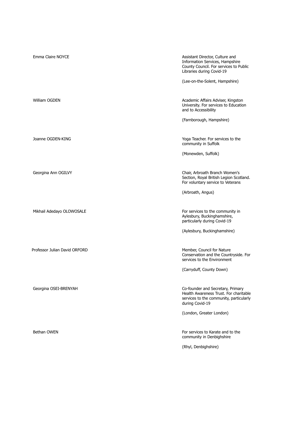| Emma Claire NOYCE             | Assistant Director, Culture and<br>Information Services, Hampshire<br>County Council. For services to Public<br>Libraries during Covid-19<br>(Lee-on-the-Solent, Hampshire) |
|-------------------------------|-----------------------------------------------------------------------------------------------------------------------------------------------------------------------------|
| William OGDEN                 | Academic Affairs Adviser, Kingston<br>University. For services to Education<br>and to Accessibility                                                                         |
|                               | (Farnborough, Hampshire)                                                                                                                                                    |
| Joanne OGDEN-KING             | Yoga Teacher. For services to the<br>community in Suffolk                                                                                                                   |
|                               | (Monewden, Suffolk)                                                                                                                                                         |
| Georgina Ann OGILVY           | Chair, Arbroath Branch Women's<br>Section, Royal British Legion Scotland.<br>For voluntary service to Veterans                                                              |
|                               | (Arbroath, Angus)                                                                                                                                                           |
| Mikhail Adedayo OLOWOSALE     | For services to the community in<br>Aylesbury, Buckinghamshire,<br>particularly during Covid-19                                                                             |
|                               | (Aylesbury, Buckinghamshire)                                                                                                                                                |
| Professor Julian David ORFORD | Member, Council for Nature<br>Conservation and the Countryside. For<br>services to the Environment                                                                          |
|                               | (Carryduff, County Down)                                                                                                                                                    |
| Georgina OSEI-BRENYAH         | Co-founder and Secretary, Primary<br>Health Awareness Trust. For charitable<br>services to the community, particularly<br>during Covid-19<br>(London, Greater London)       |
| Bethan OWEN                   | For services to Karate and to the<br>community in Denbighshire<br>(Rhyl, Denbighshire)                                                                                      |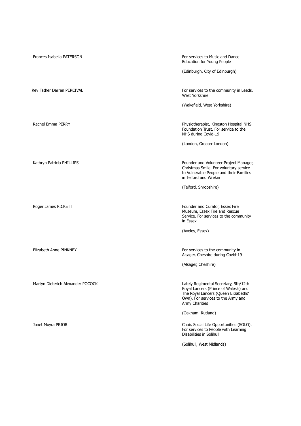| Frances Isabella PATERSON         | For services to Music and Dance<br>Education for Young People                                                                                                                         |
|-----------------------------------|---------------------------------------------------------------------------------------------------------------------------------------------------------------------------------------|
|                                   | (Edinburgh, City of Edinburgh)                                                                                                                                                        |
| Rev Father Darren PERCIVAL        | For services to the community in Leeds,<br>West Yorkshire                                                                                                                             |
|                                   | (Wakefield, West Yorkshire)                                                                                                                                                           |
| Rachel Emma PERRY                 | Physiotherapist, Kingston Hospital NHS<br>Foundation Trust. For service to the<br>NHS during Covid-19                                                                                 |
|                                   | (London, Greater London)                                                                                                                                                              |
| Kathryn Patricia PHILLIPS         | Founder and Volunteer Project Manager,<br>Christmas Smile. For voluntary service<br>to Vulnerable People and their Families<br>in Telford and Wrekin                                  |
|                                   | (Telford, Shropshire)                                                                                                                                                                 |
| Roger James PICKETT               | Founder and Curator, Essex Fire<br>Museum, Essex Fire and Rescue<br>Service. For services to the community<br>in Essex                                                                |
|                                   | (Aveley, Essex)                                                                                                                                                                       |
| Elizabeth Anne PINKNEY            | For services to the community in<br>Alsager, Cheshire during Covid-19                                                                                                                 |
|                                   | (Alsager, Cheshire)                                                                                                                                                                   |
| Martyn Dieterich Alexander POCOCK | Lately Regimental Secretary, 9th/12th<br>Royal Lancers (Prince of Wales's) and<br>The Royal Lancers (Queen Elizabeths'<br>Own). For services to the Army and<br><b>Army Charities</b> |
|                                   | (Oakham, Rutland)                                                                                                                                                                     |
| Janet Moyra PRIOR                 | Chair, Social Life Opportunities (SOLO).<br>For services to People with Learning<br>Disabilities in Solihull                                                                          |
|                                   | (Solihull, West Midlands)                                                                                                                                                             |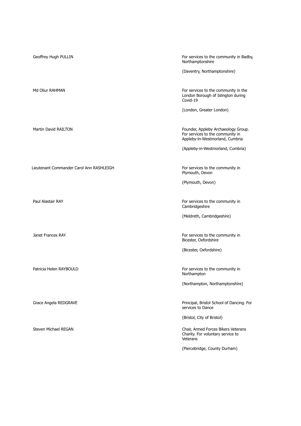| Geoffrey Hugh PULLIN                     | For services to the community in Badby,<br>Northamptonshire                                                |
|------------------------------------------|------------------------------------------------------------------------------------------------------------|
|                                          | (Daventry, Northamptonshire)                                                                               |
| Md Oliur RAHMAN                          | For services to the community in the<br>London Borough of Islington during<br>Covid-19                     |
|                                          | (London, Greater London)                                                                                   |
| Martin David RAILTON                     | Founder, Appleby Archaeology Group.<br>For services to the community in<br>Appleby-in-Westmorland, Cumbria |
|                                          | (Appleby-in-Westmorland, Cumbria)                                                                          |
| Lieutenant Commander Carol Ann RASHLEIGH | For services to the community in<br>Plymouth, Devon                                                        |
|                                          | (Plymouth, Devon)                                                                                          |
| Paul Alastair RAY                        | For services to the community in<br>Cambridgeshire                                                         |
|                                          | (Meldreth, Cambridgeshire)                                                                                 |
| Janet Frances RAY                        | For services to the community in<br>Bicester, Oxfordshire                                                  |
|                                          | (Bicester, Oxfordshire)                                                                                    |
|                                          |                                                                                                            |
| Patricia Helen RAYBOULD                  | For services to the community in<br>Northampton                                                            |
|                                          | (Northampton, Northamptonshire)                                                                            |
| Grace Angela REDGRAVE                    | Principal, Bristol School of Dancing. For<br>services to Dance                                             |
|                                          | (Bristol, City of Bristol)                                                                                 |
| <b>Steven Michael REGAN</b>              | Chair, Armed Forces Bikers Veterans<br>Charity. For voluntary service to<br>Veterans                       |
|                                          | (Piercebridge, County Durham)                                                                              |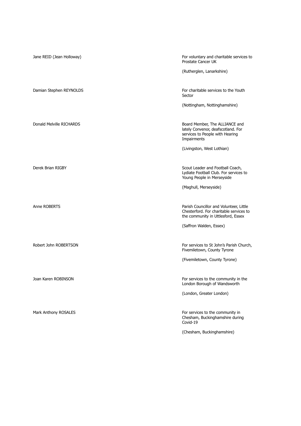| Jane REID (Jean Holloway) | For voluntary and charitable services to<br>Prostate Cancer UK                                                           |
|---------------------------|--------------------------------------------------------------------------------------------------------------------------|
|                           | (Rutherglen, Lanarkshire)                                                                                                |
| Damian Stephen REYNOLDS   | For charitable services to the Youth<br>Sector                                                                           |
|                           | (Nottingham, Nottinghamshire)                                                                                            |
| Donald Melville RICHARDS  | Board Member, The ALLIANCE and<br>lately Convenor, deafscotland. For<br>services to People with Hearing<br>Impairments   |
|                           | (Livingston, West Lothian)                                                                                               |
| Derek Brian RIGBY         | Scout Leader and Football Coach,<br>Lydiate Football Club. For services to<br>Young People in Merseyside                 |
|                           | (Maghull, Merseyside)                                                                                                    |
| Anne ROBERTS              | Parish Councillor and Volunteer, Little<br>Chesterford. For charitable services to<br>the community in Uttlesford, Essex |
|                           | (Saffron Walden, Essex)                                                                                                  |
| Robert John ROBERTSON     | For services to St John's Parish Church,<br>Fivemiletown, County Tyrone                                                  |
|                           | (Fivemiletown, County Tyrone)                                                                                            |
| Joan Karen ROBINSON       | For services to the community in the<br>London Borough of Wandsworth                                                     |
|                           | (London, Greater London)                                                                                                 |
| Mark Anthony ROSALES      | For services to the community in<br>Chesham, Buckinghamshire during<br>Covid-19                                          |
|                           | (Chesham, Buckinghamshire)                                                                                               |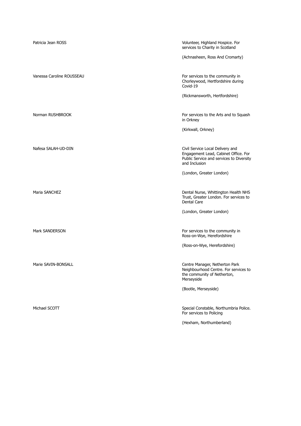| Patricia Jean ROSS        | Volunteer, Highland Hospice. For<br>services to Charity in Scotland                                                                   |
|---------------------------|---------------------------------------------------------------------------------------------------------------------------------------|
|                           | (Achnasheen, Ross And Cromarty)                                                                                                       |
| Vanessa Caroline ROUSSEAU | For services to the community in<br>Chorleywood, Hertfordshire during<br>Covid-19                                                     |
|                           | (Rickmansworth, Hertfordshire)                                                                                                        |
| Norman RUSHBROOK          | For services to the Arts and to Squash<br>in Orkney                                                                                   |
|                           | (Kirkwall, Orkney)                                                                                                                    |
| Nafesa SALAH-UD-DIN       | Civil Service Local Delivery and<br>Engagement Lead, Cabinet Office. For<br>Public Service and services to Diversity<br>and Inclusion |
|                           | (London, Greater London)                                                                                                              |
| Maria SANCHEZ             | Dental Nurse, Whittington Health NHS<br>Trust, Greater London. For services to<br>Dental Care                                         |
|                           | (London, Greater London)                                                                                                              |
| <b>Mark SANDERSON</b>     | For services to the community in<br>Ross-on-Wye, Herefordshire                                                                        |
|                           | (Ross-on-Wye, Herefordshire)                                                                                                          |
| Marie SAVIN-BONSALL       | Centre Manager, Netherton Park<br>Neighbourhood Centre. For services to<br>the community of Netherton,<br>Merseyside                  |
|                           | (Bootle, Merseyside)                                                                                                                  |
| Michael SCOTT             | Special Constable, Northumbria Police.<br>For services to Policing                                                                    |
|                           | (Hexham, Northumberland)                                                                                                              |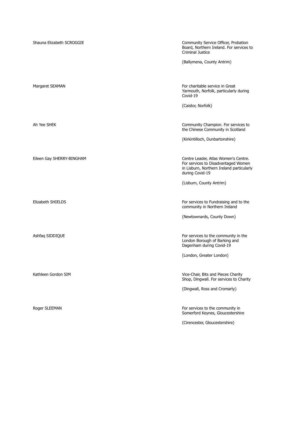| Shauna Elizabeth SCROGGIE | Community Service Officer, Probation<br>Board, Northern Ireland. For services to<br>Criminal Justice                                        |
|---------------------------|---------------------------------------------------------------------------------------------------------------------------------------------|
|                           | (Ballymena, County Antrim)                                                                                                                  |
| Margaret SEAMAN           | For charitable service in Great<br>Yarmouth, Norfolk, particularly during<br>Covid-19                                                       |
|                           | (Caistor, Norfolk)                                                                                                                          |
| Ah Yee SHEK               | Community Champion. For services to<br>the Chinese Community in Scotland                                                                    |
|                           | (Kirkintilloch, Dunbartonshire)                                                                                                             |
| Eileen Gay SHERRY-BINGHAM | Centre Leader, Atlas Women's Centre.<br>For services to Disadvantaged Women<br>in Lisburn, Northern Ireland particularly<br>during Covid-19 |
|                           | (Lisburn, County Antrim)                                                                                                                    |
| Elizabeth SHIELDS         | For services to Fundraising and to the<br>community in Northern Ireland                                                                     |
|                           | (Newtownards, County Down)                                                                                                                  |
| Ashfaq SIDDIQUE           | For services to the community in the<br>London Borough of Barking and<br>Dagenham during Covid-19                                           |
|                           | (London, Greater London)                                                                                                                    |
| Kathleen Gordon SIM       | Vice-Chair, Bits and Pieces Charity<br>Shop, Dingwall. For services to Charity                                                              |
|                           | (Dingwall, Ross and Cromarty)                                                                                                               |
| Roger SLEEMAN             | For services to the community in<br>Somerford Keynes, Gloucestershire                                                                       |

(Cirencester, Gloucestershire)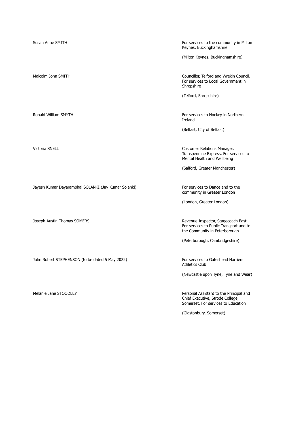Jayesh Kumar Dayarambhai SOLANKI (Jay Kumar Solanki) For services to Dance and to the

John Robert STEPHENSON (to be dated 5 May 2022) For services to Gateshead Harriers

Susan Anne SMITH For services to the community in Milton Keynes, Buckinghamshire

(Milton Keynes, Buckinghamshire)

Malcolm John SMITH Councillor, Telford and Wrekin Council. For services to Local Government in Shropshire

(Telford, Shropshire)

Ronald William SMYTH **For services to Hockey in Northern** For services to Hockey in Northern Ireland

(Belfast, City of Belfast)

Victoria SNELL Customer Relations Manager, Transpennine Express. For services to Mental Health and Wellbeing

(Salford, Greater Manchester)

community in Greater London

(London, Greater London)

Joseph Austin Thomas SOMERS Revenue Inspector, Stagecoach East. For services to Public Transport and to the Community in Peterborough

(Peterborough, Cambridgeshire)

Athletics Club

(Newcastle upon Tyne, Tyne and Wear)

Melanie Jane STOODLEY **Personal Assistant to the Principal and** Chief Executive, Strode College, Somerset. For services to Education

(Glastonbury, Somerset)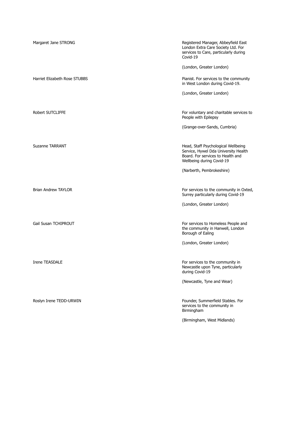| Margaret Jane STRONG          | Registered Manager, Abbeyfield East<br>London Extra Care Society Ltd. For<br>services to Care, particularly during<br>Covid-19                |
|-------------------------------|-----------------------------------------------------------------------------------------------------------------------------------------------|
|                               | (London, Greater London)                                                                                                                      |
| Harriet Elizabeth Rose STUBBS | Pianist. For services to the community<br>in West London during Covid-19.                                                                     |
|                               | (London, Greater London)                                                                                                                      |
|                               |                                                                                                                                               |
| Robert SUTCLIFFE              | For voluntary and charitable services to<br>People with Epilepsy                                                                              |
|                               | (Grange-over-Sands, Cumbria)                                                                                                                  |
|                               |                                                                                                                                               |
| <b>Suzanne TARRANT</b>        | Head, Staff Psychological Wellbeing<br>Service, Hywel Dda University Health<br>Board. For services to Health and<br>Wellbeing during Covid-19 |
|                               | (Narberth, Pembrokeshire)                                                                                                                     |
|                               |                                                                                                                                               |
| <b>Brian Andrew TAYLOR</b>    | For services to the community in Oxted,<br>Surrey particularly during Covid-19                                                                |
|                               | (London, Greater London)                                                                                                                      |
|                               |                                                                                                                                               |
| <b>Gail Susan TCHIPROUT</b>   | For services to Homeless People and<br>the community in Hanwell, London<br>Borough of Ealing                                                  |
|                               | (London, Greater London)                                                                                                                      |
|                               |                                                                                                                                               |
| Irene TEASDALE                | For services to the community in<br>Newcastle upon Tyne, particularly<br>during Covid-19                                                      |
|                               | (Newcastle, Tyne and Wear)                                                                                                                    |
|                               |                                                                                                                                               |
| Roslyn Irene TEDD-URWIN       | Founder, Summerfield Stables. For<br>services to the community in<br>Birmingham                                                               |
|                               | (Birmingham, West Midlands)                                                                                                                   |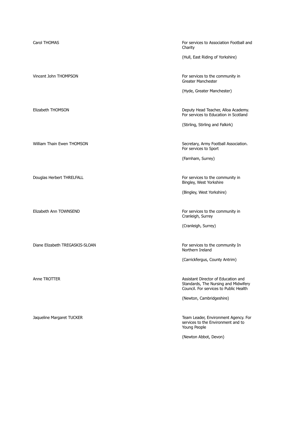Carol THOMAS For services to Association Football and Carol THOMAS Charity

(Hull, East Riding of Yorkshire)

Vincent John THOMPSON For services to the community in Greater Manchester

(Hyde, Greater Manchester)

Elizabeth THOMSON **Deputy Head Teacher, Alloa Academy.** For services to Education in Scotland

(Stirling, Stirling and Falkirk)

William Thain Ewen THOMSON Secretary, Army Football Association. For services to Sport

(Farnham, Surrey)

Douglas Herbert THRELFALL **For services** to the community in Bingley, West Yorkshire

(Bingley, West Yorkshire)

Elizabeth Ann TOWNSEND For services to the community in Cranleigh, Surrey

(Cranleigh, Surrey)

Diane Elizabeth TREGASKIS-SLOAN For services to the community In Northern Ireland

(Carrickfergus, County Antrim)

Anne TROTTER Anne TROTTER Assistant Director of Education and Standards, The Nursing and Midwifery Council. For services to Public Health

(Newton, Cambridgeshire)

Jaqueline Margaret TUCKER TEAM Team Leader, Environment Agency. For services to the Environment and to Young People

(Newton Abbot, Devon)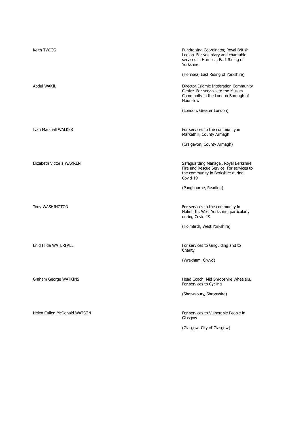| Keith TWIGG                  | Fundraising Coordinator, Royal British<br>Legion. For voluntary and charitable<br>services in Hornsea, East Riding of<br>Yorkshire |
|------------------------------|------------------------------------------------------------------------------------------------------------------------------------|
|                              | (Hornsea, East Riding of Yorkshire)                                                                                                |
| Abdul WAKIL                  | Director, Islamic Integration Community<br>Centre. For services to the Muslim<br>Community in the London Borough of<br>Hounslow    |
|                              | (London, Greater London)                                                                                                           |
|                              |                                                                                                                                    |
| Ivan Marshall WALKER         | For services to the community in<br>Markethill, County Armagh                                                                      |
|                              | (Craigavon, County Armagh)                                                                                                         |
|                              |                                                                                                                                    |
| Elizabeth Victoria WARREN    | Safeguarding Manager, Royal Berkshire<br>Fire and Rescue Service. For services to<br>the community in Berkshire during<br>Covid-19 |
|                              | (Pangbourne, Reading)                                                                                                              |
|                              |                                                                                                                                    |
| Tony WASHINGTON              | For services to the community in<br>Holmfirth, West Yorkshire, particularly<br>during Covid-19                                     |
|                              | (Holmfirth, West Yorkshire)                                                                                                        |
|                              |                                                                                                                                    |
| Enid Hilda WATERFALL         | For services to Girlguiding and to<br>Charity                                                                                      |
|                              | (Wrexham, Clwyd)                                                                                                                   |
|                              |                                                                                                                                    |
| Graham George WATKINS        | Head Coach, Mid Shropshire Wheelers.<br>For services to Cycling                                                                    |
|                              | (Shrewsbury, Shropshire)                                                                                                           |
|                              |                                                                                                                                    |
| Helen Cullen McDonald WATSON | For services to Vulnerable People in<br>Glasgow                                                                                    |
|                              | (Glasgow, City of Glasgow)                                                                                                         |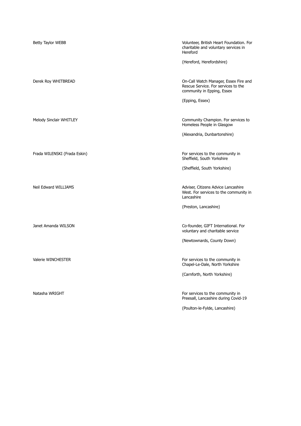| Betty Taylor WEBB            | Volunteer, British Heart Foundation. For<br>charitable and voluntary services in<br>Hereford<br>(Hereford, Herefordshire)     |
|------------------------------|-------------------------------------------------------------------------------------------------------------------------------|
| Derek Roy WHITBREAD          | On-Call Watch Manager, Essex Fire and<br>Rescue Service. For services to the<br>community in Epping, Essex<br>(Epping, Essex) |
| Melody Sinclair WHITLEY      | Community Champion. For services to<br>Homeless People in Glasgow<br>(Alexandria, Dunbartonshire)                             |
| Frada WILENSKI (Frada Eskin) | For services to the community in<br>Sheffield, South Yorkshire<br>(Sheffield, South Yorkshire)                                |
| Neil Edward WILLIAMS         | Adviser, Citizens Advice Lancashire<br>West. For services to the community in<br>Lancashire<br>(Preston, Lancashire)          |
| Janet Amanda WILSON          | Co-founder, GIFT International. For<br>voluntary and charitable service<br>(Newtownards, County Down)                         |
| Valerie WINCHESTER           | For services to the community in<br>Chapel-Le-Dale, North Yorkshire<br>(Carnforth, North Yorkshire)                           |
| Natasha WRIGHT               | For services to the community in<br>Preesall, Lancashire during Covid-19<br>(Poulton-le-Fylde, Lancashire)                    |